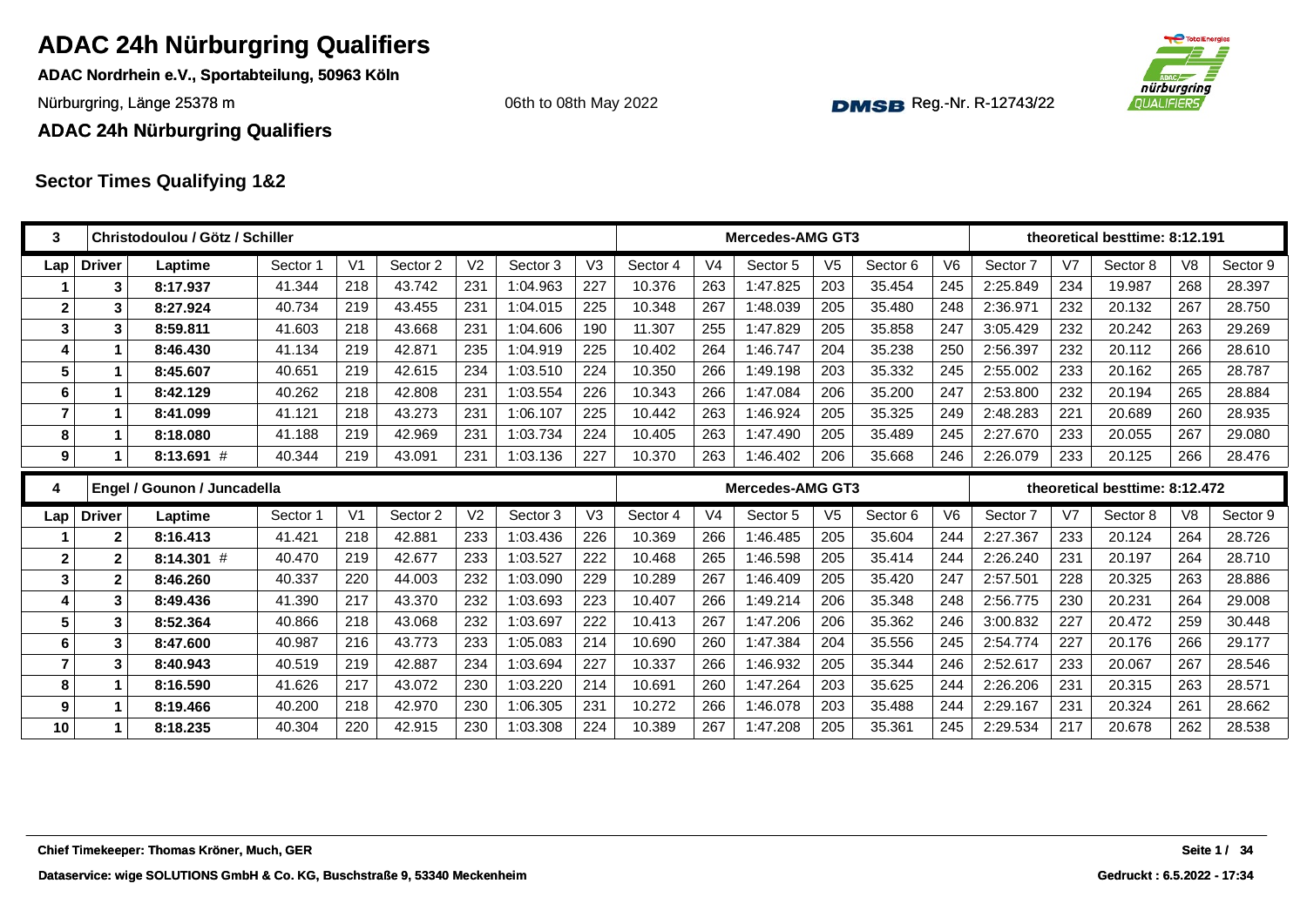**ADAC Nordrhein e.V., Sportabteilung, 50963 Köln**

Nürburgring, Länge 25378 m and the Communication of the Communication of the Communication of the Communication of the Communication of the Communication of the Communication of the Communication of the Communication of th

06th to 08th May 2022



**ADAC 24h Nürburgring Qualifiers**

| 3              |               | Christodoulou / Götz / Schiller            |          |                |          |                |          |     |          |                | <b>Mercedes-AMG GT3</b> |                |          |                |          |     | theoretical besttime: 8:12.191 |     |              |
|----------------|---------------|--------------------------------------------|----------|----------------|----------|----------------|----------|-----|----------|----------------|-------------------------|----------------|----------|----------------|----------|-----|--------------------------------|-----|--------------|
| Lap            | <b>Driver</b> | Laptime                                    | Sector 1 | V <sub>1</sub> | Sector 2 | V <sub>2</sub> | Sector 3 | V3  | Sector 4 | V <sub>4</sub> | Sector 5                | V <sub>5</sub> | Sector 6 | V <sub>6</sub> | Sector 7 | V7  | Sector 8                       | V8  | Sector 9     |
|                | 3             | 8:17.937                                   | 41.344   | 218            | 43.742   | 231            | 1:04.963 | 227 | 10.376   | 263            | 1:47.825                | 203            | 35.454   | 245            | 2:25.849 | 234 | 19.987                         | 268 | 28.397       |
| $\overline{2}$ | 3             | 8:27.924                                   | 40.734   | 219            | 43.455   | 231            | 1:04.015 | 225 | 10.348   | 267            | 1:48.039                | 205            | 35.480   | 248            | 2:36.971 | 232 | 20.132                         | 267 | 28.750       |
| 3              | 3             | 8:59.811                                   | 41.603   | 218            | 43.668   | 231            | 1:04.606 | 190 | 11.307   | 255            | 1:47.829                | 205            | 35.858   | 247            | 3:05.429 | 232 | 20.242                         | 263 | 29.269       |
| 4              | 1             | 8:46.430                                   | 41.134   | 219            | 42.871   | 235            | 1:04.919 | 225 | 10.402   | 264            | 1:46.747                | 204            | 35.238   | 250            | 2:56.397 | 232 | 20.112                         | 266 | 28.610       |
| 5              | $\mathbf 1$   | 8:45.607                                   | 40.651   | 219            | 42.615   | 234            | 1:03.510 | 224 | 10.350   | 266            | 1:49.198                | 203            | 35.332   | 245            | 2:55.002 | 233 | 20.162                         | 265 | 28.787       |
| 6              | 1             | 8:42.129                                   | 40.262   | 218            | 42.808   | 231            | 1:03.554 | 226 | 10.343   | 266            | 1:47.084                | 206            | 35.200   | 247            | 2:53.800 | 232 | 20.194                         | 265 | 28.884       |
| $\overline{7}$ | $\mathbf 1$   | 8:41.099                                   | 41.121   | 218            | 43.273   | 231            | 1:06.107 | 225 | 10.442   | 263            | 1:46.924                | 205            | 35.325   | 249            | 2:48.283 | 221 | 20.689                         | 260 | 28.935       |
| 8              | 1             | 8:18.080                                   | 41.188   | 219            | 42.969   | 231            | 1:03.734 | 224 | 10.405   | 263            | 1:47.490                | 205            | 35.489   | 245            | 2:27.670 | 233 | 20.055                         | 267 | 29,080       |
| 9              | 1             | $8:13.691$ #                               | 40.344   | 219            | 43.091   | 231            | 1:03.136 | 227 | 10.370   | 263            | 1:46.402                | 206            | 35.668   | 246            | 2:26.079 | 233 | 20.125                         | 266 | 28.476       |
| 4              |               | Engel / Gounon / Juncadella                |          |                |          |                |          |     |          |                | Mercedes-AMG GT3        |                |          |                |          |     | theoretical besttime: 8:12.472 |     |              |
| Lap            | <b>Driver</b> | Laptime                                    | Sector 1 | V <sub>1</sub> | Sector 2 | V <sub>2</sub> | Sector 3 | V3  | Sector 4 | V <sub>4</sub> | Sector 5                | V <sub>5</sub> | Sector 6 | V <sub>6</sub> | Sector 7 | V7  | Sector 8                       | V8  | Sector 9     |
|                | $\mathbf{2}$  | 8:16.413                                   | 41.421   | 218            | 42.881   | 233            | 1:03.436 | 226 | 10.369   | 266            | 1:46.485                | 205            | 35.604   | 244            | 2:27.367 | 233 | 20.124                         | 264 | 28.726       |
| $\mathbf{2}$   | $\mathbf{2}$  | $8:14.301$ #                               | 40.470   | 219            | 42.677   | 233            | 1:03.527 | 222 | 10.468   | 265            | 1:46.598                | 205            | 35.414   | 244            | 2:26.240 | 231 | 20.197                         | 264 | 28.710       |
| $\mathbf{3}$   | $\mathbf{2}$  | 8:46.260                                   | 40.337   | 220            | 44.003   | 232            | 1:03.090 | 229 | 10.289   | 267            | 1:46.409                | 205            | 35.420   | 247            | 2:57.501 | 228 | 20.325                         | 263 | 28.886       |
| 4              | 3             | 8:49.436                                   | 41.390   | 217            | 43.370   | 232            | 1:03.693 | 223 | 10.407   | 266            | 1:49.214                | 206            | 35.348   | 248            | 2:56.775 | 230 | 20.231                         | 264 | 29.008       |
| 5              | 3             | 8:52.364                                   | 40.866   | 218            | 43.068   | 232            | 1:03.697 | 222 | 10.413   | 267            | 1:47.206                | 206            | 35.362   | 246            | 3:00.832 | 227 | 20.472                         | 259 | 30.448       |
| 6              | 3             | 8:47.600                                   | 40.987   | 216            | 43.773   | 233            | 1:05.083 | 214 | 10.690   | 260            | 1:47.384                | 204            | 35.556   | 245            | 2:54.774 | 227 | 20.176                         | 266 | 29.177       |
| $\overline{7}$ | 3             | 8:40.943                                   | 40.519   | 219            | 42.887   | 234            | 1:03.694 | 227 | 10.337   | 266            | 1:46.932                | 205            | 35.344   | 246            | 2:52.617 | 233 | 20.067                         | 267 | 28.546       |
| 8              | $\mathbf{1}$  | 8:16.590                                   | 41.626   | 217            | 43.072   | 230            | 1:03.220 | 214 | 10.691   | 260            | 1:47.264                | 203            | 35.625   | 244            | 2:26.206 | 231 | 20.315                         | 263 | 28.571       |
| 9              | 1             | 8:19.466                                   | 40.200   | 218            | 42.970   | 230            | 1:06.305 | 231 | 10.272   | 266            | 1:46.078                | 203            | 35.488   | 244            | 2:29.167 | 231 | 20.324                         | 261 | 28.662       |
| 10             | 1             | 8:18.235                                   | 40.304   | 220            | 42.915   | 230            | 1:03.308 | 224 | 10.389   | 267            | 1:47.208                | 205            | 35.361   | 245            | 2:29.534 | 217 | 20.678                         | 262 | 28.538       |
|                |               |                                            |          |                |          |                |          |     |          |                |                         |                |          |                |          |     |                                |     |              |
|                |               | Chief Timekeeper: Thomas Kröner, Much, GER |          |                |          |                |          |     |          |                |                         |                |          |                |          |     |                                |     | Seite 1 / 34 |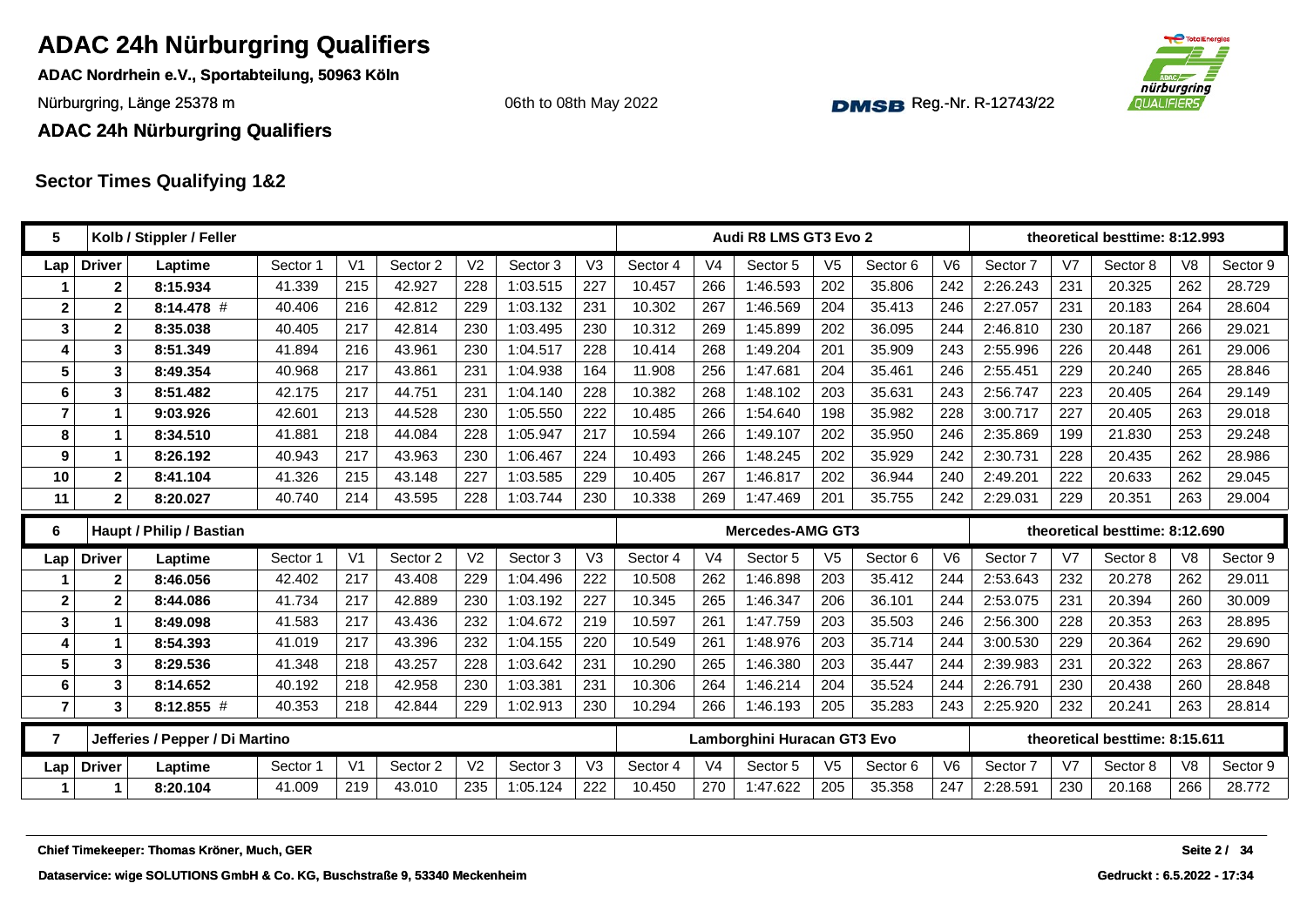**ADAC Nordrhein e.V., Sportabteilung, 50963 Köln**

Nürburgring, Länge 25378 m and the Communication of the Communication of the Communication of the Communication of the Communication of the Communication of the Communication of the Communication of the Communication of th

06th to 08th May 2022



**ADAC 24h Nürburgring Qualifiers**

| 5              |                | Kolb / Stippler / Feller        |          |                |          |                |          |                |          |                | Audi R8 LMS GT3 Evo 2       |                |          |                |          |                | theoretical besttime: 8:12.993 |                |          |
|----------------|----------------|---------------------------------|----------|----------------|----------|----------------|----------|----------------|----------|----------------|-----------------------------|----------------|----------|----------------|----------|----------------|--------------------------------|----------------|----------|
| Lap            | <b>Driver</b>  | Laptime                         | Sector 1 | V <sub>1</sub> | Sector 2 | V <sub>2</sub> | Sector 3 | V <sub>3</sub> | Sector 4 | V <sub>4</sub> | Sector 5                    | V <sub>5</sub> | Sector 6 | V <sub>6</sub> | Sector 7 | V <sub>7</sub> | Sector 8                       | V <sub>8</sub> | Sector 9 |
|                | $\mathbf{2}$   | 8:15.934                        | 41.339   | 215            | 42.927   | 228            | 1:03.515 | 227            | 10.457   | 266            | 1:46.593                    | 202            | 35.806   | 242            | 2:26.243 | 231            | 20.325                         | 262            | 28.729   |
| $\mathbf 2$    | $\overline{2}$ | 8:14.478 #                      | 40.406   | 216            | 42.812   | 229            | 1:03.132 | 231            | 10.302   | 267            | 1:46.569                    | 204            | 35.413   | 246            | 2:27.057 | 231            | 20.183                         | 264            | 28.604   |
| 3              | $\mathbf{2}$   | 8:35.038                        | 40.405   | 217            | 42.814   | 230            | 1:03.495 | 230            | 10.312   | 269            | 1:45.899                    | 202            | 36.095   | 244            | 2:46.810 | 230            | 20.187                         | 266            | 29.021   |
| 4              | 3              | 8:51.349                        | 41.894   | 216            | 43.961   | 230            | 1:04.517 | 228            | 10.414   | 268            | 1:49.204                    | 201            | 35.909   | 243            | 2:55.996 | 226            | 20.448                         | 261            | 29.006   |
| 5              | 3              | 8:49.354                        | 40.968   | 217            | 43.861   | 231            | 1:04.938 | 164            | 11.908   | 256            | 1:47.681                    | 204            | 35.461   | 246            | 2:55.451 | 229            | 20.240                         | 265            | 28.846   |
| 6              | $\mathbf{3}$   | 8:51.482                        | 42.175   | 217            | 44.751   | 231            | 1:04.140 | 228            | 10.382   | 268            | 1:48.102                    | 203            | 35.631   | 243            | 2:56.747 | 223            | 20.405                         | 264            | 29.149   |
| $\overline{7}$ | $\mathbf 1$    | 9:03.926                        | 42.601   | 213            | 44.528   | 230            | 1:05.550 | 222            | 10.485   | 266            | 1:54.640                    | 198            | 35.982   | 228            | 3:00.717 | 227            | 20.405                         | 263            | 29.018   |
| 8              | $\mathbf 1$    | 8:34.510                        | 41.881   | 218            | 44.084   | 228            | 1:05.947 | 217            | 10.594   | 266            | 1:49.107                    | 202            | 35.950   | 246            | 2:35.869 | 199            | 21.830                         | 253            | 29.248   |
| 9              | $\mathbf 1$    | 8:26.192                        | 40.943   | 217            | 43.963   | 230            | 1:06.467 | 224            | 10.493   | 266            | 1:48.245                    | 202            | 35.929   | 242            | 2:30.731 | 228            | 20.435                         | 262            | 28.986   |
| 10             | $\mathbf{2}$   | 8:41.104                        | 41.326   | 215            | 43.148   | 227            | 1:03.585 | 229            | 10.405   | 267            | 1:46.817                    | 202            | 36.944   | 240            | 2:49.201 | 222            | 20.633                         | 262            | 29.045   |
| 11             | $\mathbf{2}$   | 8:20.027                        | 40.740   | 214            | 43.595   | 228            | 1:03.744 | 230            | 10.338   | 269            | 1:47.469                    | 201            | 35.755   | 242            | 2:29.031 | 229            | 20.351                         | 263            | 29.004   |
| 6              |                | Haupt / Philip / Bastian        |          |                |          |                |          |                |          |                | <b>Mercedes-AMG GT3</b>     |                |          |                |          |                | theoretical besttime: 8:12.690 |                |          |
|                |                |                                 |          |                |          |                |          |                |          |                |                             |                |          |                |          |                |                                |                | Sector 9 |
| Lap            | <b>Driver</b>  | Laptime                         | Sector 1 | V <sub>1</sub> | Sector 2 | V <sub>2</sub> | Sector 3 | V3             | Sector 4 | V <sub>4</sub> | Sector 5                    | V <sub>5</sub> | Sector 6 | V <sub>6</sub> | Sector 7 | V <sub>7</sub> | Sector 8                       | V <sub>8</sub> |          |
|                | $\mathbf{2}$   | 8:46.056                        | 42.402   | 217            | 43.408   | 229            | 1:04.496 | 222            | 10.508   | 262            | 1:46.898                    | 203            | 35.412   | 244            | 2:53.643 | 232            | 20.278                         | 262            | 29.011   |
| $\mathbf{2}$   | $\mathbf{2}$   | 8:44.086                        | 41.734   | 217            | 42.889   | 230            | 1:03.192 | 227            | 10.345   | 265            | 1:46.347                    | 206            | 36.101   | 244            | 2:53.075 | 231            | 20.394                         | 260            | 30.009   |
| 3              | 1              | 8:49.098                        | 41.583   | 217            | 43.436   | 232            | 1:04.672 | 219            | 10.597   | 261            | 1:47.759                    | 203            | 35.503   | 246            | 2:56.300 | 228            | 20.353                         | 263            | 28.895   |
| 4              | $\mathbf 1$    | 8:54.393                        | 41.019   | 217            | 43.396   | 232            | 1:04.155 | 220            | 10.549   | 261            | 1:48.976                    | 203            | 35.714   | 244            | 3:00.530 | 229            | 20.364                         | 262            | 29.690   |
| 5              | $\mathbf{3}$   | 8:29.536                        | 41.348   | 218            | 43.257   | 228            | 1:03.642 | 231            | 10.290   | 265            | 1:46.380                    | 203            | 35.447   | 244            | 2:39.983 | 231            | 20.322                         | 263            | 28.867   |
| 6              | $\mathbf{3}$   | 8:14.652                        | 40.192   | 218            | 42.958   | 230            | 1:03.381 | 231            | 10.306   | 264            | 1:46.214                    | 204            | 35.524   | 244            | 2:26.791 | 230            | 20.438                         | 260            | 28.848   |
| 7              | 3              | 8:12.855 #                      | 40.353   | 218            | 42.844   | 229            | 1:02.913 | 230            | 10.294   | 266            | 1:46.193                    | 205            | 35.283   | 243            | 2:25.920 | 232            | 20.241                         | 263            | 28.814   |
| $\overline{7}$ |                | Jefferies / Pepper / Di Martino |          |                |          |                |          |                |          |                | Lamborghini Huracan GT3 Evo |                |          |                |          |                | theoretical besttime: 8:15.611 |                |          |
| Lap            | <b>Driver</b>  | Laptime                         | Sector 1 | V <sub>1</sub> | Sector 2 | V <sub>2</sub> | Sector 3 | V <sub>3</sub> | Sector 4 | V <sub>4</sub> | Sector 5                    | V <sub>5</sub> | Sector 6 | V6             | Sector 7 | V <sub>7</sub> | Sector 8                       | V <sub>8</sub> | Sector 9 |
| 1              | $\mathbf 1$    | 8:20.104                        | 41.009   | 219            | 43.010   | 235            | 1:05.124 | 222            | 10.450   | 270            | 1:47.622                    | 205            | 35.358   | 247            | 2:28.591 | 230            | 20.168                         | 266            | 28.772   |
|                |                |                                 |          |                |          |                |          |                |          |                |                             |                |          |                |          |                |                                |                |          |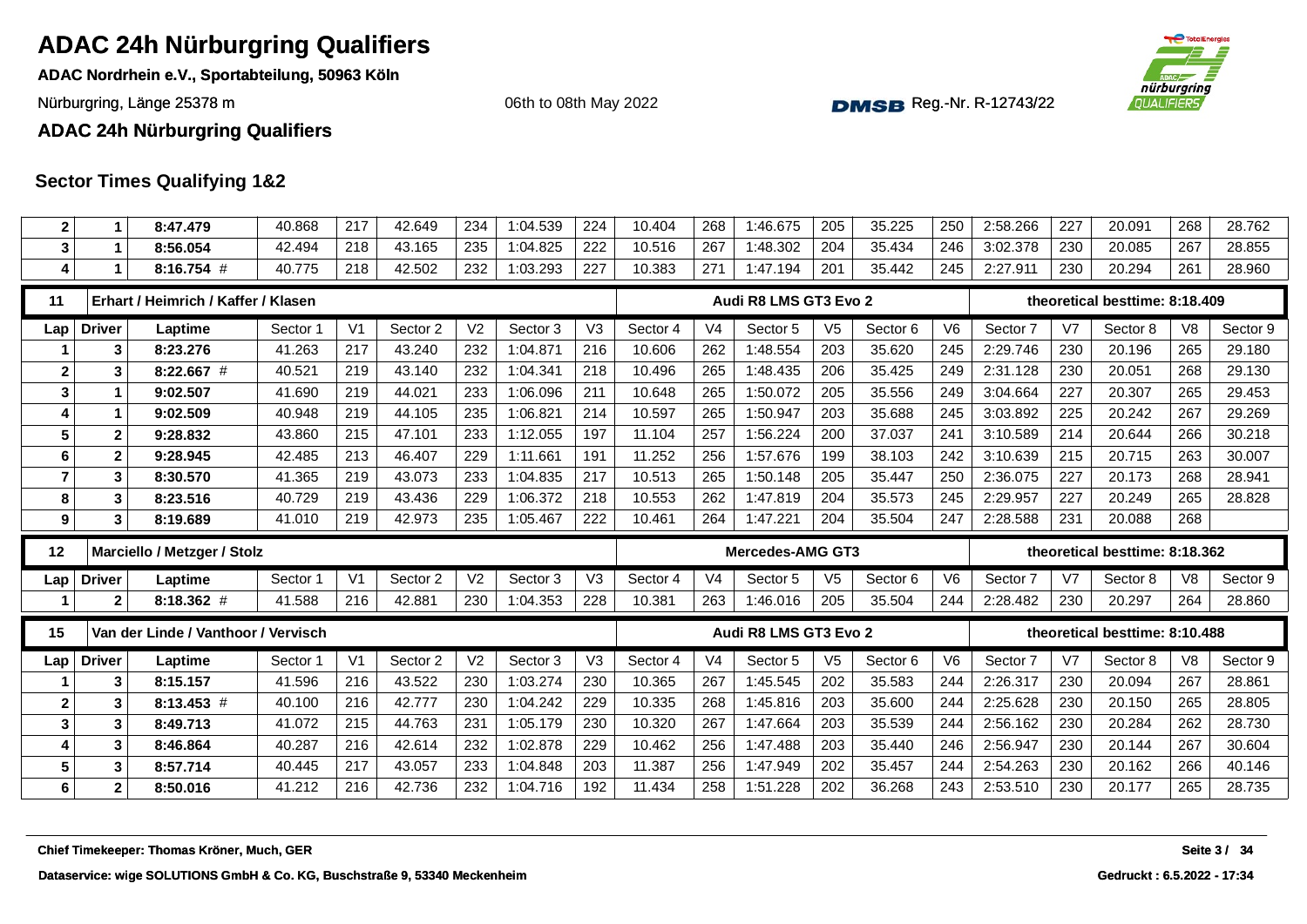**ADAC Nordrhein e.V., Sportabteilung, 50963 Köln**

Nürburgring, Länge 25378 m and the Communication of the Communication of the Communication of the Communication of the Communication of the Communication of the Communication of the Communication of the Communication of th

06th to 08th May 2022



**ADAC 24h Nürburgring Qualifiers**

| $\boldsymbol{2}$ | 1                | 8:47.479                            | 40.868   | 217            | 42.649   | 234            | 1:04.539 | 224 | 10.404   | 268            | 1:46.675                | 205            | 35.225              | 250            | 2:58.266 | 227            | 20.091                         | 268            | 28.762   |
|------------------|------------------|-------------------------------------|----------|----------------|----------|----------------|----------|-----|----------|----------------|-------------------------|----------------|---------------------|----------------|----------|----------------|--------------------------------|----------------|----------|
| 3                | 1                | 8:56.054                            | 42.494   | 218            | 43.165   | 235            | 1:04.825 | 222 | 10.516   | 267            | 1:48.302                | 204            | 35.434              | 246            | 3:02.378 | 230            | 20.085                         | 267            | 28.855   |
| 4                | 1                | 8:16.754 #                          | 40.775   | 218            | 42.502   | 232            | 1:03.293 | 227 | 10.383   | 271            | 1:47.194                | 201            | 35.442              | 245            | 2:27.911 | 230            | 20.294                         | 261            | 28.960   |
| 11               |                  | Erhart / Heimrich / Kaffer / Klasen |          |                |          |                |          |     |          |                | Audi R8 LMS GT3 Evo 2   |                |                     |                |          |                | theoretical besttime: 8:18.409 |                |          |
| Lap              | <b>Driver</b>    | Laptime                             | Sector 1 | V <sub>1</sub> | Sector 2 | V <sub>2</sub> | Sector 3 | V3  | Sector 4 | V <sub>4</sub> | Sector 5                | V <sub>5</sub> | Sector <sub>6</sub> | V <sub>6</sub> | Sector 7 | V <sub>7</sub> | Sector 8                       | V <sub>8</sub> | Sector 9 |
|                  | 3                | 8:23.276                            | 41.263   | 217            | 43.240   | 232            | 1:04.871 | 216 | 10.606   | 262            | 1:48.554                | 203            | 35.620              | 245            | 2:29.746 | 230            | 20.196                         | 265            | 29.180   |
| $\boldsymbol{2}$ | 3                | $8:22.667$ #                        | 40.521   | 219            | 43.140   | 232            | 1:04.341 | 218 | 10.496   | 265            | 1:48.435                | 206            | 35.425              | 249            | 2:31.128 | 230            | 20.051                         | 268            | 29.130   |
| $\mathbf{3}$     | 1                | 9:02.507                            | 41.690   | 219            | 44.021   | 233            | 1:06.096 | 211 | 10.648   | 265            | 1:50.072                | 205            | 35.556              | 249            | 3:04.664 | 227            | 20.307                         | 265            | 29.453   |
| 4                | 1                | 9:02.509                            | 40.948   | 219            | 44.105   | 235            | 1:06.821 | 214 | 10.597   | 265            | 1:50.947                | 203            | 35.688              | 245            | 3:03.892 | 225            | 20.242                         | 267            | 29.269   |
| $5\phantom{1}$   | $\mathbf{2}$     | 9:28.832                            | 43.860   | 215            | 47.101   | 233            | 1:12.055 | 197 | 11.104   | 257            | 1:56.224                | 200            | 37.037              | 241            | 3:10.589 | 214            | 20.644                         | 266            | 30.218   |
| 6                | $\boldsymbol{2}$ | 9:28.945                            | 42.485   | 213            | 46.407   | 229            | 1:11.661 | 191 | 11.252   | 256            | 1:57.676                | 199            | 38.103              | 242            | 3:10.639 | 215            | 20.715                         | 263            | 30.007   |
| $\overline{7}$   | 3                | 8:30.570                            | 41.365   | 219            | 43.073   | 233            | 1:04.835 | 217 | 10.513   | 265            | 1:50.148                | 205            | 35.447              | 250            | 2:36.075 | 227            | 20.173                         | 268            | 28.941   |
| 8                | 3                | 8:23.516                            | 40.729   | 219            | 43.436   | 229            | 1:06.372 | 218 | 10.553   | 262            | 1:47.819                | 204            | 35.573              | 245            | 2:29.957 | 227            | 20.249                         | 265            | 28.828   |
| 9                | 3                | 8:19.689                            | 41.010   | 219            | 42.973   | 235            | 1:05.467 | 222 | 10.461   | 264            | 1:47.221                | 204            | 35.504              | 247            | 2:28.588 | 231            | 20.088                         | 268            |          |
|                  |                  |                                     |          |                |          |                |          |     |          |                |                         |                |                     |                |          |                |                                |                |          |
| 12               |                  | Marciello / Metzger / Stolz         |          |                |          |                |          |     |          |                | <b>Mercedes-AMG GT3</b> |                |                     |                |          |                | theoretical besttime: 8:18.362 |                |          |
| Lap              | <b>Driver</b>    | Laptime                             | Sector 1 | V <sub>1</sub> | Sector 2 | V <sub>2</sub> | Sector 3 | V3  | Sector 4 | V <sub>4</sub> | Sector 5                | V <sub>5</sub> | Sector 6            | V <sub>6</sub> | Sector 7 | V <sub>7</sub> | Sector 8                       | V <sub>8</sub> | Sector 9 |
|                  | $\mathbf{2}$     | 8:18.362 #                          | 41.588   | 216            | 42.881   | 230            | 1:04.353 | 228 | 10.381   | 263            | 1:46.016                | 205            | 35.504              | 244            | 2:28.482 | 230            | 20.297                         | 264            | 28.860   |
| 15               |                  | Van der Linde / Vanthoor / Vervisch |          |                |          |                |          |     |          |                | Audi R8 LMS GT3 Evo 2   |                |                     |                |          |                | theoretical besttime: 8:10.488 |                |          |
| Lap              | <b>Driver</b>    | Laptime                             | Sector 1 | V <sub>1</sub> | Sector 2 | V <sub>2</sub> | Sector 3 | V3  | Sector 4 | V <sub>4</sub> | Sector 5                | V <sub>5</sub> | Sector <sub>6</sub> | V <sub>6</sub> | Sector 7 | V <sub>7</sub> | Sector 8                       | V <sub>8</sub> | Sector 9 |
|                  | 3                | 8:15.157                            | 41.596   | 216            | 43.522   | 230            | 1:03.274 | 230 | 10.365   | 267            | 1:45.545                | 202            | 35.583              | 244            | 2:26.317 | 230            | 20.094                         | 267            | 28.861   |
| $\mathbf{2}$     | 3                | $8:13.453$ #                        | 40.100   | 216            | 42.777   | 230            | 1:04.242 | 229 | 10.335   | 268            | 1:45.816                | 203            | 35.600              | 244            | 2:25.628 | 230            | 20.150                         | 265            | 28.805   |
| $\mathbf{3}$     | 3                | 8:49.713                            | 41.072   | 215            | 44.763   | 231            | 1:05.179 | 230 | 10.320   | 267            | 1:47.664                | 203            | 35.539              | 244            | 2:56.162 | 230            | 20.284                         | 262            | 28.730   |
| 4                | 3                | 8:46.864                            | 40.287   | 216            | 42.614   | 232            | 1:02.878 | 229 | 10.462   | 256            | 1:47.488                | 203            | 35.440              | 246            | 2:56.947 | 230            | 20.144                         | 267            | 30.604   |
| 5                | 3                | 8:57.714                            | 40.445   | 217            | 43.057   | 233            | 1:04.848 | 203 | 11.387   | 256            | 1:47.949                | 202            | 35.457              | 244            | 2:54.263 | 230            | 20.162                         | 266            | 40.146   |
| $\bf 6$          | $\mathbf 2$      | 8:50.016                            | 41.212   | 216            | 42.736   | 232            | 1:04.716 | 192 | 11.434   | 258            | 1:51.228                | 202            | 36.268              | 243            | 2:53.510 | 230            | 20.177                         | 265            | 28.735   |
|                  |                  |                                     |          |                |          |                |          |     |          |                |                         |                |                     |                |          |                |                                |                |          |
|                  |                  |                                     |          |                |          |                |          |     |          |                |                         |                |                     |                |          |                |                                |                |          |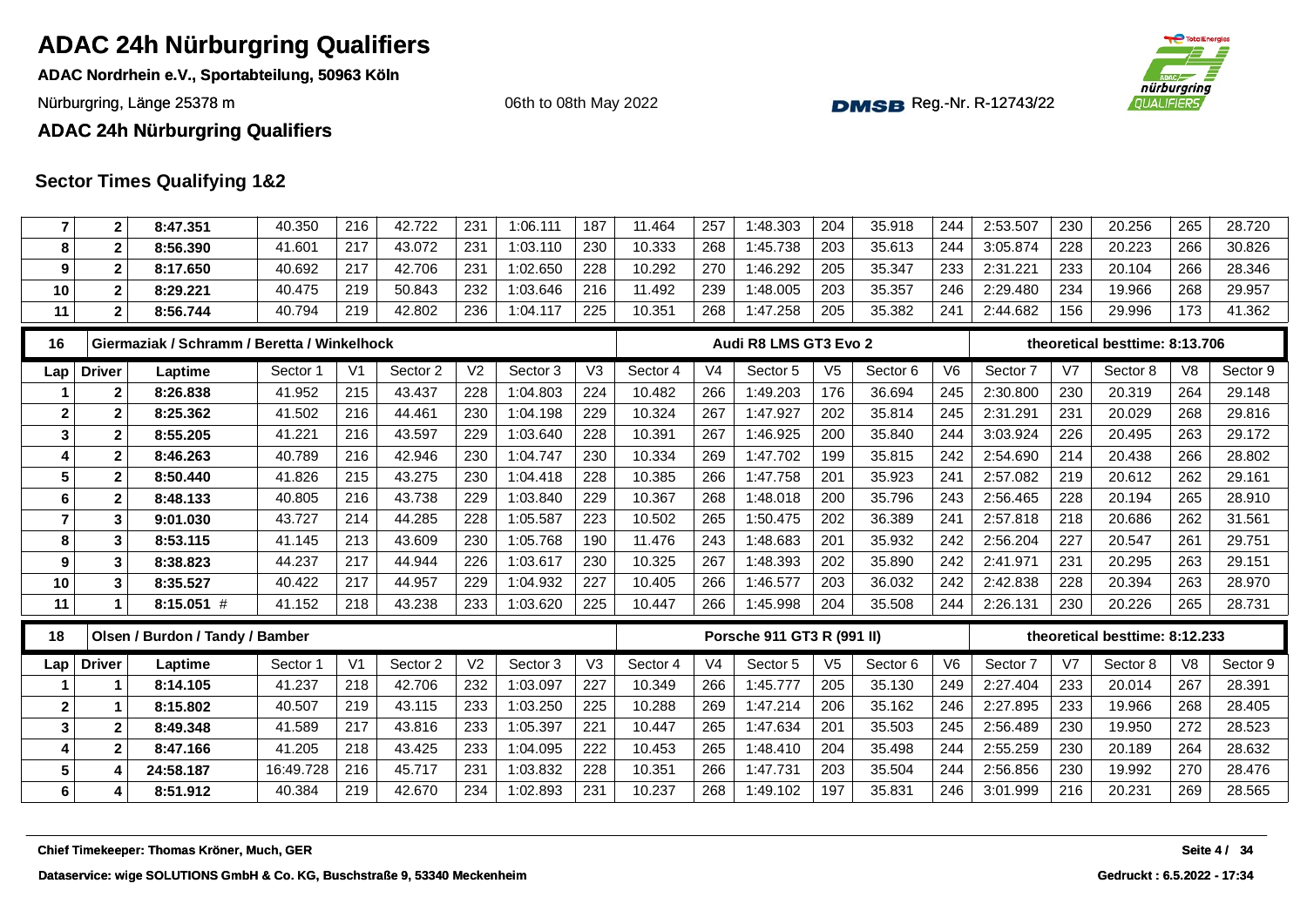**ADAC Nordrhein e.V., Sportabteilung, 50963 Köln**

Nürburgring, Länge 25378 m and the Communication of the Communication of the Communication of the Communication of the Communication of the Communication of the Communication of the Communication of the Communication of th

06th to 08th May 2022



#### **ADAC 24h Nürburgring Qualifiers**

| 7               | 2             | 8:47.351                                    | 40.350    | 216            | 42.722   | 231            | 1:06.111 | 187            | 11.464   | 257            | 1:48.303                   | 204            | 35.918   | 244            | 2:53.507 | 230            | 20.256                         | 265            | 28.720       |
|-----------------|---------------|---------------------------------------------|-----------|----------------|----------|----------------|----------|----------------|----------|----------------|----------------------------|----------------|----------|----------------|----------|----------------|--------------------------------|----------------|--------------|
| 8               | $\mathbf{2}$  | 8:56.390                                    | 41.601    | 217            | 43.072   | 231            | 1:03.110 | 230            | 10.333   | 268            | 1:45.738                   | 203            | 35.613   | 244            | 3:05.874 | 228            | 20.223                         | 266            | 30.826       |
| 9               | $\mathbf{2}$  | 8:17.650                                    | 40.692    | 217            | 42.706   | 231            | 1:02.650 | 228            | 10.292   | 270            | 1:46.292                   | 205            | 35.347   | 233            | 2:31.221 | 233            | 20.104                         | 266            | 28.346       |
| 10              | $\mathbf{2}$  | 8:29.221                                    | 40.475    | 219            | 50.843   | 232            | 1:03.646 | 216            | 11.492   | 239            | 1:48.005                   | 203            | 35.357   | 246            | 2:29.480 | 234            | 19.966                         | 268            | 29.957       |
| 11              | $\mathbf{2}$  | 8:56.744                                    | 40.794    | 219            | 42.802   | 236            | 1:04.117 | 225            | 10.351   | 268            | 1:47.258                   | 205            | 35.382   | 241            | 2:44.682 | 156            | 29.996                         | 173            | 41.362       |
| 16              |               | Giermaziak / Schramm / Beretta / Winkelhock |           |                |          |                |          |                |          |                | Audi R8 LMS GT3 Evo 2      |                |          |                |          |                | theoretical besttime: 8:13.706 |                |              |
| Lap             | <b>Driver</b> | Laptime                                     | Sector 1  | V <sub>1</sub> | Sector 2 | V <sub>2</sub> | Sector 3 | V <sub>3</sub> | Sector 4 | V <sub>4</sub> | Sector <sub>5</sub>        | V <sub>5</sub> | Sector 6 | V <sub>6</sub> | Sector 7 | V <sub>7</sub> | Sector 8                       | V <sub>8</sub> | Sector 9     |
|                 | $\mathbf{2}$  | 8:26.838                                    | 41.952    | 215            | 43.437   | 228            | 1:04.803 | 224            | 10.482   | 266            | 1:49.203                   | 176            | 36.694   | 245            | 2:30.800 | 230            | 20.319                         | 264            | 29.148       |
| $\mathbf{2}$    | $\mathbf{2}$  | 8:25.362                                    | 41.502    | 216            | 44.461   | 230            | 1:04.198 | 229            | 10.324   | 267            | 1:47.927                   | 202            | 35.814   | 245            | 2:31.291 | 231            | 20.029                         | 268            | 29.816       |
| 3               | $\mathbf{2}$  | 8:55.205                                    | 41.221    | 216            | 43.597   | 229            | 1:03.640 | 228            | 10.391   | 267            | 1:46.925                   | 200            | 35.840   | 244            | 3:03.924 | 226            | 20.495                         | 263            | 29.172       |
| 4               | $\mathbf{2}$  | 8:46.263                                    | 40.789    | 216            | 42.946   | 230            | 1:04.747 | 230            | 10.334   | 269            | 1:47.702                   | 199            | 35.815   | 242            | 2:54.690 | 214            | 20.438                         | 266            | 28.802       |
| 5               | $\mathbf{2}$  | 8:50.440                                    | 41.826    | 215            | 43.275   | 230            | 1:04.418 | 228            | 10.385   | 266            | 1:47.758                   | 201            | 35.923   | 241            | 2:57.082 | 219            | 20.612                         | 262            | 29.161       |
| 6               | $\mathbf{2}$  | 8:48.133                                    | 40.805    | 216            | 43.738   | 229            | 1:03.840 | 229            | 10.367   | 268            | 1:48.018                   | 200            | 35.796   | 243            | 2:56.465 | 228            | 20.194                         | 265            | 28.910       |
| $\overline{7}$  | 3             | 9:01.030                                    | 43.727    | 214            | 44.285   | 228            | 1:05.587 | 223            | 10.502   | 265            | 1:50.475                   | 202            | 36.389   | 241            | 2:57.818 | 218            | 20.686                         | 262            | 31.561       |
| 8               | 3             | 8:53.115                                    | 41.145    | 213            | 43.609   | 230            | 1:05.768 | 190            | 11.476   | 243            | 1:48.683                   | 201            | 35.932   | 242            | 2:56.204 | 227            | 20.547                         | 261            | 29.751       |
| 9               | 3             | 8:38.823                                    | 44.237    | 217            | 44.944   | 226            | 1:03.617 | 230            | 10.325   | 267            | 1:48.393                   | 202            | 35.890   | 242            | 2:41.971 | 231            | 20.295                         | 263            | 29.151       |
| 10              | 3             | 8:35.527                                    | 40.422    | 217            | 44.957   | 229            | 1:04.932 | 227            | 10.405   | 266            | 1:46.577                   | 203            | 36.032   | 242            | 2:42.838 | 228            | 20.394                         | 263            | 28.970       |
| 11              | 1             | $8:15.051$ #                                | 41.152    | 218            | 43.238   | 233            | 1:03.620 | 225            | 10.447   | 266            | 1:45.998                   | 204            | 35.508   | 244            | 2:26.131 | 230            | 20.226                         | 265            | 28.731       |
| 18              |               | Olsen / Burdon / Tandy / Bamber             |           |                |          |                |          |                |          |                | Porsche 911 GT3 R (991 II) |                |          |                |          |                | theoretical besttime: 8:12.233 |                |              |
| Lap             | <b>Driver</b> | Laptime                                     | Sector 1  | V <sub>1</sub> | Sector 2 | V <sub>2</sub> | Sector 3 | V <sub>3</sub> | Sector 4 | V <sub>4</sub> | Sector 5                   | V <sub>5</sub> | Sector 6 | V <sub>6</sub> | Sector 7 | V7             | Sector 8                       | V <sub>8</sub> | Sector 9     |
|                 | 1             | 8:14.105                                    | 41.237    | 218            | 42.706   | 232            | 1:03.097 | 227            | 10.349   | 266            | 1:45.777                   | 205            | 35.130   | 249            | 2:27.404 | 233            | 20.014                         | 267            | 28.391       |
| $\mathbf{2}$    | 1             | 8:15.802                                    | 40.507    | 219            | 43.115   | 233            | 1:03.250 | 225            | 10.288   | 269            | 1:47.214                   | 206            | 35.162   | 246            | 2:27.895 | 233            | 19.966                         | 268            | 28.405       |
| $\mathbf{3}$    | $\mathbf 2$   | 8:49.348                                    | 41.589    | 217            | 43.816   | 233            | 1:05.397 | 221            | 10.447   | 265            | 1:47.634                   | 201            | 35.503   | 245            | 2:56.489 | 230            | 19.950                         | 272            | 28.523       |
| 4               | $\mathbf{2}$  | 8:47.166                                    | 41.205    | 218            | 43.425   | 233            | 1:04.095 | 222            | 10.453   | 265            | 1:48.410                   | 204            | 35.498   | 244            | 2:55.259 | 230            | 20.189                         | 264            | 28.632       |
| $5\phantom{.0}$ | 4             | 24:58.187                                   | 16:49.728 | 216            | 45.717   | 231            | 1:03.832 | 228            | 10.351   | 266            | 1:47.731                   | 203            | 35.504   | 244            | 2:56.856 | 230            | 19.992                         | 270            | 28.476       |
| 6               | 4             | 8:51.912                                    | 40.384    | 219            | 42.670   | 234            | 1:02.893 | 231            | 10.237   | 268            | 1:49.102                   | 197            | 35.831   | 246            | 3:01.999 | 216            | 20.231                         | 269            | 28.565       |
|                 |               | Chief Timekeeper: Thomas Kröner, Much, GER  |           |                |          |                |          |                |          |                |                            |                |          |                |          |                |                                |                | Seite 4 / 34 |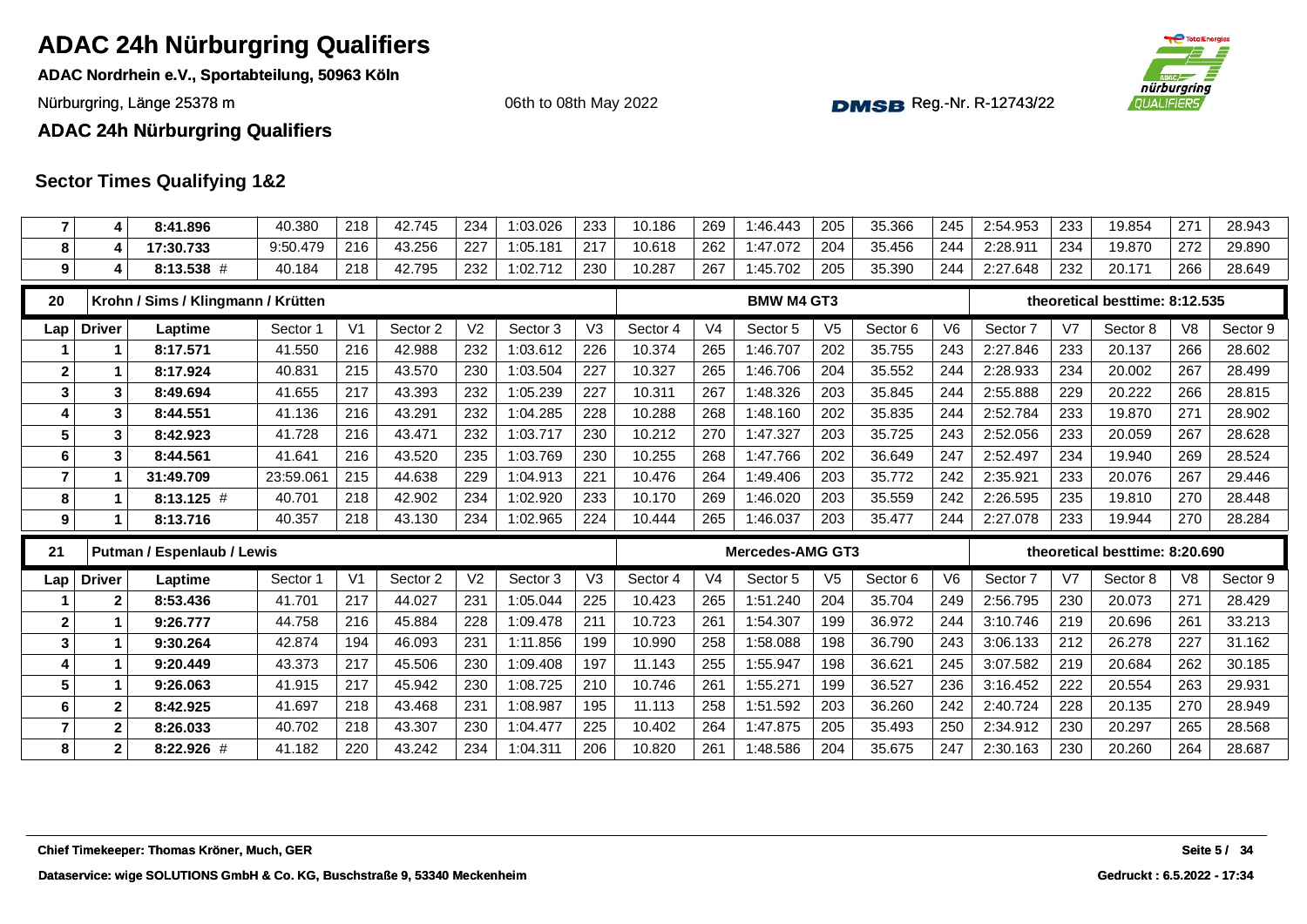**ADAC Nordrhein e.V., Sportabteilung, 50963 Köln**

Nürburgring, Länge 25378 m and the Communication of the Communication of the Communication of the Communication of the Communication of the Communication of the Communication of the Communication of the Communication of th

06th to 08th May 2022



**ADAC 24h Nürburgring Qualifiers**

| $\overline{7}$   | 4             | 8:41.896                           | 40.380   | 218            | 42.745   | 234            | 1:03.026 | 233            | 10.186   | 269            | 1:46.443                | 205            | 35.366   | 245            | 2:54.953 | 233 | 19.854                         | 271            | 28.943   |
|------------------|---------------|------------------------------------|----------|----------------|----------|----------------|----------|----------------|----------|----------------|-------------------------|----------------|----------|----------------|----------|-----|--------------------------------|----------------|----------|
| 8                | 4             | 17:30.733                          | 9:50.479 | 216            | 43.256   | 227            | 1:05.181 | 217            | 10.618   | 262            | 1:47.072                | 204            | 35.456   | 244            | 2:28.911 | 234 | 19.870                         | 272            | 29.890   |
| 9                | 4             | 8:13.538 #                         | 40.184   | 218            | 42.795   | 232            | 1:02.712 | 230            | 10.287   | 267            | 1:45.702                | 205            | 35.390   | 244            | 2:27.648 | 232 | 20.171                         | 266            | 28.649   |
| 20               |               | Krohn / Sims / Klingmann / Krütten |          |                |          |                |          |                |          |                | <b>BMW M4 GT3</b>       |                |          |                |          |     | theoretical besttime: 8:12.535 |                |          |
| Lap              | <b>Driver</b> | Laptime                            | Sector 1 | V <sub>1</sub> | Sector 2 | V <sub>2</sub> | Sector 3 | V3             | Sector 4 | V <sub>4</sub> | Sector 5                | V <sub>5</sub> | Sector 6 | V <sub>6</sub> | Sector 7 | V7  | Sector 8                       | V <sub>8</sub> | Sector 9 |
|                  | 1             | 8:17.571                           | 41.550   | 216            | 42.988   | 232            | 1:03.612 | 226            | 10.374   | 265            | 1:46.707                | 202            | 35.755   | 243            | 2:27.846 | 233 | 20.137                         | 266            | 28.602   |
| $\boldsymbol{2}$ | 1             | 8:17.924                           | 40.831   | 215            | 43.570   | 230            | 1:03.504 | 227            | 10.327   | 265            | 1:46.706                | 204            | 35.552   | 244            | 2:28.933 | 234 | 20.002                         | 267            | 28.499   |
| 3                | 3             | 8:49.694                           | 41.655   | 217            | 43.393   | 232            | 1:05.239 | 227            | 10.311   | 267            | 1:48.326                | 203            | 35.845   | 244            | 2:55.888 | 229 | 20.222                         | 266            | 28.815   |
| 4                | 3             | 8:44.551                           | 41.136   | 216            | 43.291   | 232            | 1:04.285 | 228            | 10.288   | 268            | 1:48.160                | 202            | 35.835   | 244            | 2:52.784 | 233 | 19.870                         | 271            | 28.902   |
| $5\phantom{.0}$  | 3             | 8:42.923                           | 41.728   | 216            | 43.471   | 232            | 1:03.717 | 230            | 10.212   | 270            | 1:47.327                | 203            | 35.725   | 243            | 2:52.056 | 233 | 20.059                         | 267            | 28.628   |
| $\bf 6$          | 3             | 8:44.561                           | 41.641   | 216            | 43.520   | 235            | 1:03.769 | 230            | 10.255   | 268            | 1:47.766                | 202            | 36.649   | 247            | 2:52.497 | 234 | 19.940                         | 269            | 28.524   |
| $\overline{7}$   |               | 31:49.709                          | 23:59.06 | 215            | 44.638   | 229            | 1:04.913 | 221            | 10.476   | 264            | 1:49.406                | 203            | 35.772   | 242            | 2:35.921 | 233 | 20.076                         | 267            | 29.446   |
| 8                | 1             | $8:13.125$ #                       | 40.701   | 218            | 42.902   | 234            | 1:02.920 | 233            | 10.170   | 269            | 1:46.020                | 203            | 35.559   | 242            | 2:26.595 | 235 | 19.810                         | 270            | 28.448   |
| 9                | 1             | 8:13.716                           | 40.357   | 218            | 43.130   | 234            | 1:02.965 | 224            | 10.444   | 265            | 1:46.037                | 203            | 35.477   | 244            | 2:27.078 | 233 | 19.944                         | 270            | 28.284   |
|                  |               |                                    |          |                |          |                |          |                |          |                |                         |                |          |                |          |     |                                |                |          |
| 21               |               | <b>Putman / Espenlaub / Lewis</b>  |          |                |          |                |          |                |          |                | <b>Mercedes-AMG GT3</b> |                |          |                |          |     | theoretical besttime: 8:20.690 |                |          |
| Lap              | <b>Driver</b> | Laptime                            | Sector 1 | V <sub>1</sub> | Sector 2 | V <sub>2</sub> | Sector 3 | V <sub>3</sub> | Sector 4 | V <sub>4</sub> | Sector 5                | V <sub>5</sub> | Sector 6 | V <sub>6</sub> | Sector 7 | V7  | Sector 8                       | V <sub>8</sub> | Sector 9 |
|                  | 2             | 8:53.436                           | 41.701   | 217            | 44.027   | 231            | 1:05.044 | 225            | 10.423   | 265            | 1:51.240                | 204            | 35.704   | 249            | 2:56.795 | 230 | 20.073                         | 271            | 28.429   |
| $\mathbf{2}$     | 1             | 9:26.777                           | 44.758   | 216            | 45.884   | 228            | 1:09.478 | 211            | 10.723   | 261            | 1:54.307                | 199            | 36.972   | 244            | 3:10.746 | 219 | 20.696                         | 261            | 33.213   |
| $\mathbf{3}$     | 1             | 9:30.264                           | 42.874   | 194            | 46.093   | 231            | 1:11.856 | 199            | 10.990   | 258            | 1:58.088                | 198            | 36.790   | 243            | 3:06.133 | 212 | 26.278                         | 227            | 31.162   |
| 4                | 1             | 9:20.449                           | 43.373   | 217            | 45.506   | 230            | 1:09.408 | 197            | 11.143   | 255            | 1:55.947                | 198            | 36.621   | 245            | 3:07.582 | 219 | 20.684                         | 262            | 30.185   |
| 5                | 1             | 9:26.063                           | 41.915   | 217            | 45.942   | 230            | 1:08.725 | 210            | 10.746   | 261            | 1:55.271                | 199            | 36.527   | 236            | 3:16.452 | 222 | 20.554                         | 263            | 29.931   |
| 6                | $\mathbf{2}$  | 8:42.925                           | 41.697   | 218            | 43.468   | 231            | 1:08.987 | 195            | 11.113   | 258            | 1:51.592                | 203            | 36.260   | 242            | 2:40.724 | 228 | 20.135                         | 270            | 28.949   |
| $\overline{7}$   | $\mathbf 2$   | 8:26.033                           | 40.702   | 218            | 43.307   | 230            | 1:04.477 | 225            | 10.402   | 264            | 1:47.875                | 205            | 35.493   | 250            | 2:34.912 | 230 | 20.297                         | 265            | 28.568   |
| 8                | $\mathbf{2}$  | 8:22.926 #                         | 41.182   | 220            | 43.242   | 234            | 1:04.311 | 206            | 10.820   | 261            | 1:48.586                | 204            | 35.675   | 247            | 2:30.163 | 230 | 20.260                         | 264            | 28.687   |
|                  |               |                                    |          |                |          |                |          |                |          |                |                         |                |          |                |          |     |                                |                |          |
|                  |               |                                    |          |                |          |                |          |                |          |                |                         |                |          |                |          |     |                                |                |          |
|                  |               |                                    |          |                |          |                |          |                |          |                |                         |                |          |                |          |     |                                |                |          |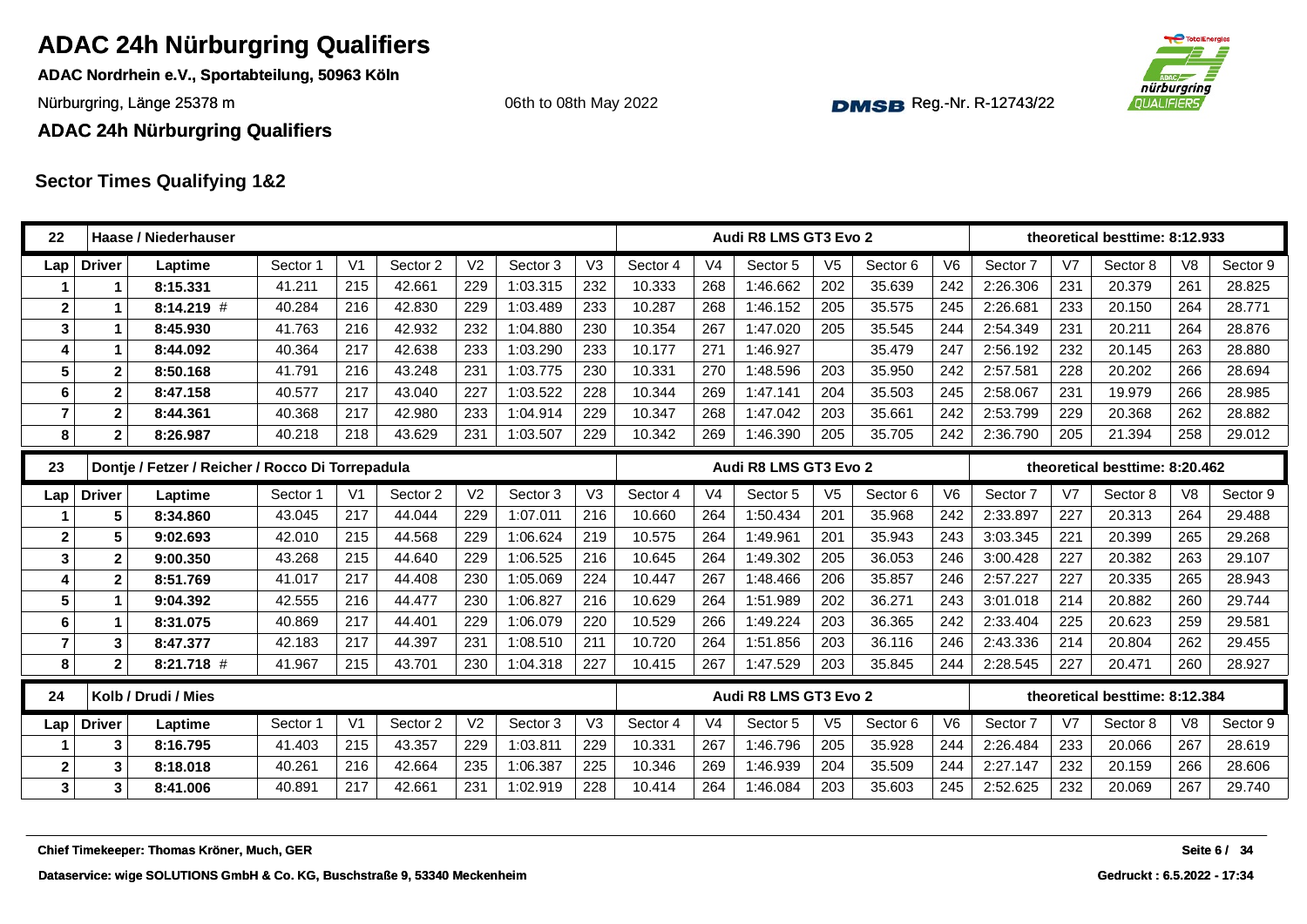**ADAC Nordrhein e.V., Sportabteilung, 50963 Köln**

Nürburgring, Länge 25378 m and the Communication of the Communication of the Communication of the Communication of the Communication of the Communication of the Communication of the Communication of the Communication of th

06th to 08th May 2022



**ADAC 24h Nürburgring Qualifiers**

| V <sub>2</sub><br>V <sub>1</sub><br>Sector 2<br>V3<br>V <sub>4</sub><br>V <sub>5</sub><br>V <sub>6</sub><br>V <sub>7</sub><br><b>Driver</b><br>Sector 3<br>Sector 4<br>Sector 5<br>Sector 6<br>Sector 8<br>V <sub>8</sub><br>Laptime<br>Sector 1<br>Sector 7<br>Lap<br>41.211<br>215<br>42.661<br>229<br>1:03.315<br>232<br>10.333<br>268<br>1:46.662<br>202<br>35.639<br>242<br>2:26.306<br>231<br>20.379<br>261<br>8:15.331<br>1<br>42.830<br>$\mathbf{2}$<br>$8:14.219$ #<br>40.284<br>216<br>229<br>1:03.489<br>233<br>10.287<br>268<br>1:46.152<br>205<br>35.575<br>245<br>2:26.681<br>233<br>20.150<br>264<br>41.763<br>216<br>42.932<br>232<br>1:04.880<br>230<br>10.354<br>267<br>1:47.020<br>205<br>35.545<br>244<br>2:54.349<br>231<br>20.211<br>264<br>3<br>8:45.930<br>1<br>42.638<br>233<br>1:03.290<br>1:46.927<br>35.479<br>247<br>2:56.192<br>8:44.092<br>40.364<br>217<br>233<br>10.177<br>271<br>232<br>20.145<br>263<br>4<br>1<br>43.248<br>231<br>1:03.775<br>1:48.596<br>203<br>35.950<br>2:57.581<br>20.202<br>5<br>41.791<br>216<br>230<br>10.331<br>270<br>242<br>228<br>266<br>$\mathbf{2}$<br>8:50.168<br>1:47.141<br>2:58.067<br>40.577<br>217<br>43.040<br>227<br>1:03.522<br>228<br>10.344<br>269<br>204<br>35.503<br>245<br>231<br>19.979<br>266<br>6<br>$\mathbf{2}$<br>8:47.158<br>$\overline{7}$<br>2:53.799<br>$\mathbf{2}$<br>8:44.361<br>40.368<br>217<br>42.980<br>233<br>1:04.914<br>229<br>10.347<br>268<br>1:47.042<br>203<br>35.661<br>242<br>229<br>20.368<br>262<br>40.218<br>218<br>43.629<br>231<br>1:03.507<br>229<br>10.342<br>269<br>1:46.390<br>205<br>35.705<br>242<br>2:36.790<br>205<br>21.394<br>258<br>8<br>$\mathbf{2}$<br>8:26.987<br>Dontje / Fetzer / Reicher / Rocco Di Torrepadula<br>23<br>Audi R8 LMS GT3 Evo 2<br>theoretical besttime: 8:20.462<br>V <sub>2</sub><br>V <sub>6</sub><br>Sector 2<br>Sector 3<br>V <sub>3</sub><br>Sector 4<br>V <sub>4</sub><br>Sector 5<br>V <sub>5</sub><br>Sector 6<br>V <sub>7</sub><br>Sector 8<br>V <sub>8</sub><br>Sector 1<br>V <sub>1</sub><br>Sector 7<br><b>Driver</b><br>Laptime<br>Lap<br>217<br>229<br>43.045<br>44.044<br>1:07.011<br>216<br>10.660<br>264<br>1:50.434<br>201<br>35.968<br>242<br>2:33.897<br>227<br>20.313<br>264<br>5<br>8:34.860<br>1:06.624<br>3:03.345<br>42.010<br>215<br>44.568<br>229<br>219<br>10.575<br>264<br>1:49.961<br>201<br>35.943<br>243<br>221<br>265<br>$\mathbf{2}$<br>9:02.693<br>20.399<br>5<br>215<br>44.640<br>229<br>1:06.525<br>10.645<br>1:49.302<br>36.053<br>3:00.428<br>227<br>3<br>$\boldsymbol{2}$<br>43.268<br>216<br>264<br>205<br>246<br>20.382<br>263<br>9:00.350<br>217<br>44.408<br>230<br>1:05.069<br>224<br>1:48.466<br>206<br>35.857<br>246<br>2:57.227<br>227<br>4<br>$\mathbf{2}$<br>8:51.769<br>41.017<br>10.447<br>267<br>20.335<br>265<br>230<br>1:06.827<br>1:51.989<br>36.271<br>214<br>5<br>42.555<br>216<br>44.477<br>216<br>10.629<br>264<br>202<br>243<br>3:01.018<br>20.882<br>260<br>9:04.392<br>$\mathbf 1$<br>1:06.079<br>1:49.224<br>36.365<br>2:33.404<br>40.869<br>217<br>44.401<br>229<br>220<br>10.529<br>266<br>203<br>242<br>225<br>20.623<br>259<br>6<br>8:31.075<br>1<br>$\overline{7}$<br>217<br>44.397<br>231<br>1:08.510<br>211<br>10.720<br>1:51.856<br>203<br>36.116<br>2:43.336<br>214<br>3<br>42.183<br>264<br>246<br>20.804<br>262<br>8:47.377<br>215<br>43.701<br>227<br>203<br>2:28.545<br>227<br>8<br>$8:21.718$ #<br>41.967<br>230<br>1:04.318<br>10.415<br>267<br>1:47.529<br>35.845<br>244<br>20.471<br>260<br>$\mathbf{2}$<br>24<br>Kolb / Drudi / Mies<br>Audi R8 LMS GT3 Evo 2<br>theoretical besttime: 8:12.384 | theoretical besttime: 8:12.933 |
|----------------------------------------------------------------------------------------------------------------------------------------------------------------------------------------------------------------------------------------------------------------------------------------------------------------------------------------------------------------------------------------------------------------------------------------------------------------------------------------------------------------------------------------------------------------------------------------------------------------------------------------------------------------------------------------------------------------------------------------------------------------------------------------------------------------------------------------------------------------------------------------------------------------------------------------------------------------------------------------------------------------------------------------------------------------------------------------------------------------------------------------------------------------------------------------------------------------------------------------------------------------------------------------------------------------------------------------------------------------------------------------------------------------------------------------------------------------------------------------------------------------------------------------------------------------------------------------------------------------------------------------------------------------------------------------------------------------------------------------------------------------------------------------------------------------------------------------------------------------------------------------------------------------------------------------------------------------------------------------------------------------------------------------------------------------------------------------------------------------------------------------------------------------------------------------------------------------------------------------------------------------------------------------------------------------------------------------------------------------------------------------------------------------------------------------------------------------------------------------------------------------------------------------------------------------------------------------------------------------------------------------------------------------------------------------------------------------------------------------------------------------------------------------------------------------------------------------------------------------------------------------------------------------------------------------------------------------------------------------------------------------------------------------------------------------------------------------------------------------------------------------------------------------------------------------------------------------------------------------------------------------------------------------------------------------------------------------------------------------------------------------------------------------------------------------------------------------------------------------------------------------------------------------------------------------------------------------------------------------------------------|--------------------------------|
|                                                                                                                                                                                                                                                                                                                                                                                                                                                                                                                                                                                                                                                                                                                                                                                                                                                                                                                                                                                                                                                                                                                                                                                                                                                                                                                                                                                                                                                                                                                                                                                                                                                                                                                                                                                                                                                                                                                                                                                                                                                                                                                                                                                                                                                                                                                                                                                                                                                                                                                                                                                                                                                                                                                                                                                                                                                                                                                                                                                                                                                                                                                                                                                                                                                                                                                                                                                                                                                                                                                                                                                                                                  | Sector 9                       |
|                                                                                                                                                                                                                                                                                                                                                                                                                                                                                                                                                                                                                                                                                                                                                                                                                                                                                                                                                                                                                                                                                                                                                                                                                                                                                                                                                                                                                                                                                                                                                                                                                                                                                                                                                                                                                                                                                                                                                                                                                                                                                                                                                                                                                                                                                                                                                                                                                                                                                                                                                                                                                                                                                                                                                                                                                                                                                                                                                                                                                                                                                                                                                                                                                                                                                                                                                                                                                                                                                                                                                                                                                                  | 28.825                         |
|                                                                                                                                                                                                                                                                                                                                                                                                                                                                                                                                                                                                                                                                                                                                                                                                                                                                                                                                                                                                                                                                                                                                                                                                                                                                                                                                                                                                                                                                                                                                                                                                                                                                                                                                                                                                                                                                                                                                                                                                                                                                                                                                                                                                                                                                                                                                                                                                                                                                                                                                                                                                                                                                                                                                                                                                                                                                                                                                                                                                                                                                                                                                                                                                                                                                                                                                                                                                                                                                                                                                                                                                                                  | 28.771                         |
|                                                                                                                                                                                                                                                                                                                                                                                                                                                                                                                                                                                                                                                                                                                                                                                                                                                                                                                                                                                                                                                                                                                                                                                                                                                                                                                                                                                                                                                                                                                                                                                                                                                                                                                                                                                                                                                                                                                                                                                                                                                                                                                                                                                                                                                                                                                                                                                                                                                                                                                                                                                                                                                                                                                                                                                                                                                                                                                                                                                                                                                                                                                                                                                                                                                                                                                                                                                                                                                                                                                                                                                                                                  | 28.876                         |
|                                                                                                                                                                                                                                                                                                                                                                                                                                                                                                                                                                                                                                                                                                                                                                                                                                                                                                                                                                                                                                                                                                                                                                                                                                                                                                                                                                                                                                                                                                                                                                                                                                                                                                                                                                                                                                                                                                                                                                                                                                                                                                                                                                                                                                                                                                                                                                                                                                                                                                                                                                                                                                                                                                                                                                                                                                                                                                                                                                                                                                                                                                                                                                                                                                                                                                                                                                                                                                                                                                                                                                                                                                  | 28.880                         |
|                                                                                                                                                                                                                                                                                                                                                                                                                                                                                                                                                                                                                                                                                                                                                                                                                                                                                                                                                                                                                                                                                                                                                                                                                                                                                                                                                                                                                                                                                                                                                                                                                                                                                                                                                                                                                                                                                                                                                                                                                                                                                                                                                                                                                                                                                                                                                                                                                                                                                                                                                                                                                                                                                                                                                                                                                                                                                                                                                                                                                                                                                                                                                                                                                                                                                                                                                                                                                                                                                                                                                                                                                                  | 28.694                         |
|                                                                                                                                                                                                                                                                                                                                                                                                                                                                                                                                                                                                                                                                                                                                                                                                                                                                                                                                                                                                                                                                                                                                                                                                                                                                                                                                                                                                                                                                                                                                                                                                                                                                                                                                                                                                                                                                                                                                                                                                                                                                                                                                                                                                                                                                                                                                                                                                                                                                                                                                                                                                                                                                                                                                                                                                                                                                                                                                                                                                                                                                                                                                                                                                                                                                                                                                                                                                                                                                                                                                                                                                                                  | 28.985                         |
|                                                                                                                                                                                                                                                                                                                                                                                                                                                                                                                                                                                                                                                                                                                                                                                                                                                                                                                                                                                                                                                                                                                                                                                                                                                                                                                                                                                                                                                                                                                                                                                                                                                                                                                                                                                                                                                                                                                                                                                                                                                                                                                                                                                                                                                                                                                                                                                                                                                                                                                                                                                                                                                                                                                                                                                                                                                                                                                                                                                                                                                                                                                                                                                                                                                                                                                                                                                                                                                                                                                                                                                                                                  | 28.882                         |
|                                                                                                                                                                                                                                                                                                                                                                                                                                                                                                                                                                                                                                                                                                                                                                                                                                                                                                                                                                                                                                                                                                                                                                                                                                                                                                                                                                                                                                                                                                                                                                                                                                                                                                                                                                                                                                                                                                                                                                                                                                                                                                                                                                                                                                                                                                                                                                                                                                                                                                                                                                                                                                                                                                                                                                                                                                                                                                                                                                                                                                                                                                                                                                                                                                                                                                                                                                                                                                                                                                                                                                                                                                  | 29.012                         |
|                                                                                                                                                                                                                                                                                                                                                                                                                                                                                                                                                                                                                                                                                                                                                                                                                                                                                                                                                                                                                                                                                                                                                                                                                                                                                                                                                                                                                                                                                                                                                                                                                                                                                                                                                                                                                                                                                                                                                                                                                                                                                                                                                                                                                                                                                                                                                                                                                                                                                                                                                                                                                                                                                                                                                                                                                                                                                                                                                                                                                                                                                                                                                                                                                                                                                                                                                                                                                                                                                                                                                                                                                                  |                                |
|                                                                                                                                                                                                                                                                                                                                                                                                                                                                                                                                                                                                                                                                                                                                                                                                                                                                                                                                                                                                                                                                                                                                                                                                                                                                                                                                                                                                                                                                                                                                                                                                                                                                                                                                                                                                                                                                                                                                                                                                                                                                                                                                                                                                                                                                                                                                                                                                                                                                                                                                                                                                                                                                                                                                                                                                                                                                                                                                                                                                                                                                                                                                                                                                                                                                                                                                                                                                                                                                                                                                                                                                                                  | Sector 9                       |
|                                                                                                                                                                                                                                                                                                                                                                                                                                                                                                                                                                                                                                                                                                                                                                                                                                                                                                                                                                                                                                                                                                                                                                                                                                                                                                                                                                                                                                                                                                                                                                                                                                                                                                                                                                                                                                                                                                                                                                                                                                                                                                                                                                                                                                                                                                                                                                                                                                                                                                                                                                                                                                                                                                                                                                                                                                                                                                                                                                                                                                                                                                                                                                                                                                                                                                                                                                                                                                                                                                                                                                                                                                  | 29.488                         |
|                                                                                                                                                                                                                                                                                                                                                                                                                                                                                                                                                                                                                                                                                                                                                                                                                                                                                                                                                                                                                                                                                                                                                                                                                                                                                                                                                                                                                                                                                                                                                                                                                                                                                                                                                                                                                                                                                                                                                                                                                                                                                                                                                                                                                                                                                                                                                                                                                                                                                                                                                                                                                                                                                                                                                                                                                                                                                                                                                                                                                                                                                                                                                                                                                                                                                                                                                                                                                                                                                                                                                                                                                                  | 29.268                         |
|                                                                                                                                                                                                                                                                                                                                                                                                                                                                                                                                                                                                                                                                                                                                                                                                                                                                                                                                                                                                                                                                                                                                                                                                                                                                                                                                                                                                                                                                                                                                                                                                                                                                                                                                                                                                                                                                                                                                                                                                                                                                                                                                                                                                                                                                                                                                                                                                                                                                                                                                                                                                                                                                                                                                                                                                                                                                                                                                                                                                                                                                                                                                                                                                                                                                                                                                                                                                                                                                                                                                                                                                                                  | 29.107                         |
|                                                                                                                                                                                                                                                                                                                                                                                                                                                                                                                                                                                                                                                                                                                                                                                                                                                                                                                                                                                                                                                                                                                                                                                                                                                                                                                                                                                                                                                                                                                                                                                                                                                                                                                                                                                                                                                                                                                                                                                                                                                                                                                                                                                                                                                                                                                                                                                                                                                                                                                                                                                                                                                                                                                                                                                                                                                                                                                                                                                                                                                                                                                                                                                                                                                                                                                                                                                                                                                                                                                                                                                                                                  | 28.943                         |
|                                                                                                                                                                                                                                                                                                                                                                                                                                                                                                                                                                                                                                                                                                                                                                                                                                                                                                                                                                                                                                                                                                                                                                                                                                                                                                                                                                                                                                                                                                                                                                                                                                                                                                                                                                                                                                                                                                                                                                                                                                                                                                                                                                                                                                                                                                                                                                                                                                                                                                                                                                                                                                                                                                                                                                                                                                                                                                                                                                                                                                                                                                                                                                                                                                                                                                                                                                                                                                                                                                                                                                                                                                  | 29.744                         |
|                                                                                                                                                                                                                                                                                                                                                                                                                                                                                                                                                                                                                                                                                                                                                                                                                                                                                                                                                                                                                                                                                                                                                                                                                                                                                                                                                                                                                                                                                                                                                                                                                                                                                                                                                                                                                                                                                                                                                                                                                                                                                                                                                                                                                                                                                                                                                                                                                                                                                                                                                                                                                                                                                                                                                                                                                                                                                                                                                                                                                                                                                                                                                                                                                                                                                                                                                                                                                                                                                                                                                                                                                                  | 29.581                         |
|                                                                                                                                                                                                                                                                                                                                                                                                                                                                                                                                                                                                                                                                                                                                                                                                                                                                                                                                                                                                                                                                                                                                                                                                                                                                                                                                                                                                                                                                                                                                                                                                                                                                                                                                                                                                                                                                                                                                                                                                                                                                                                                                                                                                                                                                                                                                                                                                                                                                                                                                                                                                                                                                                                                                                                                                                                                                                                                                                                                                                                                                                                                                                                                                                                                                                                                                                                                                                                                                                                                                                                                                                                  | 29.455                         |
|                                                                                                                                                                                                                                                                                                                                                                                                                                                                                                                                                                                                                                                                                                                                                                                                                                                                                                                                                                                                                                                                                                                                                                                                                                                                                                                                                                                                                                                                                                                                                                                                                                                                                                                                                                                                                                                                                                                                                                                                                                                                                                                                                                                                                                                                                                                                                                                                                                                                                                                                                                                                                                                                                                                                                                                                                                                                                                                                                                                                                                                                                                                                                                                                                                                                                                                                                                                                                                                                                                                                                                                                                                  | 28.927                         |
|                                                                                                                                                                                                                                                                                                                                                                                                                                                                                                                                                                                                                                                                                                                                                                                                                                                                                                                                                                                                                                                                                                                                                                                                                                                                                                                                                                                                                                                                                                                                                                                                                                                                                                                                                                                                                                                                                                                                                                                                                                                                                                                                                                                                                                                                                                                                                                                                                                                                                                                                                                                                                                                                                                                                                                                                                                                                                                                                                                                                                                                                                                                                                                                                                                                                                                                                                                                                                                                                                                                                                                                                                                  |                                |
| V <sub>1</sub><br>V <sub>2</sub><br>V <sub>5</sub><br>V <sub>6</sub><br>V <sub>7</sub><br>Sector 2<br>Sector 3<br>V <sub>3</sub><br>Sector 4<br>V <sub>4</sub><br>Sector 5<br>Sector <sub>6</sub><br>Sector 7<br>Sector 8<br>V <sub>8</sub><br><b>Driver</b><br>Sector 1<br>Laptime<br>Lap                                                                                                                                                                                                                                                                                                                                                                                                                                                                                                                                                                                                                                                                                                                                                                                                                                                                                                                                                                                                                                                                                                                                                                                                                                                                                                                                                                                                                                                                                                                                                                                                                                                                                                                                                                                                                                                                                                                                                                                                                                                                                                                                                                                                                                                                                                                                                                                                                                                                                                                                                                                                                                                                                                                                                                                                                                                                                                                                                                                                                                                                                                                                                                                                                                                                                                                                       | Sector 9                       |
| 43.357<br>215<br>229<br>1:03.811<br>229<br>10.331<br>1:46.796<br>205<br>35.928<br>2:26.484<br>233<br>20.066<br>267<br>3<br>8:16.795<br>41.403<br>267<br>244                                                                                                                                                                                                                                                                                                                                                                                                                                                                                                                                                                                                                                                                                                                                                                                                                                                                                                                                                                                                                                                                                                                                                                                                                                                                                                                                                                                                                                                                                                                                                                                                                                                                                                                                                                                                                                                                                                                                                                                                                                                                                                                                                                                                                                                                                                                                                                                                                                                                                                                                                                                                                                                                                                                                                                                                                                                                                                                                                                                                                                                                                                                                                                                                                                                                                                                                                                                                                                                                      | 28.619                         |
| 42.664<br>1:06.387<br>$\overline{2}$<br>40.261<br>216<br>235<br>225<br>10.346<br>269<br>1:46.939<br>204<br>35.509<br>244<br>2:27.147<br>232<br>20.159<br>266<br>3<br>8:18.018                                                                                                                                                                                                                                                                                                                                                                                                                                                                                                                                                                                                                                                                                                                                                                                                                                                                                                                                                                                                                                                                                                                                                                                                                                                                                                                                                                                                                                                                                                                                                                                                                                                                                                                                                                                                                                                                                                                                                                                                                                                                                                                                                                                                                                                                                                                                                                                                                                                                                                                                                                                                                                                                                                                                                                                                                                                                                                                                                                                                                                                                                                                                                                                                                                                                                                                                                                                                                                                    | 28,606                         |
| $\mathbf{3}$<br>3<br>42.661<br>228<br>203<br>2:52.625<br>232<br>8:41.006<br>40.891<br>217<br>231<br>1:02.919<br>10.414<br>264<br>1:46.084<br>35.603<br>245<br>20.069<br>267                                                                                                                                                                                                                                                                                                                                                                                                                                                                                                                                                                                                                                                                                                                                                                                                                                                                                                                                                                                                                                                                                                                                                                                                                                                                                                                                                                                                                                                                                                                                                                                                                                                                                                                                                                                                                                                                                                                                                                                                                                                                                                                                                                                                                                                                                                                                                                                                                                                                                                                                                                                                                                                                                                                                                                                                                                                                                                                                                                                                                                                                                                                                                                                                                                                                                                                                                                                                                                                      | 29.740                         |
|                                                                                                                                                                                                                                                                                                                                                                                                                                                                                                                                                                                                                                                                                                                                                                                                                                                                                                                                                                                                                                                                                                                                                                                                                                                                                                                                                                                                                                                                                                                                                                                                                                                                                                                                                                                                                                                                                                                                                                                                                                                                                                                                                                                                                                                                                                                                                                                                                                                                                                                                                                                                                                                                                                                                                                                                                                                                                                                                                                                                                                                                                                                                                                                                                                                                                                                                                                                                                                                                                                                                                                                                                                  |                                |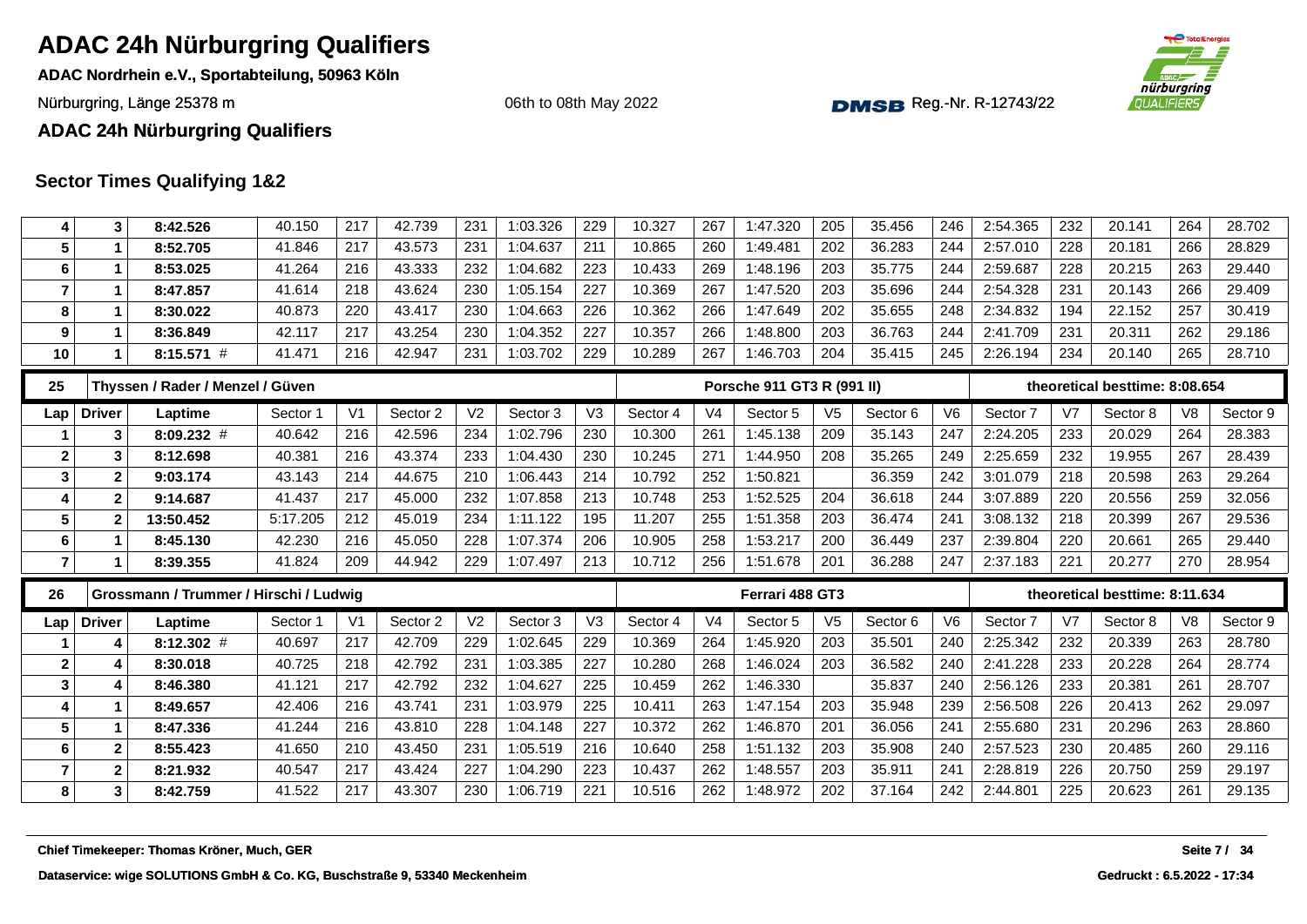**ADAC Nordrhein e.V., Sportabteilung, 50963 Köln**

Nürburgring, Länge 25378 m and the Communication of the Communication of the Communication of the Communication of the Communication of the Communication of the Communication of the Communication of the Communication of th

06th to 08th May 2022



#### **ADAC 24h Nürburgring Qualifiers**

| 4                       | 3             | 8:42.526                                   | 40.150   | 217            | 42.739   | 231            | 1:03.326 | 229            | 10.327   | 267            | 1:47.320                   | 205            | 35.456   | 246            | 2:54.365 | 232            | 20.141                         | 264 | 28.702       |
|-------------------------|---------------|--------------------------------------------|----------|----------------|----------|----------------|----------|----------------|----------|----------------|----------------------------|----------------|----------|----------------|----------|----------------|--------------------------------|-----|--------------|
| 5                       | $\mathbf 1$   | 8:52.705                                   | 41.846   | 217            | 43.573   | 231            | 1:04.637 | 211            | 10.865   | 260            | 1:49.481                   | 202            | 36.283   | 244            | 2:57.010 | 228            | 20.181                         | 266 | 28.829       |
| 6                       | 1             | 8:53.025                                   | 41.264   | 216            | 43.333   | 232            | 1:04.682 | 223            | 10.433   | 269            | 1:48.196                   | 203            | 35.775   | 244            | 2:59.687 | 228            | 20.215                         | 263 | 29.440       |
| $\overline{7}$          | $\mathbf 1$   | 8:47.857                                   | 41.614   | 218            | 43.624   | 230            | 1:05.154 | 227            | 10.369   | 267            | 1:47.520                   | 203            | 35.696   | 244            | 2:54.328 | 231            | 20.143                         | 266 | 29.409       |
| 8                       | 1             | 8:30.022                                   | 40.873   | 220            | 43.417   | 230            | 1:04.663 | 226            | 10.362   | 266            | 1:47.649                   | 202            | 35.655   | 248            | 2:34.832 | 194            | 22.152                         | 257 | 30.419       |
| 9                       | $\mathbf 1$   | 8:36.849                                   | 42.117   | 217            | 43.254   | 230            | 1:04.352 | 227            | 10.357   | 266            | 1:48.800                   | 203            | 36.763   | 244            | 2:41.709 | 231            | 20.311                         | 262 | 29.186       |
| 10                      |               | $8:15.571$ #                               | 41.471   | 216            | 42.947   | 231            | 1:03.702 | 229            | 10.289   | 267            | 1:46.703                   | 204            | 35.415   | 245            | 2:26.194 | 234            | 20.140                         | 265 | 28.710       |
| 25                      |               | Thyssen / Rader / Menzel / Güven           |          |                |          |                |          |                |          |                | Porsche 911 GT3 R (991 II) |                |          |                |          |                | theoretical besttime: 8:08.654 |     |              |
| Lap                     | <b>Driver</b> | Laptime                                    | Sector 1 | V <sub>1</sub> | Sector 2 | V <sub>2</sub> | Sector 3 | V <sub>3</sub> | Sector 4 | V <sub>4</sub> | Sector 5                   | V <sub>5</sub> | Sector 6 | V <sub>6</sub> | Sector 7 | V <sub>7</sub> | Sector 8                       | V8  | Sector 9     |
|                         | 3             | $8:09.232$ #                               | 40.642   | 216            | 42.596   | 234            | 1:02.796 | 230            | 10.300   | 261            | 1:45.138                   | 209            | 35.143   | 247            | 2:24.205 | 233            | 20.029                         | 264 | 28.383       |
| $\mathbf{2}$            | 3             | 8:12.698                                   | 40.381   | 216            | 43.374   | 233            | 1:04.430 | 230            | 10.245   | 271            | 1:44.950                   | 208            | 35.265   | 249            | 2:25.659 | 232            | 19.955                         | 267 | 28.439       |
| 3                       | $\mathbf{2}$  | 9:03.174                                   | 43.143   | 214            | 44.675   | 210            | 1:06.443 | 214            | 10.792   | 252            | 1:50.821                   |                | 36.359   | 242            | 3:01.079 | 218            | 20.598                         | 263 | 29.264       |
| 4                       | $\mathbf{2}$  | 9:14.687                                   | 41.437   | 217            | 45.000   | 232            | 1:07.858 | 213            | 10.748   | 253            | 1:52.525                   | 204            | 36.618   | 244            | 3:07.889 | 220            | 20.556                         | 259 | 32.056       |
| 5                       | $\mathbf{2}$  | 13:50.452                                  | 5:17.205 | 212            | 45.019   | 234            | 1:11.122 | 195            | 11.207   | 255            | 1:51.358                   | 203            | 36.474   | 241            | 3:08.132 | 218            | 20.399                         | 267 | 29.536       |
| 6                       |               | 8:45.130                                   | 42.230   | 216            | 45.050   | 228            | 1:07.374 | 206            | 10.905   | 258            | 1:53.217                   | 200            | 36.449   | 237            | 2:39.804 | 220            | 20.661                         | 265 | 29.440       |
| 7                       | 1             | 8:39.355                                   | 41.824   | 209            | 44.942   | 229            | 1:07.497 | 213            | 10.712   | 256            | 1:51.678                   | 201            | 36.288   | 247            | 2:37.183 | 221            | 20.277                         | 270 | 28.954       |
| 26                      |               | Grossmann / Trummer / Hirschi / Ludwig     |          |                |          |                |          |                |          |                | Ferrari 488 GT3            |                |          |                |          |                | theoretical besttime: 8:11.634 |     |              |
| Lap                     | <b>Driver</b> | Laptime                                    | Sector 1 | V <sub>1</sub> | Sector 2 | V <sub>2</sub> | Sector 3 | V3             | Sector 4 | V <sub>4</sub> | Sector 5                   | V <sub>5</sub> | Sector 6 | V <sub>6</sub> | Sector 7 | V7             | Sector 8                       | V8  | Sector 9     |
|                         | 4             | $8:12.302$ #                               | 40.697   | 217            | 42.709   | 229            | 1:02.645 | 229            | 10.369   | 264            | 1:45.920                   | 203            | 35.501   | 240            | 2:25.342 | 232            | 20.339                         | 263 | 28.780       |
| $\mathbf{2}$            | 4             | 8:30.018                                   | 40.725   | 218            | 42.792   | 231            | 1:03.385 | 227            | 10.280   | 268            | 1:46.024                   | 203            | 36.582   | 240            | 2:41.228 | 233            | 20.228                         | 264 | 28.774       |
| $\mathbf{3}$            | 4             | 8:46.380                                   | 41.121   | 217            | 42.792   | 232            | 1:04.627 | 225            | 10.459   | 262            | 1:46.330                   |                | 35.837   | 240            | 2:56.126 | 233            | 20.381                         | 261 | 28.707       |
| 4                       |               | 8:49.657                                   | 42.406   | 216            | 43.741   | 231            | 1:03.979 | 225            | 10.411   | 263            | 1:47.154                   | 203            | 35.948   | 239            | 2:56.508 | 226            | 20.413                         | 262 | 29.097       |
| $5\phantom{a}$          | 1             | 8:47.336                                   | 41.244   | 216            | 43.810   | 228            | 1:04.148 | 227            | 10.372   | 262            | 1:46.870                   | 201            | 36.056   | 241            | 2:55.680 | 231            | 20.296                         | 263 | 28.860       |
| 6                       | $\mathbf{2}$  | 8:55.423                                   | 41.650   | 210            | 43.450   | 231            | 1:05.519 | 216            | 10.640   | 258            | 1:51.132                   | 203            | 35.908   | 240            | 2:57.523 | 230            | 20.485                         | 260 | 29.116       |
| $\overline{\mathbf{r}}$ | $\mathbf 2$   | 8:21.932                                   | 40.547   | 217            | 43.424   | 227            | 1:04.290 | 223            | 10.437   | 262            | 1:48.557                   | 203            | 35.911   | 241            | 2:28.819 | 226            | 20.750                         | 259 | 29.197       |
| 8                       | 3             | 8:42.759                                   | 41.522   | 217            | 43.307   | 230            | 1:06.719 | 221            | 10.516   | 262            | 1:48.972                   | 202            | 37.164   | 242            | 2:44.801 | 225            | 20.623                         | 261 | 29.135       |
|                         |               | Chief Timekeeper: Thomas Kröner, Much, GER |          |                |          |                |          |                |          |                |                            |                |          |                |          |                |                                |     | Seite 7 / 34 |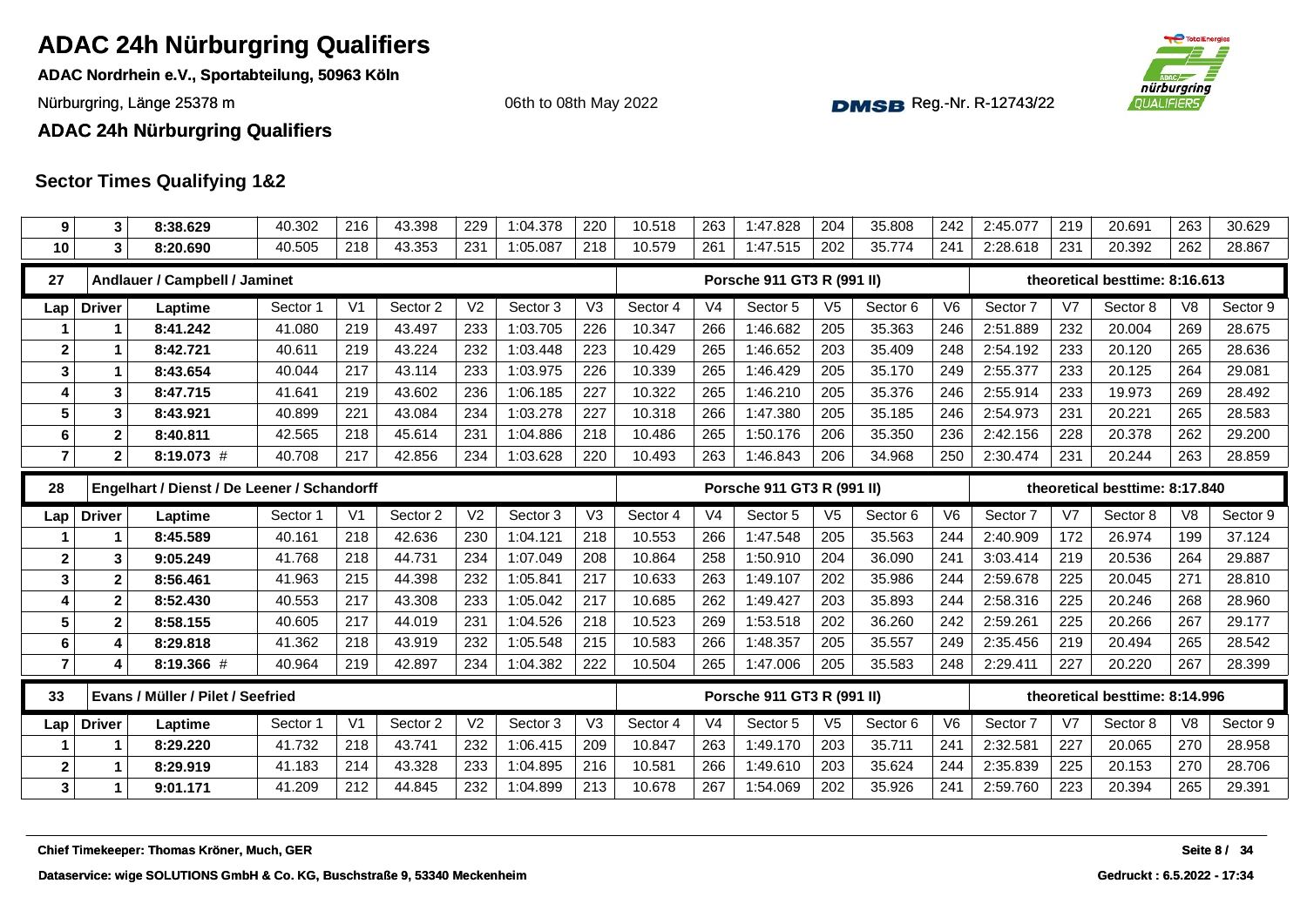**ADAC Nordrhein e.V., Sportabteilung, 50963 Köln**

Nürburgring, Länge 25378 m and the Communication of the Communication of the Communication of the Communication of the Communication of the Communication of the Communication of the Communication of the Communication of th

06th to 08th May 2022



**ADAC 24h Nürburgring Qualifiers**

| 9                | 3             | 8:38.629                                    | 40.302   | 216            | 43.398   | 229            | 1:04.378 | 220 | 10.518   | 263            | 1:47.828                   | 204            | 35.808   | 242            | 2:45.077 | 219            | 20.691                         | 263            | 30.629       |
|------------------|---------------|---------------------------------------------|----------|----------------|----------|----------------|----------|-----|----------|----------------|----------------------------|----------------|----------|----------------|----------|----------------|--------------------------------|----------------|--------------|
| 10               | 3             | 8:20.690                                    | 40.505   | 218            | 43.353   | 231            | 1:05.087 | 218 | 10.579   | 261            | 1:47.515                   | 202            | 35.774   | 241            | 2:28.618 | 231            | 20.392                         | 262            | 28.867       |
| 27               |               | Andlauer / Campbell / Jaminet               |          |                |          |                |          |     |          |                | Porsche 911 GT3 R (991 II) |                |          |                |          |                | theoretical besttime: 8:16.613 |                |              |
| Lap              | <b>Driver</b> | Laptime                                     | Sector 1 | V <sub>1</sub> | Sector 2 | V <sub>2</sub> | Sector 3 | V3  | Sector 4 | V <sub>4</sub> | Sector 5                   | V <sub>5</sub> | Sector 6 | V <sub>6</sub> | Sector 7 | V <sub>7</sub> | Sector 8                       | V <sub>8</sub> | Sector 9     |
|                  |               | 8:41.242                                    | 41.080   | 219            | 43.497   | 233            | 1:03.705 | 226 | 10.347   | 266            | 1:46.682                   | 205            | 35.363   | 246            | 2:51.889 | 232            | 20.004                         | 269            | 28.675       |
| $\mathbf{2}$     | 1             | 8:42.721                                    | 40.611   | 219            | 43.224   | 232            | 1:03.448 | 223 | 10.429   | 265            | 1:46.652                   | 203            | 35.409   | 248            | 2:54.192 | 233            | 20.120                         | 265            | 28.636       |
| 3                | 1             | 8:43.654                                    | 40.044   | 217            | 43.114   | 233            | 1:03.975 | 226 | 10.339   | 265            | 1:46.429                   | 205            | 35.170   | 249            | 2:55.377 | 233            | 20.125                         | 264            | 29.081       |
| 4                | 3             | 8:47.715                                    | 41.641   | 219            | 43.602   | 236            | 1:06.185 | 227 | 10.322   | 265            | 1:46.210                   | 205            | 35.376   | 246            | 2:55.914 | 233            | 19.973                         | 269            | 28.492       |
| $5\phantom{1}$   | 3             | 8:43.921                                    | 40.899   | 221            | 43.084   | 234            | 1:03.278 | 227 | 10.318   | 266            | 1:47.380                   | 205            | 35.185   | 246            | 2:54.973 | 231            | 20.221                         | 265            | 28.583       |
| 6                | $\mathbf{2}$  | 8:40.811                                    | 42.565   | 218            | 45.614   | 231            | 1:04.886 | 218 | 10.486   | 265            | 1:50.176                   | 206            | 35.350   | 236            | 2:42.156 | 228            | 20.378                         | 262            | 29.200       |
| $\overline{7}$   | $\mathbf{2}$  | 8:19.073 #                                  | 40.708   | 217            | 42.856   | 234            | 1:03.628 | 220 | 10.493   | 263            | 1:46.843                   | 206            | 34.968   | 250            | 2:30.474 | 231            | 20.244                         | 263            | 28.859       |
| 28               |               | Engelhart / Dienst / De Leener / Schandorff |          |                |          |                |          |     |          |                | Porsche 911 GT3 R (991 II) |                |          |                |          |                | theoretical besttime: 8:17.840 |                |              |
| Lap              | <b>Driver</b> | Laptime                                     | Sector 1 | V <sub>1</sub> | Sector 2 | V <sub>2</sub> | Sector 3 | V3  | Sector 4 | V <sub>4</sub> | Sector 5                   | V <sub>5</sub> | Sector 6 | V <sub>6</sub> | Sector 7 | V7             | Sector 8                       | V <sub>8</sub> | Sector 9     |
|                  | 1             | 8:45.589                                    | 40.161   | 218            | 42.636   | 230            | 1:04.121 | 218 | 10.553   | 266            | 1:47.548                   | 205            | 35.563   | 244            | 2:40.909 | 172            | 26.974                         | 199            | 37.124       |
| $\boldsymbol{2}$ | 3             | 9:05.249                                    | 41.768   | 218            | 44.731   | 234            | 1:07.049 | 208 | 10.864   | 258            | 1:50.910                   | 204            | 36.090   | 241            | 3:03.414 | 219            | 20.536                         | 264            | 29.887       |
| $\mathbf{3}$     | $\mathbf{2}$  | 8:56.461                                    | 41.963   | 215            | 44.398   | 232            | 1:05.841 | 217 | 10.633   | 263            | 1:49.107                   | 202            | 35.986   | 244            | 2:59.678 | 225            | 20.045                         | 271            | 28.810       |
| 4                | $\mathbf{2}$  | 8:52.430                                    | 40.553   | 217            | 43.308   | 233            | 1:05.042 | 217 | 10.685   | 262            | 1:49.427                   | 203            | 35.893   | 244            | 2:58.316 | 225            | 20.246                         | 268            | 28.960       |
| 5                | $\mathbf{2}$  | 8:58.155                                    | 40.605   | 217            | 44.019   | 231            | 1:04.526 | 218 | 10.523   | 269            | 1:53.518                   | 202            | 36.260   | 242            | 2:59.261 | 225            | 20.266                         | 267            | 29.177       |
| 6                | 4             | 8:29.818                                    | 41.362   | 218            | 43.919   | 232            | 1:05.548 | 215 | 10.583   | 266            | 1:48.357                   | 205            | 35.557   | 249            | 2:35.456 | 219            | 20.494                         | 265            | 28.542       |
| $\overline{7}$   | 4             | 8:19.366 #                                  | 40.964   | 219            | 42.897   | 234            | 1:04.382 | 222 | 10.504   | 265            | 1:47.006                   | 205            | 35.583   | 248            | 2:29.411 | 227            | 20.220                         | 267            | 28.399       |
| 33               |               | Evans / Müller / Pilet / Seefried           |          |                |          |                |          |     |          |                | Porsche 911 GT3 R (991 II) |                |          |                |          |                | theoretical besttime: 8:14.996 |                |              |
| Lap              | <b>Driver</b> | Laptime                                     | Sector 1 | V <sub>1</sub> | Sector 2 | V <sub>2</sub> | Sector 3 | V3  | Sector 4 | V <sub>4</sub> | Sector 5                   | V <sub>5</sub> | Sector 6 | V <sub>6</sub> | Sector 7 | V <sub>7</sub> | Sector 8                       | V <sub>8</sub> | Sector 9     |
|                  |               | 8:29.220                                    | 41.732   | 218            | 43.741   | 232            | 1:06.415 | 209 | 10.847   | 263            | 1:49.170                   | 203            | 35.711   | 241            | 2:32.581 | 227            | 20.065                         | 270            | 28.958       |
| $\boldsymbol{2}$ | 1             | 8:29.919                                    | 41.183   | 214            | 43.328   | 233            | 1:04.895 | 216 | 10.581   | 266            | 1:49.610                   | 203            | 35.624   | 244            | 2:35.839 | 225            | 20.153                         | 270            | 28.706       |
| $\mathbf{3}$     | $\mathbf 1$   | 9:01.171                                    | 41.209   | 212            | 44.845   | 232            | 1:04.899 | 213 | 10.678   | 267            | 1:54.069                   | 202            | 35.926   | 241            | 2:59.760 | 223            | 20.394                         | 265            | 29.391       |
|                  |               |                                             |          |                |          |                |          |     |          |                |                            |                |          |                |          |                |                                |                |              |
|                  |               | Chief Timekeeper: Thomas Kröner, Much, GER  |          |                |          |                |          |     |          |                |                            |                |          |                |          |                |                                |                | Seite 8 / 34 |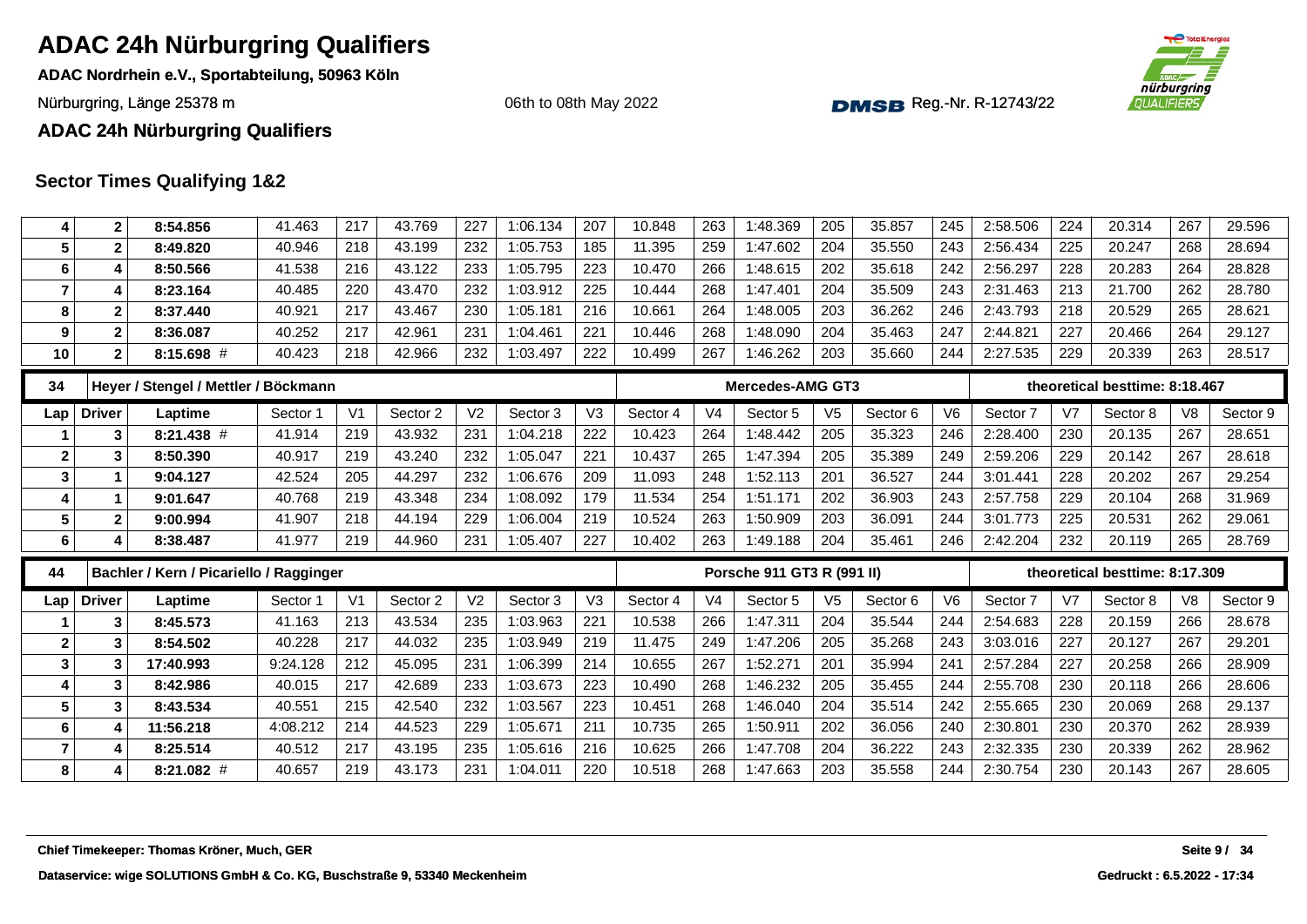**ADAC Nordrhein e.V., Sportabteilung, 50963 Köln**

Nürburgring, Länge 25378 m and the Communication of the Communication of the Communication of the Communication of the Communication of the Communication of the Communication of the Communication of the Communication of th

06th to 08th May 2022



**ADAC 24h Nürburgring Qualifiers**

| 4                | $\mathbf 2$      | 8:54.856                                   | 41.463   | 217            | 43.769   | 227            | 1:06.134 | 207            | 10.848   | 263            | 1:48.369                   | 205            | 35.857   | 245            | 2:58.506 | 224 | 20.314                         | 267            | 29.596       |
|------------------|------------------|--------------------------------------------|----------|----------------|----------|----------------|----------|----------------|----------|----------------|----------------------------|----------------|----------|----------------|----------|-----|--------------------------------|----------------|--------------|
| $5\phantom{.0}$  | $\mathbf 2$      | 8:49.820                                   | 40.946   | 218            | 43.199   | 232            | 1:05.753 | 185            | 11.395   | 259            | 1:47.602                   | 204            | 35.550   | 243            | 2:56.434 | 225 | 20.247                         | 268            | 28.694       |
| 6                | 4                | 8:50.566                                   | 41.538   | 216            | 43.122   | 233            | 1:05.795 | 223            | 10.470   | 266            | 1:48.615                   | 202            | 35.618   | 242            | 2:56.297 | 228 | 20.283                         | 264            | 28.828       |
| $\overline{7}$   | 4                | 8:23.164                                   | 40.485   | 220            | 43.470   | 232            | 1:03.912 | 225            | 10.444   | 268            | 1:47.401                   | 204            | 35.509   | 243            | 2:31.463 | 213 | 21.700                         | 262            | 28.780       |
| 8                | 2                | 8:37.440                                   | 40.921   | 217            | 43.467   | 230            | 1:05.181 | 216            | 10.661   | 264            | 1:48.005                   | 203            | 36.262   | 246            | 2:43.793 | 218 | 20.529                         | 265            | 28.621       |
| $\boldsymbol{9}$ | $\bf 2$          | 8:36.087                                   | 40.252   | 217            | 42.961   | 231            | 1:04.461 | 221            | 10.446   | 268            | 1:48.090                   | 204            | 35.463   | 247            | 2:44.821 | 227 | 20.466                         | 264            | 29.127       |
| 10               | $\mathbf{2}$     | 8:15.698 #                                 | 40.423   | 218            | 42.966   | 232            | 1:03.497 | 222            | 10.499   | 267            | 1:46.262                   | 203            | 35.660   | 244            | 2:27.535 | 229 | 20.339                         | 263            | 28.517       |
| 34               |                  | Heyer / Stengel / Mettler / Böckmann       |          |                |          |                |          |                |          |                | Mercedes-AMG GT3           |                |          |                |          |     | theoretical besttime: 8:18.467 |                |              |
| Lap              | <b>Driver</b>    | Laptime                                    | Sector 1 | V <sub>1</sub> | Sector 2 | V <sub>2</sub> | Sector 3 | V <sub>3</sub> | Sector 4 | V <sub>4</sub> | Sector 5                   | V <sub>5</sub> | Sector 6 | V6             | Sector 7 | V7  | Sector 8                       | V <sub>8</sub> | Sector 9     |
|                  | 3                | 8:21.438 #                                 | 41.914   | 219            | 43.932   | 231            | 1:04.218 | 222            | 10.423   | 264            | 1:48.442                   | 205            | 35.323   | 246            | 2:28.400 | 230 | 20.135                         | 267            | 28.651       |
| $\mathbf{2}$     | 3                | 8:50.390                                   | 40.917   | 219            | 43.240   | 232            | 1:05.047 | 221            | 10.437   | 265            | 1:47.394                   | 205            | 35.389   | 249            | 2:59.206 | 229 | 20.142                         | 267            | 28.618       |
| $\mathbf{3}$     | $\mathbf{1}$     | 9:04.127                                   | 42.524   | 205            | 44.297   | 232            | 1:06.676 | 209            | 11.093   | 248            | 1:52.113                   | 201            | 36.527   | 244            | 3:01.441 | 228 | 20.202                         | 267            | 29.254       |
| $\overline{4}$   | 1                | 9:01.647                                   | 40.768   | 219            | 43.348   | 234            | 1:08.092 | 179            | 11.534   | 254            | 1:51.171                   | 202            | 36.903   | 243            | 2:57.758 | 229 | 20.104                         | 268            | 31.969       |
| 5                | $\boldsymbol{2}$ | 9:00.994                                   | 41.907   | 218            | 44.194   | 229            | 1:06.004 | 219            | 10.524   | 263            | 1:50.909                   | 203            | 36.091   | 244            | 3:01.773 | 225 | 20.531                         | 262            | 29.061       |
| 6                | 4                | 8:38.487                                   | 41.977   | 219            | 44.960   | 231            | 1:05.407 | 227            | 10.402   | 263            | 1:49.188                   | 204            | 35.461   | 246            | 2:42.204 | 232 | 20.119                         | 265            | 28.769       |
| 44               |                  | Bachler / Kern / Picariello / Ragginger    |          |                |          |                |          |                |          |                | Porsche 911 GT3 R (991 II) |                |          |                |          |     | theoretical besttime: 8:17.309 |                |              |
| Lap              | <b>Driver</b>    | Laptime                                    | Sector 1 | V <sub>1</sub> | Sector 2 | V <sub>2</sub> | Sector 3 | V3             | Sector 4 | V <sub>4</sub> | Sector 5                   | V <sub>5</sub> | Sector 6 | V <sub>6</sub> | Sector 7 | V7  | Sector 8                       | V <sub>8</sub> | Sector 9     |
|                  | 3                | 8:45.573                                   | 41.163   | 213            | 43.534   | 235            | 1:03.963 | 221            | 10.538   | 266            | 1:47.311                   | 204            | 35.544   | 244            | 2:54.683 | 228 | 20.159                         | 266            | 28.678       |
| $\mathbf{2}$     | 3                | 8:54.502                                   | 40.228   | 217            | 44.032   | 235            | 1:03.949 | 219            | 11.475   | 249            | 1:47.206                   | 205            | 35.268   | 243            | 3:03.016 | 227 | 20.127                         | 267            | 29.201       |
| $\mathbf{3}$     | 3                | 17:40.993                                  | 9:24.128 | 212            | 45.095   | 231            | 1:06.399 | 214            | 10.655   | 267            | 1:52.271                   | 201            | 35.994   | 241            | 2:57.284 | 227 | 20.258                         | 266            | 28.909       |
| 4                | 3                | 8:42.986                                   | 40.015   | 217            | 42.689   | 233            | 1:03.673 | 223            | 10.490   | 268            | 1:46.232                   | 205            | 35.455   | 244            | 2:55.708 | 230 | 20.118                         | 266            | 28.606       |
| 5                | 3                | 8:43.534                                   | 40.551   | 215            | 42.540   | 232            | 1:03.567 | 223            | 10.451   | 268            | 1:46.040                   | 204            | 35.514   | 242            | 2:55.665 | 230 | 20.069                         | 268            | 29.137       |
| $\bf 6$          | 4                | 11:56.218                                  | 4:08.212 | 214            | 44.523   | 229            | 1:05.671 | 211            | 10.735   | 265            | 1:50.911                   | 202            | 36.056   | 240            | 2:30.801 | 230 | 20.370                         | 262            | 28.939       |
| $\overline{7}$   | 4                | 8:25.514                                   | 40.512   | 217            | 43.195   | 235            | 1:05.616 | 216            | 10.625   | 266            | 1:47.708                   | 204            | 36.222   | 243            | 2:32.335 | 230 | 20.339                         | 262            | 28.962       |
| 8                | 4                | $8:21.082$ #                               | 40.657   | 219            | 43.173   | 231            | 1:04.011 | 220            | 10.518   | 268            | 1:47.663                   | 203            | 35.558   | 244            | 2:30.754 | 230 | 20.143                         | 267            | 28.605       |
|                  |                  |                                            |          |                |          |                |          |                |          |                |                            |                |          |                |          |     |                                |                |              |
|                  |                  |                                            |          |                |          |                |          |                |          |                |                            |                |          |                |          |     |                                |                |              |
|                  |                  |                                            |          |                |          |                |          |                |          |                |                            |                |          |                |          |     |                                |                |              |
|                  |                  | Chief Timekeeper: Thomas Kröner, Much, GER |          |                |          |                |          |                |          |                |                            |                |          |                |          |     |                                |                | Seite 9 / 34 |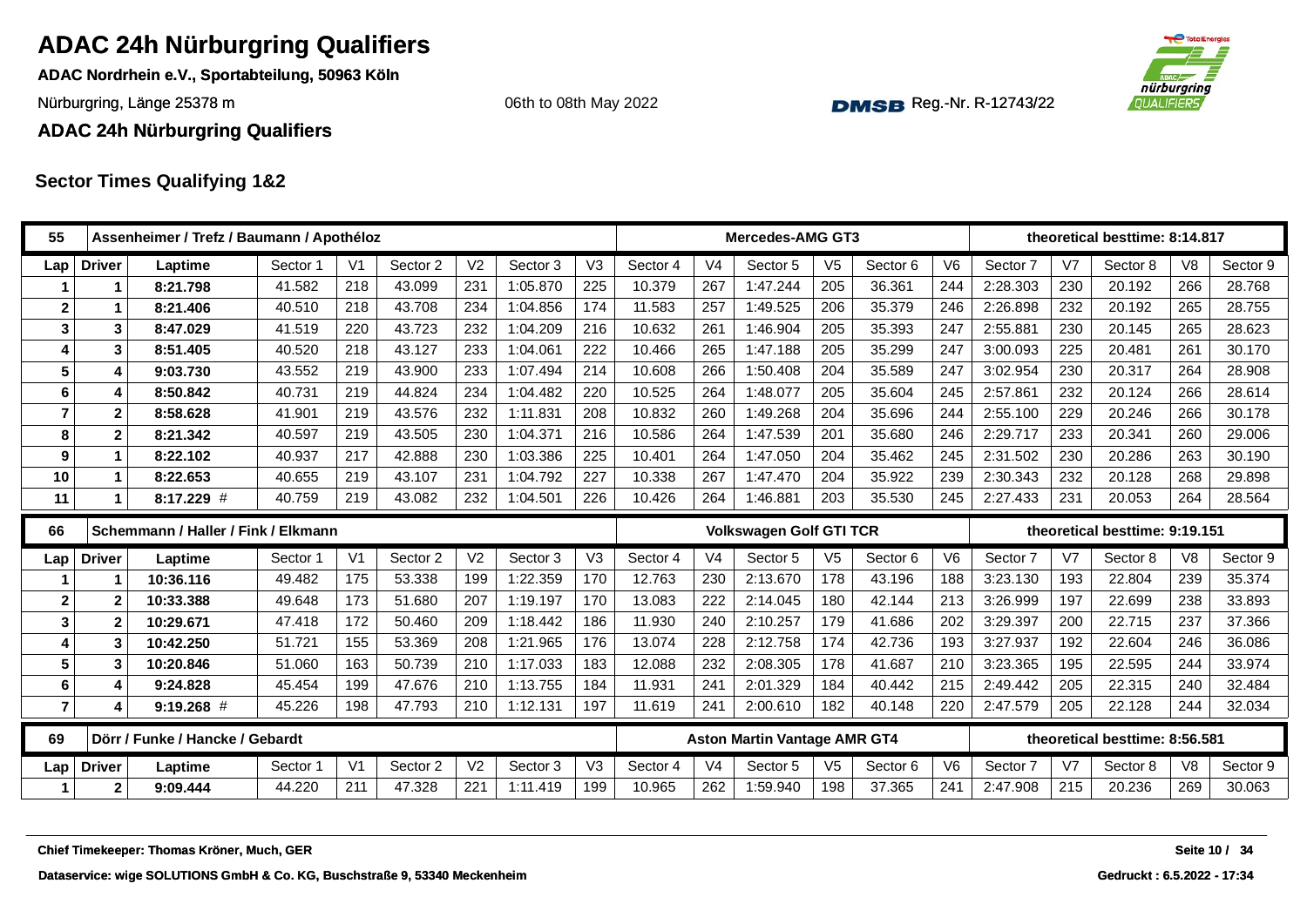**ADAC Nordrhein e.V., Sportabteilung, 50963 Köln**

Nürburgring, Länge 25378 m and the Communication of the Communication of the Communication of the Communication of the Communication of the Communication of the Communication of the Communication of the Communication of th

#### **ADAC 24h Nürburgring Qualifiers**

#### **Sector Times Qualifying 1&2**

| 55                      |                  | Assenheimer / Trefz / Baumann / Apothéloz |          |                |          |                |          |                |          |                | <b>Mercedes-AMG GT3</b>             |                |          |                |          |                | theoretical besttime: 8:14.817 |                |          |
|-------------------------|------------------|-------------------------------------------|----------|----------------|----------|----------------|----------|----------------|----------|----------------|-------------------------------------|----------------|----------|----------------|----------|----------------|--------------------------------|----------------|----------|
| Lap                     | <b>Driver</b>    | Laptime                                   | Sector 1 | V <sub>1</sub> | Sector 2 | V <sub>2</sub> | Sector 3 | V3             | Sector 4 | V <sub>4</sub> | Sector 5                            | V <sub>5</sub> | Sector 6 | V <sub>6</sub> | Sector 7 | V7             | Sector 8                       | V <sub>8</sub> | Sector 9 |
|                         | 1                | 8:21.798                                  | 41.582   | 218            | 43.099   | 231            | 1:05.870 | 225            | 10.379   | 267            | 1:47.244                            | 205            | 36.361   | 244            | 2:28.303 | 230            | 20.192                         | 266            | 28.768   |
| $\mathbf 2$             | 1                | 8:21.406                                  | 40.510   | 218            | 43.708   | 234            | 1:04.856 | 174            | 11.583   | 257            | 1:49.525                            | 206            | 35.379   | 246            | 2:26.898 | 232            | 20.192                         | 265            | 28.755   |
| 3                       | 3                | 8:47.029                                  | 41.519   | 220            | 43.723   | 232            | 1:04.209 | 216            | 10.632   | 261            | 1:46.904                            | 205            | 35.393   | 247            | 2:55.881 | 230            | 20.145                         | 265            | 28.623   |
| 4                       | 3                | 8:51.405                                  | 40.520   | 218            | 43.127   | 233            | 1:04.061 | 222            | 10.466   | 265            | 1:47.188                            | 205            | 35.299   | 247            | 3:00.093 | 225            | 20.481                         | 261            | 30.170   |
| 5                       | 4                | 9:03.730                                  | 43.552   | 219            | 43.900   | 233            | 1:07.494 | 214            | 10.608   | 266            | 1:50.408                            | 204            | 35.589   | 247            | 3:02.954 | 230            | 20.317                         | 264            | 28.908   |
| 6                       | 4                | 8:50.842                                  | 40.731   | 219            | 44.824   | 234            | 1:04.482 | 220            | 10.525   | 264            | 1:48.077                            | 205            | 35.604   | 245            | 2:57.861 | 232            | 20.124                         | 266            | 28.614   |
| $\overline{7}$          | $\mathbf{2}$     | 8:58.628                                  | 41.901   | 219            | 43.576   | 232            | 1:11.831 | 208            | 10.832   | 260            | 1:49.268                            | 204            | 35.696   | 244            | 2:55.100 | 229            | 20.246                         | 266            | 30.178   |
| 8                       | $\mathbf{2}$     | 8:21.342                                  | 40.597   | 219            | 43.505   | 230            | 1:04.371 | 216            | 10.586   | 264            | 1:47.539                            | 201            | 35.680   | 246            | 2:29.717 | 233            | 20.341                         | 260            | 29.006   |
| 9                       | 1                | 8:22.102                                  | 40.937   | 217            | 42.888   | 230            | 1:03.386 | 225            | 10.401   | 264            | 1:47.050                            | 204            | 35.462   | 245            | 2:31.502 | 230            | 20.286                         | 263            | 30.190   |
| 10                      | 1                | 8:22.653                                  | 40.655   | 219            | 43.107   | 231            | 1:04.792 | 227            | 10.338   | 267            | 1:47.470                            | 204            | 35.922   | 239            | 2:30.343 | 232            | 20.128                         | 268            | 29.898   |
| 11                      | 1                | 8:17.229 #                                | 40.759   | 219            | 43.082   | 232            | 1:04.501 | 226            | 10.426   | 264            | 1:46.881                            | 203            | 35.530   | 245            | 2:27.433 | 231            | 20.053                         | 264            | 28.564   |
| 66                      |                  | Schemmann / Haller / Fink / Elkmann       |          |                |          |                |          |                |          |                | <b>Volkswagen Golf GTI TCR</b>      |                |          |                |          |                | theoretical besttime: 9:19.151 |                |          |
| Lap                     | <b>Driver</b>    | Laptime                                   | Sector 1 | V <sub>1</sub> | Sector 2 | V <sub>2</sub> | Sector 3 | V <sub>3</sub> | Sector 4 | V <sub>4</sub> | Sector 5                            | V <sub>5</sub> | Sector 6 | V6             | Sector 7 | V <sub>7</sub> | Sector 8                       | V <sub>8</sub> | Sector 9 |
| 1                       | 1                | 10:36.116                                 | 49.482   | 175            | 53.338   | 199            | 1:22.359 | 170            | 12.763   | 230            | 2:13.670                            | 178            | 43.196   | 188            | 3:23.130 | 193            | 22.804                         | 239            | 35.374   |
| $\overline{\mathbf{2}}$ |                  |                                           |          | 173            | 51.680   | 207            | 1:19.197 | 170            | 13.083   |                |                                     | 180            | 42.144   | 213            |          |                |                                | 238            | 33.893   |
|                         | $\overline{2}$   | 10:33.388                                 | 49.648   |                |          |                |          |                |          | 222            | 2:14.045                            |                |          |                | 3:26.999 | 197            | 22.699                         |                |          |
| 3                       | $\overline{2}$   | 10:29.671                                 | 47.418   | 172            | 50.460   | 209            | 1:18.442 | 186            | 11.930   | 240            | 2:10.257                            | 179            | 41.686   | 202            | 3:29.397 | 200            | 22.715                         | 237            | 37.366   |
| 4                       | $\mathbf{3}$     | 10:42.250                                 | 51.721   | 155            | 53.369   | 208            | 1:21.965 | 176            | 13.074   | 228            | 2:12.758                            | 174            | 42.736   | 193            | 3:27.937 | 192            | 22.604                         | 246            | 36.086   |
| 5                       | 3                | 10:20.846                                 | 51.060   | 163            | 50.739   | 210            | 1:17.033 | 183            | 12.088   | 232            | 2:08.305                            | 178            | 41.687   | 210            | 3:23.365 | 195            | 22.595                         | 244            | 33.974   |
| 6                       | $\overline{4}$   | 9:24.828                                  | 45.454   | 199            | 47.676   | 210            | 1:13.755 | 184            | 11.931   | 241            | 2:01.329                            | 184            | 40.442   | 215            | 2:49.442 | 205            | 22.315                         | 240            | 32.484   |
| $\overline{\mathbf{r}}$ | 4                | $9:19.268$ #                              | 45.226   | 198            | 47.793   | 210            | 1:12.131 | 197            | 11.619   | 241            | 2:00.610                            | 182            | 40.148   | 220            | 2:47.579 | 205            | 22.128                         | 244            | 32.034   |
| 69                      |                  | Dörr / Funke / Hancke / Gebardt           |          |                |          |                |          |                |          |                | <b>Aston Martin Vantage AMR GT4</b> |                |          |                |          |                | theoretical besttime: 8:56.581 |                |          |
| Lap                     | <b>Driver</b>    | Laptime                                   | Sector   | V <sub>1</sub> | Sector 2 | V <sub>2</sub> | Sector 3 | V <sub>3</sub> | Sector 4 | V <sub>4</sub> | Sector 5                            | V <sub>5</sub> | Sector 6 | V6             | Sector 7 | V7             | Sector 8                       | V <sub>8</sub> | Sector 9 |
| 1                       | $\boldsymbol{2}$ | 9:09.444                                  | 44.220   | 211            | 47.328   | 221            | 1:11.419 | 199            | 10.965   | 262            | 1:59.940                            | 198            | 37.365   | 241            | 2:47.908 | 215            | 20.236                         | 269            | 30.063   |
|                         |                  |                                           |          |                |          |                |          |                |          |                |                                     |                |          |                |          |                |                                |                |          |





06th to 08th May 2022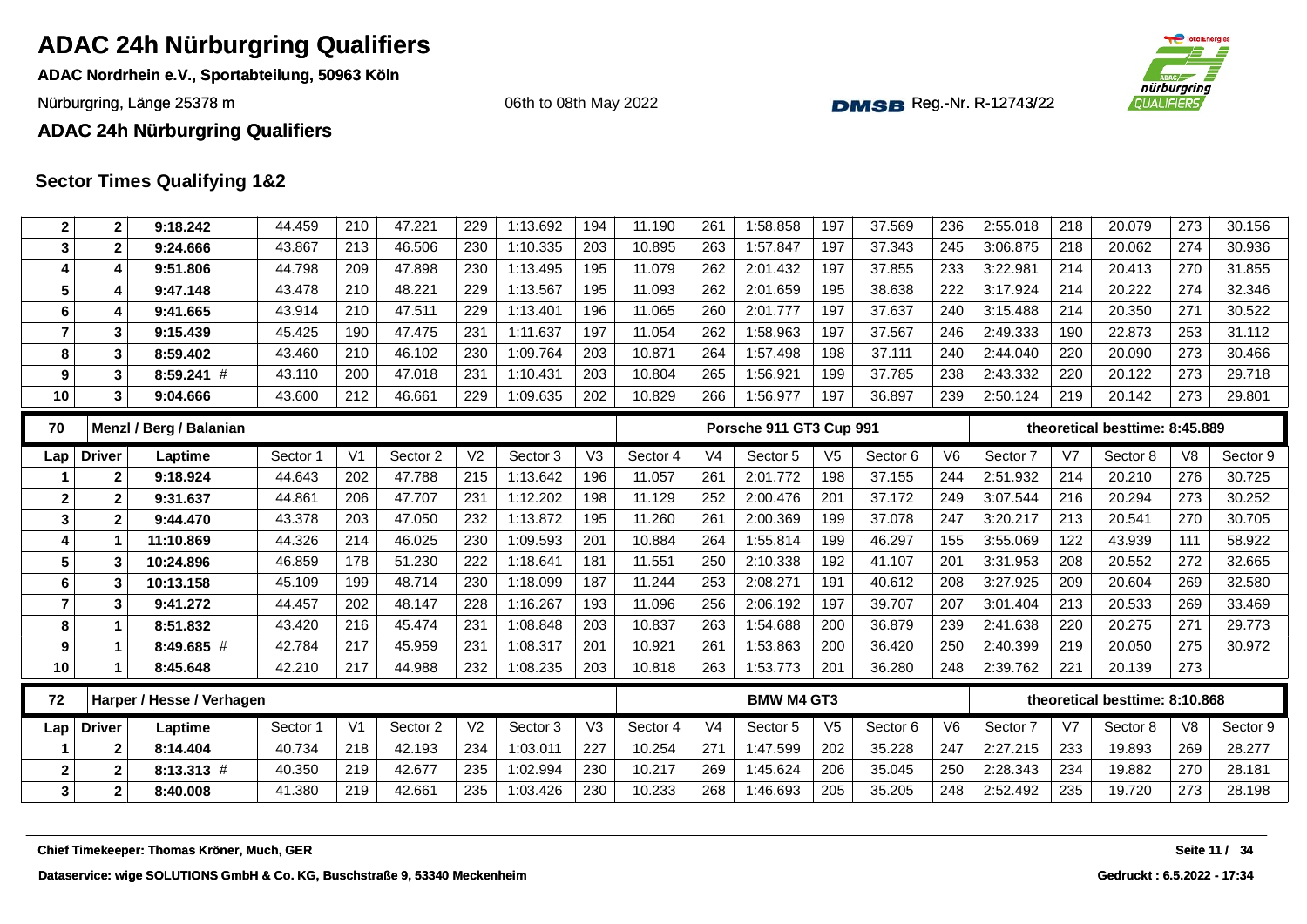**ADAC Nordrhein e.V., Sportabteilung, 50963 Köln**

Nürburgring, Länge 25378 m and the Communication of the Communication of the Communication of the Communication of the Communication of the Communication of the Communication of the Communication of the Communication of th

06th to 08th May 2022



**ADAC 24h Nürburgring Qualifiers**

| $\boldsymbol{2}$        | 2                | 9:18.242                                   | 44.459   | 210            | 47.221   | 229            | 1:13.692 | 194            | 11.190   | 261            | 1:58.858                | 197            | 37.569   | 236            | 2:55.018 | 218            | 20.079                         | 273            | 30.156        |
|-------------------------|------------------|--------------------------------------------|----------|----------------|----------|----------------|----------|----------------|----------|----------------|-------------------------|----------------|----------|----------------|----------|----------------|--------------------------------|----------------|---------------|
| 3                       | $\mathbf{2}$     | 9:24.666                                   | 43.867   | 213            | 46.506   | 230            | 1:10.335 | 203            | 10.895   | 263            | 1:57.847                | 197            | 37.343   | 245            | 3:06.875 | 218            | 20.062                         | 274            | 30.936        |
| $\overline{\mathbf{4}}$ | 4                | 9:51.806                                   | 44.798   | 209            | 47.898   | 230            | 1:13.495 | 195            | 11.079   | 262            | 2:01.432                | 197            | 37.855   | 233            | 3:22.981 | 214            | 20.413                         | 270            | 31.855        |
| $5\phantom{1}$          | 4                | 9:47.148                                   | 43.478   | 210            | 48.221   | 229            | 1:13.567 | 195            | 11.093   | 262            | 2:01.659                | 195            | 38.638   | 222            | 3:17.924 | 214            | 20.222                         | 274            | 32.346        |
| 6                       | 4                | 9:41.665                                   | 43.914   | 210            | 47.511   | 229            | 1:13.401 | 196            | 11.065   | 260            | 2:01.777                | 197            | 37.637   | 240            | 3:15.488 | 214            | 20.350                         | 271            | 30.522        |
| $\overline{7}$          | 3                | 9:15.439                                   | 45.425   | 190            | 47.475   | 231            | 1:11.637 | 197            | 11.054   | 262            | 1:58.963                | 197            | 37.567   | 246            | 2:49.333 | 190            | 22.873                         | 253            | 31.112        |
| 8                       | 3                | 8:59.402                                   | 43.460   | 210            | 46.102   | 230            | 1:09.764 | 203            | 10.871   | 264            | 1:57.498                | 198            | 37.111   | 240            | 2:44.040 | 220            | 20.090                         | 273            | 30.466        |
| 9                       | 3                | $8:59.241$ #                               | 43.110   | 200            | 47.018   | 231            | 1:10.431 | 203            | 10.804   | 265            | 1:56.921                | 199            | 37.785   | 238            | 2:43.332 | 220            | 20.122                         | 273            | 29.718        |
| 10                      | 3                | 9:04.666                                   | 43.600   | 212            | 46.661   | 229            | 1:09.635 | 202            | 10.829   | 266            | 1:56.977                | 197            | 36.897   | 239            | 2:50.124 | 219            | 20.142                         | 273            | 29.801        |
| 70                      |                  | Menzl / Berg / Balanian                    |          |                |          |                |          |                |          |                | Porsche 911 GT3 Cup 991 |                |          |                |          |                | theoretical besttime: 8:45.889 |                |               |
| Lap                     | <b>Driver</b>    | Laptime                                    | Sector 1 | V <sub>1</sub> | Sector 2 | V <sub>2</sub> | Sector 3 | V <sub>3</sub> | Sector 4 | V <sub>4</sub> | Sector 5                | V <sub>5</sub> | Sector 6 | V <sub>6</sub> | Sector 7 | V <sub>7</sub> | Sector 8                       | V <sub>8</sub> | Sector 9      |
|                         | $\mathbf{2}$     | 9:18.924                                   | 44.643   | 202            | 47.788   | 215            | 1:13.642 | 196            | 11.057   | 261            | 2:01.772                | 198            | 37.155   | 244            | 2:51.932 | 214            | 20.210                         | 276            | 30.725        |
| $\mathbf{2}$            | $\mathbf{2}$     | 9:31.637                                   | 44.861   | 206            | 47.707   | 231            | 1:12.202 | 198            | 11.129   | 252            | 2:00.476                | 201            | 37.172   | 249            | 3:07.544 | 216            | 20.294                         | 273            | 30.252        |
| 3                       | $\mathbf{2}$     | 9:44.470                                   | 43.378   | 203            | 47.050   | 232            | 1:13.872 | 195            | 11.260   | 261            | 2:00.369                | 199            | 37.078   | 247            | 3:20.217 | 213            | 20.541                         | 270            | 30.705        |
| $\overline{\mathbf{4}}$ |                  | 11:10.869                                  | 44.326   | 214            | 46.025   | 230            | 1:09.593 | 201            | 10.884   | 264            | 1:55.814                | 199            | 46.297   | 155            | 3:55.069 | 122            | 43.939                         | 111            | 58.922        |
| 5                       | 3                | 10:24.896                                  | 46.859   | 178            | 51.230   | 222            | 1:18.641 | 181            | 11.551   | 250            | 2:10.338                | 192            | 41.107   | 201            | 3:31.953 | 208            | 20.552                         | 272            | 32.665        |
| $\bf 6$                 | 3                | 10:13.158                                  | 45.109   | 199            | 48.714   | 230            | 1:18.099 | 187            | 11.244   | 253            | 2:08.271                | 191            | 40.612   | 208            | 3:27.925 | 209            | 20.604                         | 269            | 32.580        |
| $\overline{7}$          | 3                | 9:41.272                                   | 44.457   | 202            | 48.147   | 228            | 1:16.267 | 193            | 11.096   | 256            | 2:06.192                | 197            | 39.707   | 207            | 3:01.404 | 213            | 20.533                         | 269            | 33.469        |
| 8                       | 1                | 8:51.832                                   | 43.420   | 216            | 45.474   | 231            | 1:08.848 | 203            | 10.837   | 263            | 1:54.688                | 200            | 36.879   | 239            | 2:41.638 | 220            | 20.275                         | 271            | 29.773        |
| 9                       | 1                | 8:49.685 #                                 | 42.784   | 217            | 45.959   | 231            | 1:08.317 | 201            | 10.921   | 261            | 1:53.863                | 200            | 36.420   | 250            | 2:40.399 | 219            | 20.050                         | 275            | 30.972        |
| 10                      | $\mathbf 1$      | 8:45.648                                   | 42.210   | 217            | 44.988   | 232            | 1:08.235 | 203            | 10.818   | 263            | 1:53.773                | 201            | 36.280   | 248            | 2:39.762 | 221            | 20.139                         | 273            |               |
| 72                      |                  | Harper / Hesse / Verhagen                  |          |                |          |                |          |                |          |                | <b>BMW M4 GT3</b>       |                |          |                |          |                | theoretical besttime: 8:10.868 |                |               |
| Lap                     | <b>Driver</b>    | Laptime                                    | Sector 1 | V <sub>1</sub> | Sector 2 | V <sub>2</sub> | Sector 3 | V3             | Sector 4 | V <sub>4</sub> | Sector 5                | V <sub>5</sub> | Sector 6 | V <sub>6</sub> | Sector 7 | V <sub>7</sub> | Sector 8                       | V <sub>8</sub> | Sector 9      |
|                         | $\mathbf{2}$     | 8:14.404                                   | 40.734   | 218            | 42.193   | 234            | 1:03.011 | 227            | 10.254   | 271            | 1:47.599                | 202            | 35.228   | 247            | 2:27.215 | 233            | 19.893                         | 269            | 28.277        |
| $\boldsymbol{2}$        | $\boldsymbol{2}$ | $8:13.313$ #                               | 40.350   | 219            | 42.677   | 235            | 1:02.994 | 230            | 10.217   | 269            | 1:45.624                | 206            | 35.045   | 250            | 2:28.343 | 234            | 19.882                         | 270            | 28.181        |
| 3 <sup>1</sup>          | 2                | 8:40.008                                   | 41.380   | 219            | 42.661   | 235            | 1:03.426 | 230            | 10.233   | 268            | 1:46.693                | 205            | 35.205   | 248            | 2:52.492 | 235            | 19.720                         | 273            | 28.198        |
|                         |                  |                                            |          |                |          |                |          |                |          |                |                         |                |          |                |          |                |                                |                |               |
|                         |                  | Chief Timekeeper: Thomas Kröner, Much, GER |          |                |          |                |          |                |          |                |                         |                |          |                |          |                |                                |                | Seite 11 / 34 |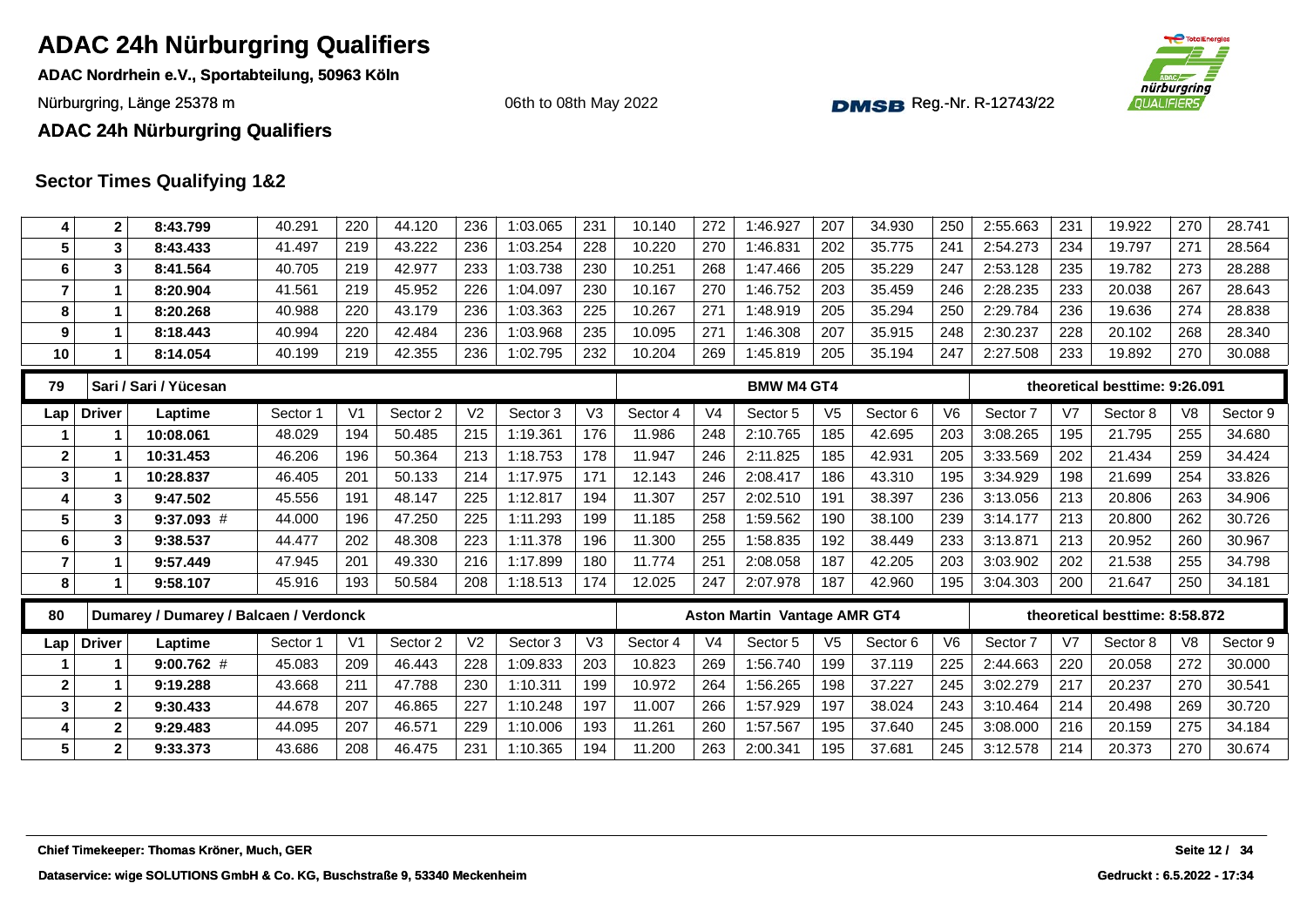**ADAC Nordrhein e.V., Sportabteilung, 50963 Köln**

Nürburgring, Länge 25378 m and the Communication of the Communication of the Communication of the Communication of the Communication of the Communication of the Communication of the Communication of the Communication of th

06th to 08th May 2022



**ADAC 24h Nürburgring Qualifiers**

| 4               | $\mathbf{2}$  | 8:43.799                                   | 40.291   | 220            | 44.120   | 236            | 1:03.065 | 231            | 10.140   | 272            | 1:46.927                            | 207            | 34.930   | 250            | 2:55.663 | 231            | 19.922                         | 270            | 28.741        |
|-----------------|---------------|--------------------------------------------|----------|----------------|----------|----------------|----------|----------------|----------|----------------|-------------------------------------|----------------|----------|----------------|----------|----------------|--------------------------------|----------------|---------------|
| 5               | 3             | 8:43.433                                   | 41.497   | 219            | 43.222   | 236            | 1:03.254 | 228            | 10.220   | 270            | 1:46.831                            | 202            | 35.775   | 241            | 2:54.273 | 234            | 19.797                         | 271            | 28.564        |
| 6               | 3             | 8:41.564                                   | 40.705   | 219            | 42.977   | 233            | 1:03.738 | 230            | 10.251   | 268            | 1:47.466                            | 205            | 35.229   | 247            | 2:53.128 | 235            | 19.782                         | 273            | 28.288        |
| $\overline{7}$  | $\mathbf 1$   | 8:20.904                                   | 41.561   | 219            | 45.952   | 226            | 1:04.097 | 230            | 10.167   | 270            | 1:46.752                            | 203            | 35.459   | 246            | 2:28.235 | 233            | 20.038                         | 267            | 28.643        |
| 8               | 1             | 8:20.268                                   | 40.988   | 220            | 43.179   | 236            | 1:03.363 | 225            | 10.267   | 271            | 1:48.919                            | 205            | 35.294   | 250            | 2:29.784 | 236            | 19.636                         | 274            | 28.838        |
| 9               | $\mathbf 1$   | 8:18.443                                   | 40.994   | 220            | 42.484   | 236            | 1:03.968 | 235            | 10.095   | 271            | 1:46.308                            | 207            | 35.915   | 248            | 2:30.237 | 228            | 20.102                         | 268            | 28.340        |
| 10              | 1             | 8:14.054                                   | 40.199   | 219            | 42.355   | 236            | 1:02.795 | 232            | 10.204   | 269            | 1:45.819                            | 205            | 35.194   | 247            | 2:27.508 | 233            | 19.892                         | 270            | 30.088        |
| 79              |               | Sari / Sari / Yücesan                      |          |                |          |                |          |                |          |                | <b>BMW M4 GT4</b>                   |                |          |                |          |                | theoretical besttime: 9:26.091 |                |               |
| Lap             | <b>Driver</b> | Laptime                                    | Sector 1 | V <sub>1</sub> | Sector 2 | V <sub>2</sub> | Sector 3 | V <sub>3</sub> | Sector 4 | V <sub>4</sub> | Sector 5                            | V <sub>5</sub> | Sector 6 | V <sub>6</sub> | Sector 7 | V <sub>7</sub> | Sector 8                       | V8             | Sector 9      |
|                 | 1             | 10:08.061                                  | 48.029   | 194            | 50.485   | 215            | 1:19.361 | 176            | 11.986   | 248            | 2:10.765                            | 185            | 42.695   | 203            | 3:08.265 | 195            | 21.795                         | 255            | 34.680        |
| $\mathbf{2}$    |               | 10:31.453                                  | 46.206   | 196            | 50.364   | 213            | 1:18.753 | 178            | 11.947   | 246            | 2:11.825                            | 185            | 42.931   | 205            | 3:33.569 | 202            | 21.434                         | 259            | 34.424        |
| 3               | 1             | 10:28.837                                  | 46.405   | 201            | 50.133   | 214            | 1:17.975 | 171            | 12.143   | 246            | 2:08.417                            | 186            | 43.310   | 195            | 3:34.929 | 198            | 21.699                         | 254            | 33.826        |
| 4               | 3             | 9:47.502                                   | 45.556   | 191            | 48.147   | 225            | 1:12.817 | 194            | 11.307   | 257            | 2:02.510                            | 191            | 38.397   | 236            | 3:13.056 | 213            | 20.806                         | 263            | 34.906        |
| $5\phantom{.0}$ | 3             | $9:37.093$ #                               | 44.000   | 196            | 47.250   | 225            | 1:11.293 | 199            | 11.185   | 258            | 1:59.562                            | 190            | 38.100   | 239            | 3:14.177 | 213            | 20.800                         | 262            | 30.726        |
| 6               | 3             | 9:38.537                                   | 44.477   | 202            | 48.308   | 223            | 1:11.378 | 196            | 11.300   | 255            | 1:58.835                            | 192            | 38.449   | 233            | 3:13.871 | 213            | 20.952                         | 260            | 30.967        |
| $\overline{7}$  | $\mathbf{1}$  | 9:57.449                                   | 47.945   | 201            | 49.330   | 216            | 1:17.899 | 180            | 11.774   | 251            | 2:08.058                            | 187            | 42.205   | 203            | 3:03.902 | 202            | 21.538                         | 255            | 34.798        |
| 8               |               | 9:58.107                                   | 45.916   | 193            | 50.584   | 208            | 1:18.513 | 174            | 12.025   | 247            | 2:07.978                            | 187            | 42.960   | 195            | 3:04.303 | 200            | 21.647                         | 250            | 34.181        |
| 80              |               | Dumarey / Dumarey / Balcaen / Verdonck     |          |                |          |                |          |                |          |                | <b>Aston Martin Vantage AMR GT4</b> |                |          |                |          |                | theoretical besttime: 8:58.872 |                |               |
| Lap             | <b>Driver</b> | Laptime                                    | Sector 1 | V <sub>1</sub> | Sector 2 | V <sub>2</sub> | Sector 3 | V <sub>3</sub> | Sector 4 | V <sub>4</sub> | Sector 5                            | V <sub>5</sub> | Sector 6 | V6             | Sector 7 | V7             | Sector 8                       | V <sub>8</sub> | Sector 9      |
|                 | 1             | $9:00.762$ #                               | 45.083   | 209            | 46.443   | 228            | 1:09.833 | 203            | 10.823   | 269            | 1:56.740                            | 199            | 37.119   | 225            | 2:44.663 | 220            | 20.058                         | 272            | 30.000        |
| $\mathbf{2}$    | 1             | 9:19.288                                   | 43.668   | 211            | 47.788   | 230            | 1:10.311 | 199            | 10.972   | 264            | 1:56.265                            | 198            | 37.227   | 245            | 3:02.279 | 217            | 20.237                         | 270            | 30.541        |
| 3               | $\mathbf{2}$  | 9:30.433                                   | 44.678   | 207            | 46.865   | 227            | 1:10.248 | 197            | 11.007   | 266            | 1:57.929                            | 197            | 38.024   | 243            | 3:10.464 | 214            | 20.498                         | 269            | 30.720        |
| 4               | $\mathbf 2$   | 9:29.483                                   | 44.095   | 207            | 46.571   | 229            | 1:10.006 | 193            | 11.261   | 260            | 1:57.567                            | 195            | 37.640   | 245            | 3:08.000 | 216            | 20.159                         | 275            | 34.184        |
| 5               | $\mathbf{2}$  | 9:33.373                                   | 43.686   | 208            | 46.475   | 231            | 1:10.365 | 194            | 11.200   | 263            | 2:00.341                            | 195            | 37.681   | 245            | 3:12.578 | 214            | 20.373                         | 270            | 30.674        |
|                 |               |                                            |          |                |          |                |          |                |          |                |                                     |                |          |                |          |                |                                |                |               |
|                 |               |                                            |          |                |          |                |          |                |          |                |                                     |                |          |                |          |                |                                |                |               |
|                 |               |                                            |          |                |          |                |          |                |          |                |                                     |                |          |                |          |                |                                |                |               |
|                 |               | Chief Timekeeper: Thomas Kröner, Much, GER |          |                |          |                |          |                |          |                |                                     |                |          |                |          |                |                                |                | Seite 12 / 34 |
|                 |               |                                            |          |                |          |                |          |                |          |                |                                     |                |          |                |          |                |                                |                |               |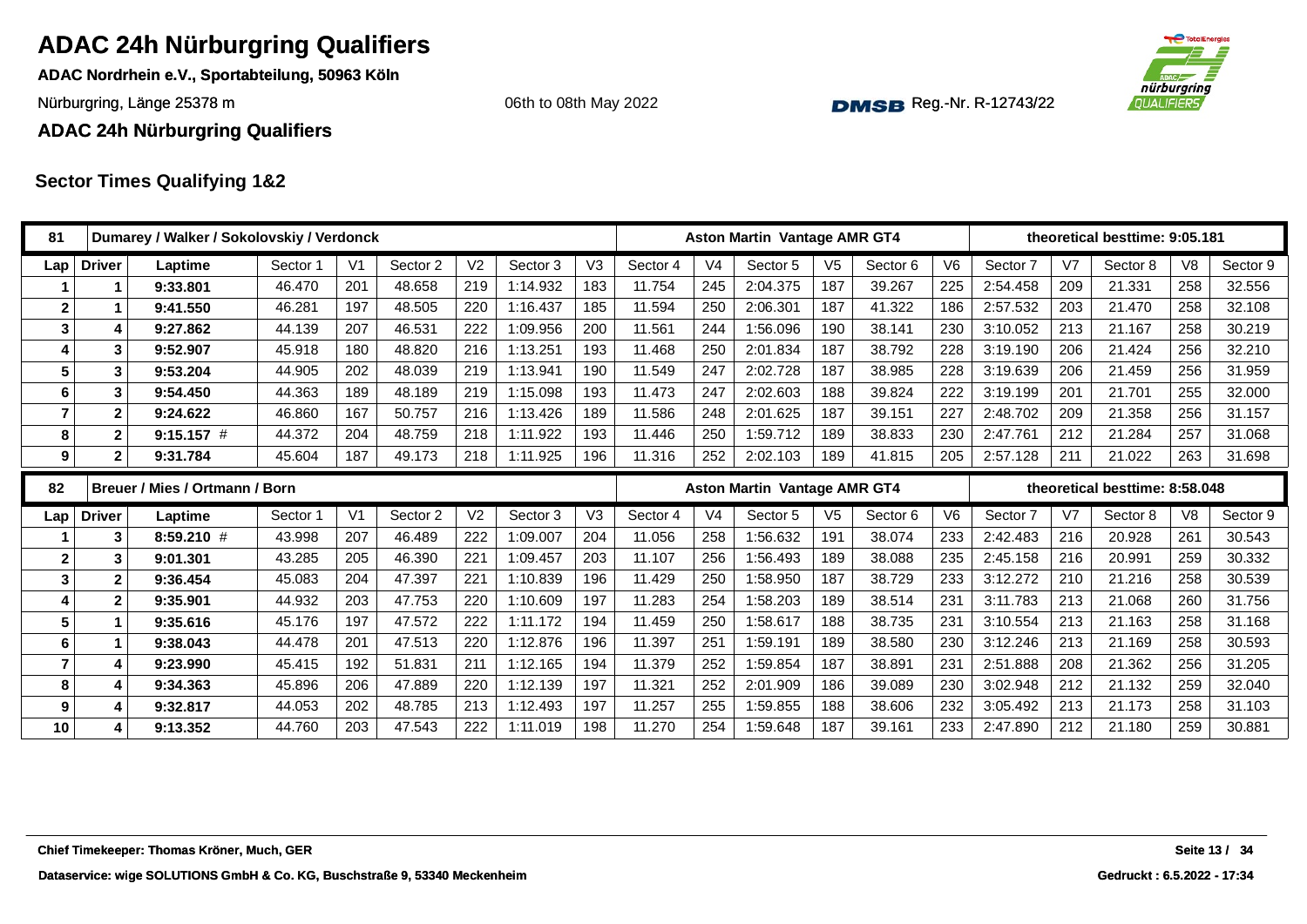**ADAC Nordrhein e.V., Sportabteilung, 50963 Köln**

Nürburgring, Länge 25378 m and the Communication of the Communication of the Communication of the Communication of the Communication of the Communication of the Communication of the Communication of the Communication of th

#### **ADAC 24h Nürburgring Qualifiers**

### **Sector Times Qualifying 1&2**

| 81                      |               |                         | Dumarey / Walker / Sokolovskiy / Verdonck  |          |                |          |                |          |                |          |                | <b>Aston Martin Vantage AMR GT4</b> |                |          |                |          |     | theoretical besttime: 9:05.181 |                |               |
|-------------------------|---------------|-------------------------|--------------------------------------------|----------|----------------|----------|----------------|----------|----------------|----------|----------------|-------------------------------------|----------------|----------|----------------|----------|-----|--------------------------------|----------------|---------------|
| Lap                     | <b>Driver</b> |                         | Laptime                                    | Sector 1 | V <sub>1</sub> | Sector 2 | V <sub>2</sub> | Sector 3 | V <sub>3</sub> | Sector 4 | V <sub>4</sub> | Sector 5                            | V <sub>5</sub> | Sector 6 | V <sub>6</sub> | Sector 7 | V7  | Sector 8                       | V <sub>8</sub> | Sector 9      |
|                         |               | 1                       | 9:33.801                                   | 46.470   | 201            | 48.658   | 219            | 1:14.932 | 183            | 11.754   | 245            | 2:04.375                            | 187            | 39.267   | 225            | 2:54.458 | 209 | 21.331                         | 258            | 32.556        |
| $\mathbf 2$             |               | 1                       | 9:41.550                                   | 46.281   | 197            | 48.505   | 220            | 1:16.437 | 185            | 11.594   | 250            | 2:06.301                            | 187            | 41.322   | 186            | 2:57.532 | 203 | 21.470                         | 258            | 32.108        |
| $\mathbf{3}$            |               | 4                       | 9:27.862                                   | 44.139   | 207            | 46.531   | 222            | 1:09.956 | 200            | 11.561   | 244            | 1:56.096                            | 190            | 38.141   | 230            | 3:10.052 | 213 | 21.167                         | 258            | 30.219        |
| 4                       |               | 3                       | 9:52.907                                   | 45.918   | 180            | 48.820   | 216            | 1:13.251 | 193            | 11.468   | 250            | 2:01.834                            | 187            | 38.792   | 228            | 3:19.190 | 206 | 21.424                         | 256            | 32.210        |
| 5                       |               | 3                       | 9:53.204                                   | 44.905   | 202            | 48.039   | 219            | 1:13.941 | 190            | 11.549   | 247            | 2:02.728                            | 187            | 38.985   | 228            | 3:19.639 | 206 | 21.459                         | 256            | 31.959        |
| 6                       |               | 3                       | 9:54.450                                   | 44.363   | 189            | 48.189   | 219            | 1:15.098 | 193            | 11.473   | 247            | 2:02.603                            | 188            | 39.824   | 222            | 3:19.199 | 201 | 21.701                         | 255            | 32.000        |
| $\overline{7}$          |               | $\mathbf{2}$            | 9:24.622                                   | 46.860   | 167            | 50.757   | 216            | 1:13.426 | 189            | 11.586   | 248            | 2:01.625                            | 187            | 39.151   | 227            | 2:48.702 | 209 | 21.358                         | 256            | 31.157        |
| 8                       |               | $\mathbf 2$             | $9:15.157$ #                               | 44.372   | 204            | 48.759   | 218            | 1:11.922 | 193            | 11.446   | 250            | 1:59.712                            | 189            | 38.833   | 230            | 2:47.761 | 212 | 21.284                         | 257            | 31.068        |
| 9                       |               | $\overline{\mathbf{2}}$ | 9:31.784                                   | 45.604   | 187            | 49.173   | 218            | 1:11.925 | 196            | 11.316   | 252            | 2:02.103                            | 189            | 41.815   | 205            | 2:57.128 | 211 | 21.022                         | 263            | 31.698        |
| 82                      |               |                         | Breuer / Mies / Ortmann / Born             |          |                |          |                |          |                |          |                | <b>Aston Martin Vantage AMR GT4</b> |                |          |                |          |     | theoretical besttime: 8:58.048 |                |               |
| Lap                     | <b>Driver</b> |                         | Laptime                                    | Sector 1 | V <sub>1</sub> | Sector 2 | V <sub>2</sub> | Sector 3 | V3             | Sector 4 | V <sub>4</sub> | Sector 5                            | V <sub>5</sub> | Sector 6 | V <sub>6</sub> | Sector 7 | V7  | Sector 8                       | V <sub>8</sub> | Sector 9      |
|                         |               | 3                       | $8:59.210$ #                               | 43.998   | 207            | 46.489   | 222            | 1:09.007 | 204            | 11.056   | 258            | 1:56.632                            | 191            | 38.074   | 233            | 2:42.483 | 216 | 20.928                         | 261            | 30.543        |
| $\mathbf{2}$            |               | 3                       | 9:01.301                                   | 43.285   | 205            | 46.390   | 221            | 1:09.457 | 203            | 11.107   | 256            | 1:56.493                            | 189            | 38.088   | 235            | 2:45.158 | 216 | 20.991                         | 259            | 30.332        |
| $\mathbf{3}$            |               | 2                       | 9:36.454                                   | 45.083   | 204            | 47.397   | 221            | 1:10.839 | 196            | 11.429   | 250            | 1:58.950                            | 187            | 38.729   | 233            | 3:12.272 | 210 | 21.216                         | 258            | 30.539        |
| 4                       |               | $\mathbf 2$             | 9:35.901                                   | 44.932   | 203            | 47.753   | 220            | 1:10.609 | 197            | 11.283   | 254            | 1:58.203                            | 189            | 38.514   | 231            | 3:11.783 | 213 | 21.068                         | 260            | 31.756        |
| $5\phantom{.0}$         |               | 1                       | 9:35.616                                   | 45.176   | 197            | 47.572   | 222            | 1:11.172 | 194            | 11.459   | 250            | 1:58.617                            | 188            | 38.735   | 231            | 3:10.554 | 213 | 21.163                         | 258            | 31.168        |
| 6                       |               | $\mathbf{1}$            | 9:38.043                                   | 44.478   | 201            | 47.513   | 220            | 1:12.876 | 196            | 11.397   | 251            | 1:59.191                            | 189            | 38.580   | 230            | 3:12.246 | 213 | 21.169                         | 258            | 30.593        |
| $\overline{\mathbf{r}}$ |               | 4                       | 9:23.990                                   | 45.415   | 192            | 51.831   | 211            | 1:12.165 | 194            | 11.379   | 252            | 1:59.854                            | 187            | 38.891   | 231            | 2:51.888 | 208 | 21.362                         | 256            | 31.205        |
| 8                       |               | 4                       | 9:34.363                                   | 45.896   | 206            | 47.889   | 220            | 1:12.139 | 197            | 11.321   | 252            | 2:01.909                            | 186            | 39.089   | 230            | 3:02.948 | 212 | 21.132                         | 259            | 32.040        |
| 9                       |               | 4                       | 9:32.817                                   | 44.053   | 202            | 48.785   | 213            | 1:12.493 | 197            | 11.257   | 255            | 1:59.855                            | 188            | 38.606   | 232            | 3:05.492 | 213 | 21.173                         | 258            | 31.103        |
| 10                      |               | 4                       | 9:13.352                                   | 44.760   | 203            | 47.543   | 222            | 1:11.019 | 198            | 11.270   | 254            | 1:59.648                            | 187            | 39.161   | 233            | 2:47.890 | 212 | 21.180                         | 259            | 30.881        |
|                         |               |                         |                                            |          |                |          |                |          |                |          |                |                                     |                |          |                |          |     |                                |                |               |
|                         |               |                         | Chief Timekeeper: Thomas Kröner, Much, GER |          |                |          |                |          |                |          |                |                                     |                |          |                |          |     |                                |                | Seite 13 / 34 |

**Chief Timekeeper: Thomas Kröner, Much, GER**



06th to 08th May 2022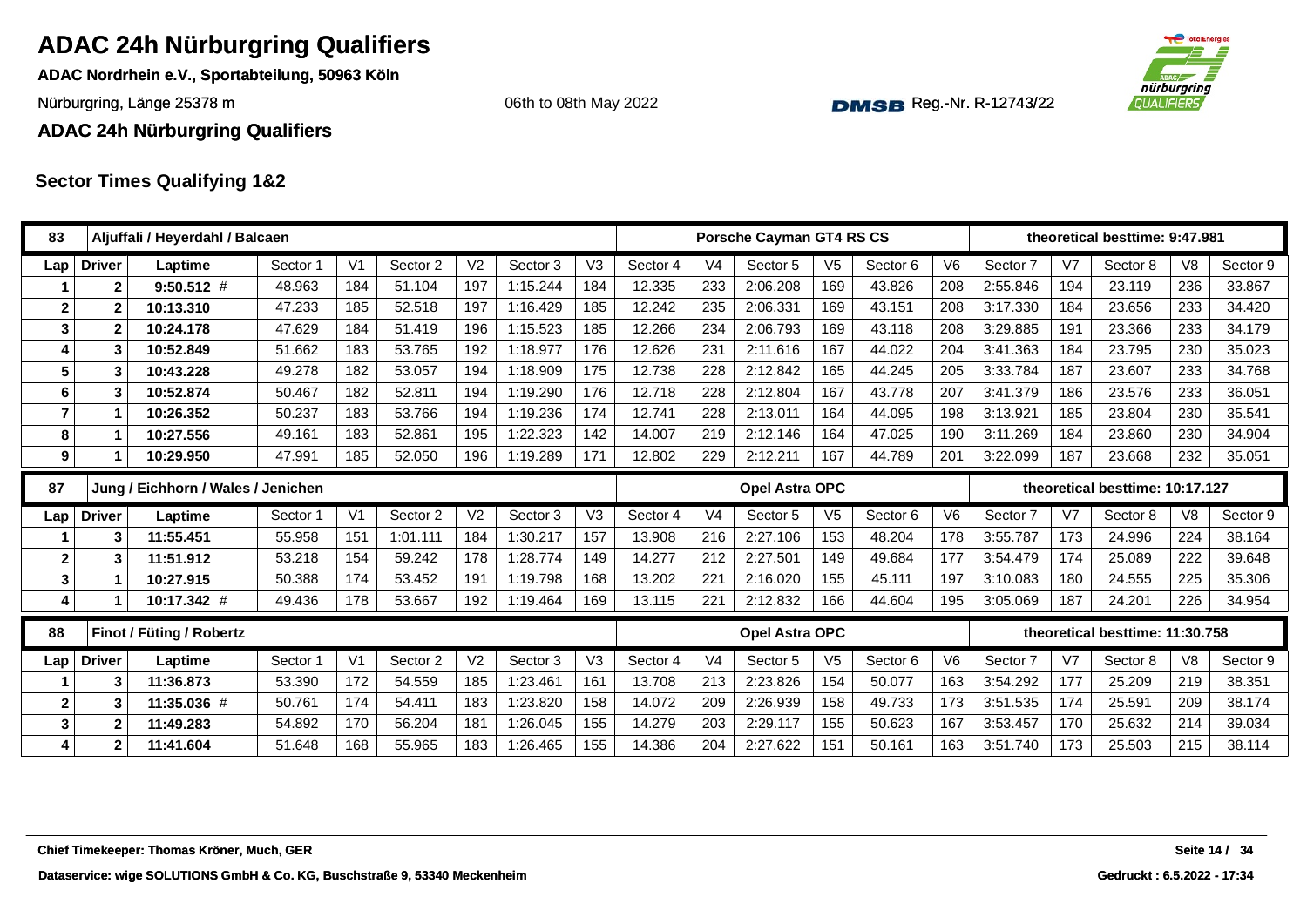**ADAC Nordrhein e.V., Sportabteilung, 50963 Köln**

Nürburgring, Länge 25378 m and the Communication of the Communication of the Communication of the Communication of the Communication of the Communication of the Communication of the Communication of the Communication of th

06th to 08th May 2022



**ADAC 24h Nürburgring Qualifiers**

| 83                      |               | Aljuffali / Heyerdahl / Balcaen            |          |                |          |                |          |                |          |                | Porsche Cayman GT4 RS CS |                |          |                |          |                | theoretical besttime: 9:47.981  |                |               |
|-------------------------|---------------|--------------------------------------------|----------|----------------|----------|----------------|----------|----------------|----------|----------------|--------------------------|----------------|----------|----------------|----------|----------------|---------------------------------|----------------|---------------|
| Lap                     | <b>Driver</b> | Laptime                                    | Sector 1 | V <sub>1</sub> | Sector 2 | V <sub>2</sub> | Sector 3 | V <sub>3</sub> | Sector 4 | V <sub>4</sub> | Sector 5                 | V <sub>5</sub> | Sector 6 | V <sub>6</sub> | Sector 7 | V7             | Sector 8                        | V <sub>8</sub> | Sector 9      |
|                         | $\mathbf{2}$  | $9:50.512$ #                               | 48.963   | 184            | 51.104   | 197            | 1:15.244 | 184            | 12.335   | 233            | 2:06.208                 | 169            | 43.826   | 208            | 2:55.846 | 194            | 23.119                          | 236            | 33.867        |
| $\overline{2}$          | $\mathbf{2}$  | 10:13.310                                  | 47.233   | 185            | 52.518   | 197            | 1:16.429 | 185            | 12.242   | 235            | 2:06.331                 | 169            | 43.151   | 208            | 3:17.330 | 184            | 23.656                          | 233            | 34.420        |
| $\mathbf{3}$            | $\mathbf{2}$  | 10:24.178                                  | 47.629   | 184            | 51.419   | 196            | 1:15.523 | 185            | 12.266   | 234            | 2:06.793                 | 169            | 43.118   | 208            | 3:29.885 | 191            | 23.366                          | 233            | 34.179        |
| $\overline{\mathbf{4}}$ | 3             | 10:52.849                                  | 51.662   | 183            | 53.765   | 192            | 1:18.977 | 176            | 12.626   | 231            | 2:11.616                 | 167            | 44.022   | 204            | 3:41.363 | 184            | 23.795                          | 230            | 35.023        |
| 5                       | 3             | 10:43.228                                  | 49.278   | 182            | 53.057   | 194            | 1:18.909 | 175            | 12.738   | 228            | 2:12.842                 | 165            | 44.245   | 205            | 3:33.784 | 187            | 23.607                          | 233            | 34.768        |
| 6                       | 3             | 10:52.874                                  | 50.467   | 182            | 52.811   | 194            | 1:19.290 | 176            | 12.718   | 228            | 2:12.804                 | 167            | 43.778   | 207            | 3:41.379 | 186            | 23.576                          | 233            | 36.051        |
| $\overline{7}$          | 1             | 10:26.352                                  | 50.237   | 183            | 53.766   | 194            | 1:19.236 | 174            | 12.741   | 228            | 2:13.011                 | 164            | 44.095   | 198            | 3:13.921 | 185            | 23.804                          | 230            | 35.541        |
| 8                       | 1             | 10:27.556                                  | 49.161   | 183            | 52.861   | 195            | 1:22.323 | 142            | 14.007   | 219            | 2:12.146                 | 164            | 47.025   | 190            | 3:11.269 | 184            | 23.860                          | 230            | 34.904        |
| 9                       | 1             | 10:29.950                                  | 47.991   | 185            | 52.050   | 196            | 1:19.289 | 171            | 12.802   | 229            | 2:12.211                 | 167            | 44.789   | 201            | 3:22.099 | 187            | 23.668                          | 232            | 35.051        |
| 87                      |               | Jung / Eichhorn / Wales / Jenichen         |          |                |          |                |          |                |          |                | Opel Astra OPC           |                |          |                |          |                | theoretical besttime: 10:17.127 |                |               |
| Lap                     | <b>Driver</b> | Laptime                                    | Sector 1 | V <sub>1</sub> | Sector 2 | V <sub>2</sub> | Sector 3 | V3             | Sector 4 | V <sub>4</sub> | Sector 5                 | V <sub>5</sub> | Sector 6 | V <sub>6</sub> | Sector 7 | V7             | Sector 8                        | V <sub>8</sub> | Sector 9      |
|                         | 3             | 11:55.451                                  | 55.958   | 151            | 1:01.111 | 184            | 1:30.217 | 157            | 13.908   | 216            | 2:27.106                 | 153            | 48.204   | 178            | 3:55.787 | 173            | 24.996                          | 224            | 38.164        |
| $\mathbf{2}$            | 3             | 11:51.912                                  | 53.218   | 154            | 59.242   | 178            | 1:28.774 | 149            | 14.277   | 212            | 2:27.501                 | 149            | 49.684   | 177            | 3:54.479 | 174            | 25.089                          | 222            | 39.648        |
| 3                       | 1             | 10:27.915                                  | 50.388   | 174            | 53.452   | 191            | 1:19.798 | 168            | 13.202   | 221            | 2:16.020                 | 155            | 45.111   | 197            | 3:10.083 | 180            | 24.555                          | 225            | 35.306        |
| $\overline{4}$          | 1             | 10:17.342 #                                | 49.436   | 178            | 53.667   | 192            | 1:19.464 | 169            | 13.115   | 221            | 2:12.832                 | 166            | 44.604   | 195            | 3:05.069 | 187            | 24.201                          | 226            | 34.954        |
| 88                      |               | <b>Finot / Füting / Robertz</b>            |          |                |          |                |          |                |          |                | Opel Astra OPC           |                |          |                |          |                | theoretical besttime: 11:30.758 |                |               |
| Lap                     | <b>Driver</b> | Laptime                                    | Sector 1 | V <sub>1</sub> | Sector 2 | V <sub>2</sub> | Sector 3 | V <sub>3</sub> | Sector 4 | V <sub>4</sub> | Sector 5                 | V <sub>5</sub> | Sector 6 | V <sub>6</sub> | Sector 7 | V <sub>7</sub> | Sector 8                        | V <sub>8</sub> | Sector 9      |
|                         | 3             | 11:36.873                                  | 53.390   | 172            | 54.559   | 185            | 1:23.461 | 161            | 13.708   | 213            | 2:23.826                 | 154            | 50.077   | 163            | 3:54.292 | 177            | 25.209                          | 219            | 38.351        |
| $\mathbf{2}$            | 3             | 11:35.036 #                                | 50.761   | 174            | 54.411   | 183            | 1:23.820 | 158            | 14.072   | 209            | 2:26.939                 | 158            | 49.733   | 173            | 3:51.535 | 174            | 25.591                          | 209            | 38.174        |
| 3                       | $\mathbf{2}$  | 11:49.283                                  | 54.892   | 170            | 56.204   | 181            | 1:26.045 | 155            | 14.279   | 203            | 2:29.117                 | 155            | 50.623   | 167            | 3:53.457 | 170            | 25.632                          | 214            | 39.034        |
| 4                       | $\mathbf{2}$  | 11:41.604                                  | 51.648   | 168            | 55.965   | 183            | 1:26.465 | 155            | 14.386   | 204            | 2:27.622                 | 151            | 50.161   | 163            | 3:51.740 | 173            | 25.503                          | 215            | 38.114        |
|                         |               |                                            |          |                |          |                |          |                |          |                |                          |                |          |                |          |                |                                 |                |               |
|                         |               |                                            |          |                |          |                |          |                |          |                |                          |                |          |                |          |                |                                 |                |               |
|                         |               |                                            |          |                |          |                |          |                |          |                |                          |                |          |                |          |                |                                 |                |               |
|                         |               | Chief Timekeeper: Thomas Kröner, Much, GER |          |                |          |                |          |                |          |                |                          |                |          |                |          |                |                                 |                | Seite 14 / 34 |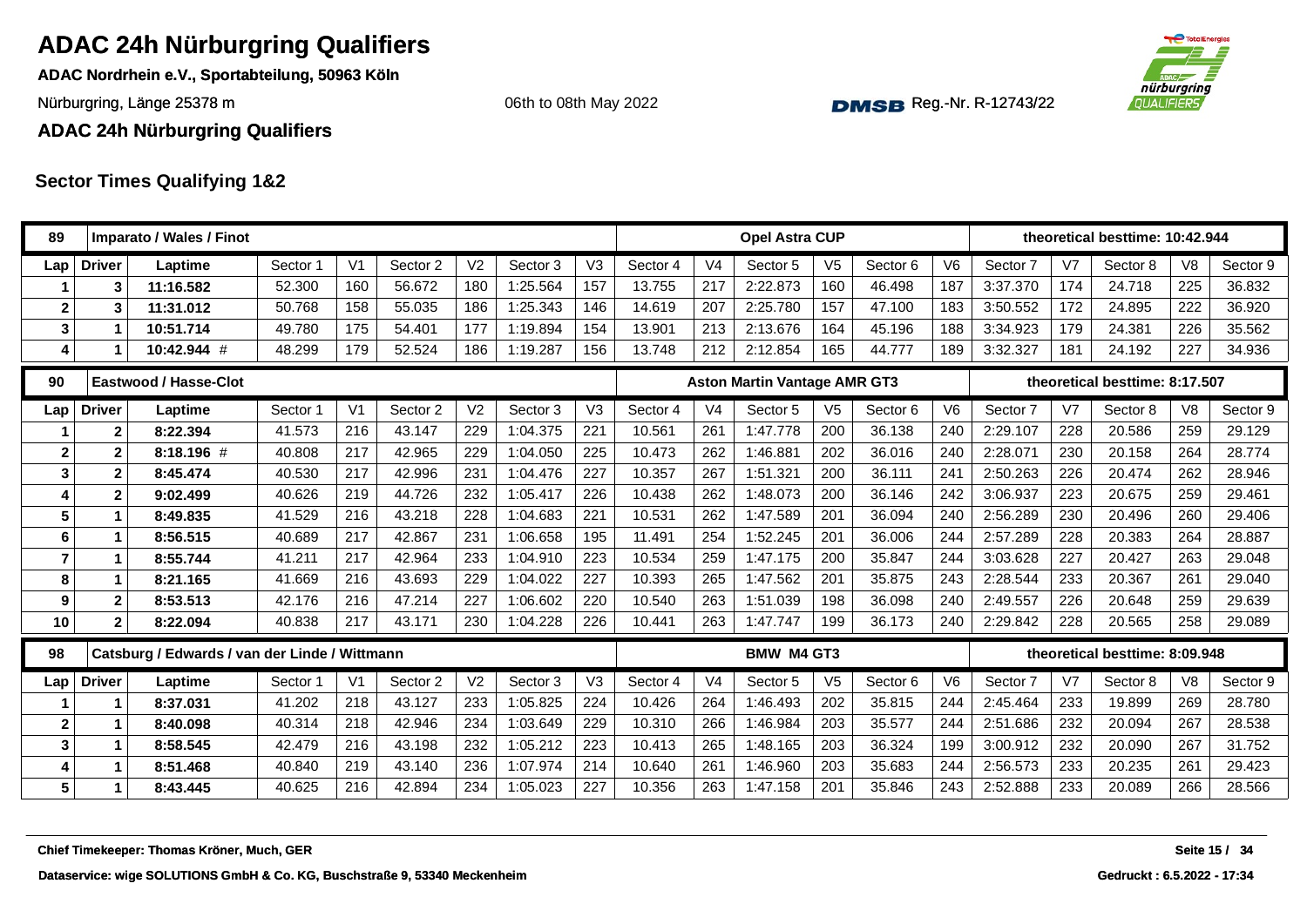**ADAC Nordrhein e.V., Sportabteilung, 50963 Köln**

Nürburgring, Länge 25378 m and the Communication of the Communication of the Communication of the Communication of the Communication of the Communication of the Communication of the Communication of the Communication of th

06th to 08th May 2022



**ADAC 24h Nürburgring Qualifiers**

| 89             |                      | Imparato / Wales / Finot                      |          |                |          |                |          |                |          |                | <b>Opel Astra CUP</b>               |                |                     |                |          |                | theoretical besttime: 10:42.944 |                |               |
|----------------|----------------------|-----------------------------------------------|----------|----------------|----------|----------------|----------|----------------|----------|----------------|-------------------------------------|----------------|---------------------|----------------|----------|----------------|---------------------------------|----------------|---------------|
| Lap            | <b>Driver</b>        | Laptime                                       | Sector 1 | V <sub>1</sub> | Sector 2 | V <sub>2</sub> | Sector 3 | V <sub>3</sub> | Sector 4 | V <sub>4</sub> | Sector 5                            | V <sub>5</sub> | Sector <sub>6</sub> | V <sub>6</sub> | Sector 7 | V <sub>7</sub> | Sector 8                        | V <sub>8</sub> | Sector 9      |
|                |                      | 11:16.582                                     | 52.300   | 160            | 56.672   | 180            | 1:25.564 | 157            | 13.755   | 217            | 2:22.873                            | 160            | 46.498              | 187            | 3:37.370 | 174            | 24.718                          | 225            | 36.832        |
| $\mathbf{2}$   |                      | 11:31.012                                     | 50.768   | 158            | 55.035   | 186            | 1:25.343 | 146            | 14.619   | 207            | 2:25.780                            | 157            | 47.100              | 183            | 3:50.552 | 172            | 24.895                          | 222            | 36.920        |
| $\mathbf{3}$   | 1                    | 10:51.714                                     | 49.780   | 175            | 54.401   | 177            | 1:19.894 | 154            | 13.901   | 213            | 2:13.676                            | 164            | 45.196              | 188            | 3:34.923 | 179            | 24.381                          | 226            | 35.562        |
| 4              |                      | 10:42.944 #                                   | 48.299   | 179            | 52.524   | 186            | 1:19.287 | 156            | 13.748   | 212            | 2:12.854                            | 165            | 44.777              | 189            | 3:32.327 | 181            | 24.192                          | 227            | 34.936        |
| 90             |                      | Eastwood / Hasse-Clot                         |          |                |          |                |          |                |          |                | <b>Aston Martin Vantage AMR GT3</b> |                |                     |                |          |                | theoretical besttime: 8:17.507  |                |               |
| Lap            | <b>Driver</b>        | Laptime                                       | Sector 1 | V <sub>1</sub> | Sector 2 | V <sub>2</sub> | Sector 3 | V <sub>3</sub> | Sector 4 | V <sub>4</sub> | Sector 5                            | V <sub>5</sub> | Sector 6            | V <sub>6</sub> | Sector 7 | V <sub>7</sub> | Sector 8                        | V <sub>8</sub> | Sector 9      |
|                | $\mathbf 2$          | 8:22.394                                      | 41.573   | 216            | 43.147   | 229            | 1:04.375 | 221            | 10.561   | 261            | 1:47.778                            | 200            | 36.138              | 240            | 2:29.107 | 228            | 20.586                          | 259            | 29.129        |
| $\mathbf{2}$   | $\mathbf{2}$         | 8:18.196 #                                    | 40.808   | 217            | 42.965   | 229            | 1:04.050 | 225            | 10.473   | 262            | 1:46.881                            | 202            | 36.016              | 240            | 2:28.071 | 230            | 20.158                          | 264            | 28.774        |
| 3              | $\mathbf 2$          | 8:45.474                                      | 40.530   | 217            | 42.996   | 231            | 1:04.476 | 227            | 10.357   | 267            | 1:51.321                            | 200            | 36.111              | 241            | 2:50.263 | 226            | 20.474                          | 262            | 28.946        |
| 4              | $\mathbf{2}$         | 9:02.499                                      | 40.626   | 219            | 44.726   | 232            | 1:05.417 | 226            | 10.438   | 262            | 1:48.073                            | 200            | 36.146              | 242            | 3:06.937 | 223            | 20.675                          | 259            | 29.461        |
| $5\phantom{1}$ | $\mathbf 1$          | 8:49.835                                      | 41.529   | 216            | 43.218   | 228            | 1:04.683 | 221            | 10.531   | 262            | 1:47.589                            | 201            | 36.094              | 240            | 2:56.289 | 230            | 20.496                          | 260            | 29.406        |
| 6              | $\blacktriangleleft$ | 8:56.515                                      | 40.689   | 217            | 42.867   | 231            | 1:06.658 | 195            | 11.491   | 254            | 1:52.245                            | 201            | 36.006              | 244            | 2:57.289 | 228            | 20.383                          | 264            | 28.887        |
| $\overline{7}$ | $\blacktriangleleft$ | 8:55.744                                      | 41.211   | 217            | 42.964   | 233            | 1:04.910 | 223            | 10.534   | 259            | 1:47.175                            | 200            | 35.847              | 244            | 3:03.628 | 227            | 20.427                          | 263            | 29.048        |
| 8              | 1                    | 8:21.165                                      | 41.669   | 216            | 43.693   | 229            | 1:04.022 | 227            | 10.393   | 265            | 1:47.562                            | 201            | 35.875              | 243            | 2:28.544 | 233            | 20.367                          | 261            | 29.040        |
| 9              | $\mathbf 2$          | 8:53.513                                      | 42.176   | 216            | 47.214   | 227            | 1:06.602 | 220            | 10.540   | 263            | 1:51.039                            | 198            | 36.098              | 240            | 2:49.557 | 226            | 20.648                          | 259            | 29.639        |
| 10             | $\mathbf{2}$         | 8:22.094                                      | 40.838   | 217            | 43.171   | 230            | 1:04.228 | 226            | 10.441   | 263            | 1:47.747                            | 199            | 36.173              | 240            | 2:29.842 | 228            | 20.565                          | 258            | 29.089        |
| 98             |                      | Catsburg / Edwards / van der Linde / Wittmann |          |                |          |                |          |                |          |                | <b>BMW M4 GT3</b>                   |                |                     |                |          |                | theoretical besttime: 8:09.948  |                |               |
| Lap            | <b>Driver</b>        | Laptime                                       | Sector 1 | V <sub>1</sub> | Sector 2 | V <sub>2</sub> | Sector 3 | V3             | Sector 4 | V <sub>4</sub> | Sector 5                            | V <sub>5</sub> | Sector 6            | V <sub>6</sub> | Sector 7 | V <sub>7</sub> | Sector 8                        | V <sub>8</sub> | Sector 9      |
|                | 1                    | 8:37.031                                      | 41.202   | 218            | 43.127   | 233            | 1:05.825 | 224            | 10.426   | 264            | 1:46.493                            | 202            | 35.815              | 244            | 2:45.464 | 233            | 19.899                          | 269            | 28.780        |
| $\mathbf{2}$   | 1                    | 8:40.098                                      | 40.314   | 218            | 42.946   | 234            | 1:03.649 | 229            | 10.310   | 266            | 1:46.984                            | 203            | 35.577              | 244            | 2:51.686 | 232            | 20.094                          | 267            | 28.538        |
| $\mathbf{3}$   | 1                    | 8:58.545                                      | 42.479   | 216            | 43.198   | 232            | 1:05.212 | 223            | 10.413   | 265            | 1:48.165                            | 203            | 36.324              | 199            | 3:00.912 | 232            | 20.090                          | 267            | 31.752        |
| 4              | $\blacktriangleleft$ | 8:51.468                                      | 40.840   | 219            | 43.140   | 236            | 1:07.974 | 214            | 10.640   | 261            | 1:46.960                            | 203            | 35.683              | 244            | 2:56.573 | 233            | 20.235                          | 261            | 29.423        |
| 5              | $\mathbf 1$          | 8:43.445                                      | 40.625   | 216            | 42.894   | 234            | 1:05.023 | 227            | 10.356   | 263            | 1:47.158                            | 201            | 35.846              | 243            | 2:52.888 | 233            | 20.089                          | 266            | 28.566        |
|                |                      | Chief Timekeeper: Thomas Kröner, Much, GER    |          |                |          |                |          |                |          |                |                                     |                |                     |                |          |                |                                 |                | Seite 15 / 34 |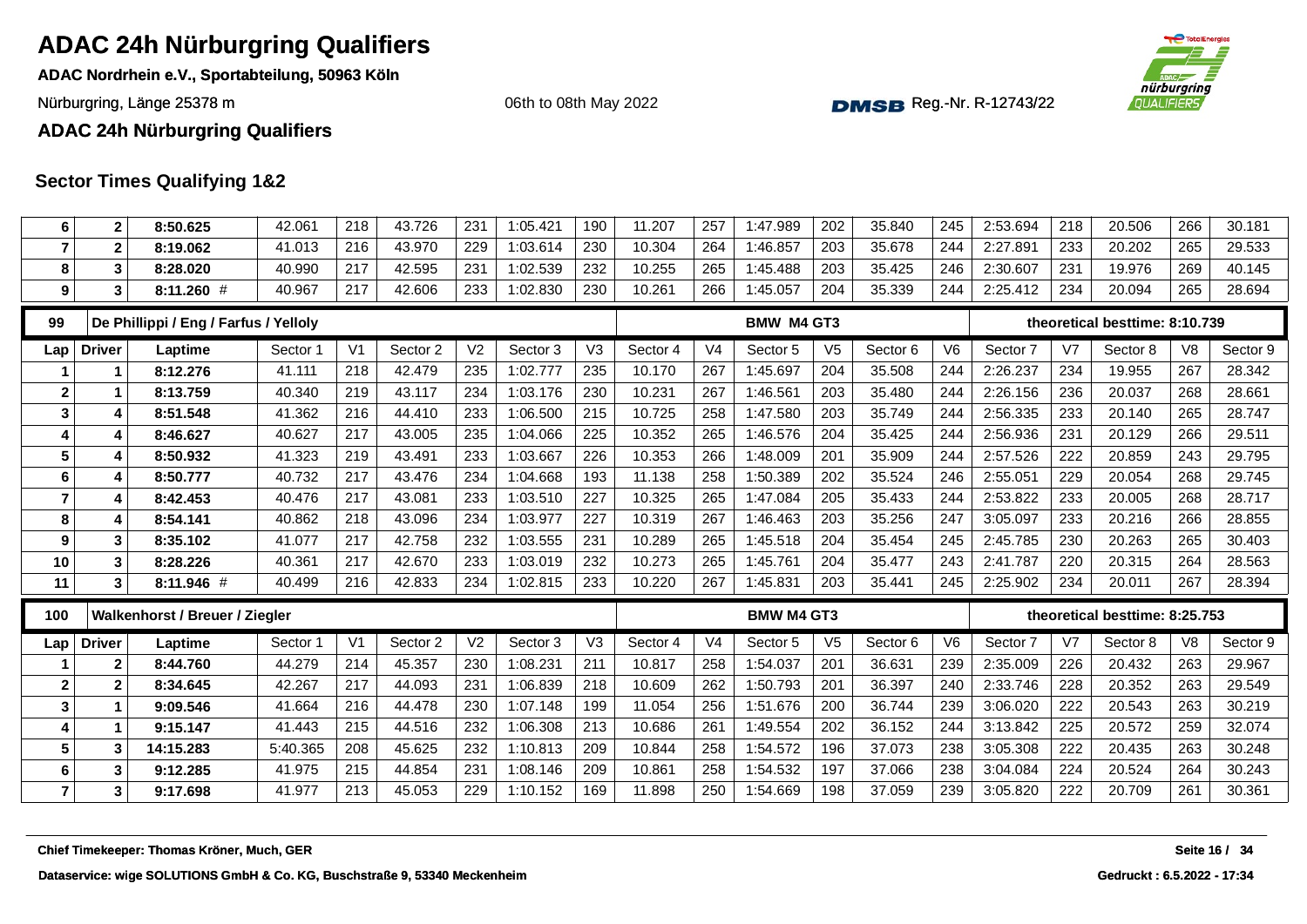**ADAC Nordrhein e.V., Sportabteilung, 50963 Köln**

Nürburgring, Länge 25378 m and the Communication of the Communication of the Communication of the Communication of the Communication of the Communication of the Communication of the Communication of the Communication of th

nürburgring *OUALIFIERS* 

06th to 08th May 2022

#### **ADAC 24h Nürburgring Qualifiers**

| 6                       | $\mathbf 2$    | 8:50.625                                   | 42.061   | 218            | 43.726   | 231            | 1:05.421 | 190            | 11.207   | 257            | 1:47.989          | 202            | 35.840   | 245            | 2:53.694 | 218            | 20.506                         | 266            | 30.181        |
|-------------------------|----------------|--------------------------------------------|----------|----------------|----------|----------------|----------|----------------|----------|----------------|-------------------|----------------|----------|----------------|----------|----------------|--------------------------------|----------------|---------------|
| $\overline{7}$          | $\mathbf{2}$   | 8:19.062                                   | 41.013   | 216            | 43.970   | 229            | 1:03.614 | 230            | 10.304   | 264            | 1:46.857          | 203            | 35.678   | 244            | 2:27.891 | 233            | 20.202                         | 265            | 29.533        |
| 8                       | 3              | 8:28.020                                   | 40.990   | 217            | 42.595   | 231            | 1:02.539 | 232            | 10.255   | 265            | 1:45.488          | 203            | 35.425   | 246            | 2:30.607 | 231            | 19.976                         | 269            | 40.145        |
| 9                       | 3              | $8:11.260$ #                               | 40.967   | 217            | 42.606   | 233            | 1:02.830 | 230            | 10.261   | 266            | 1:45.057          | 204            | 35.339   | 244            | 2:25.412 | 234            | 20.094                         | 265            | 28.694        |
| 99                      |                | De Phillippi / Eng / Farfus / Yelloly      |          |                |          |                |          |                |          |                | BMW M4 GT3        |                |          |                |          |                | theoretical besttime: 8:10.739 |                |               |
| Lap                     | <b>Driver</b>  | Laptime                                    | Sector 1 | V <sub>1</sub> | Sector 2 | V <sub>2</sub> | Sector 3 | V <sub>3</sub> | Sector 4 | V <sub>4</sub> | Sector 5          | V <sub>5</sub> | Sector 6 | V <sub>6</sub> | Sector 7 | V <sub>7</sub> | Sector 8                       | V <sub>8</sub> | Sector 9      |
|                         | 1              | 8:12.276                                   | 41.111   | 218            | 42.479   | 235            | 1:02.777 | 235            | 10.170   | 267            | 1:45.697          | 204            | 35.508   | 244            | 2:26.237 | 234            | 19.955                         | 267            | 28.342        |
| $\overline{\mathbf{2}}$ | 1              | 8:13.759                                   | 40.340   | 219            | 43.117   | 234            | 1:03.176 | 230            | 10.231   | 267            | 1:46.561          | 203            | 35.480   | 244            | 2:26.156 | 236            | 20.037                         | 268            | 28.661        |
| 3                       | 4              | 8:51.548                                   | 41.362   | 216            | 44.410   | 233            | 1:06.500 | 215            | 10.725   | 258            | 1:47.580          | 203            | 35.749   | 244            | 2:56.335 | 233            | 20.140                         | 265            | 28.747        |
| 4                       | 4              | 8:46.627                                   | 40.627   | 217            | 43.005   | 235            | 1:04.066 | 225            | 10.352   | 265            | 1:46.576          | 204            | 35.425   | 244            | 2:56.936 | 231            | 20.129                         | 266            | 29.511        |
| 5                       | 4              | 8:50.932                                   | 41.323   | 219            | 43.491   | 233            | 1:03.667 | 226            | 10.353   | 266            | 1:48.009          | 201            | 35.909   | 244            | 2:57.526 | 222            | 20.859                         | 243            | 29.795        |
| 6                       | 4              | 8:50.777                                   | 40.732   | 217            | 43.476   | 234            | 1:04.668 | 193            | 11.138   | 258            | 1:50.389          | 202            | 35.524   | 246            | 2:55.051 | 229            | 20.054                         | 268            | 29.745        |
| 7                       | 4              | 8:42.453                                   | 40.476   | 217            | 43.081   | 233            | 1:03.510 | 227            | 10.325   | 265            | 1:47.084          | 205            | 35.433   | 244            | 2:53.822 | 233            | 20.005                         | 268            | 28.717        |
| 8                       | $\overline{4}$ | 8:54.141                                   | 40.862   | 218            | 43.096   | 234            | 1:03.977 | 227            | 10.319   | 267            | 1:46.463          | 203            | 35.256   | 247            | 3:05.097 | 233            | 20.216                         | 266            | 28.855        |
| 9                       | 3              | 8:35.102                                   | 41.077   | 217            | 42.758   | 232            | 1:03.555 | 231            | 10.289   | 265            | 1:45.518          | 204            | 35.454   | 245            | 2:45.785 | 230            | 20.263                         | 265            | 30.403        |
| 10                      | 3              | 8:28.226                                   | 40.361   | 217            | 42.670   | 233            | 1:03.019 | 232            | 10.273   | 265            | 1:45.761          | 204            | 35.477   | 243            | 2:41.787 | 220            | 20.315                         | 264            | 28.563        |
| 11                      | 3              | 8:11.946 #                                 | 40.499   | 216            | 42.833   | 234            | 1:02.815 | 233            | 10.220   | 267            | 1:45.831          | 203            | 35.441   | 245            | 2:25.902 | 234            | 20.011                         | 267            | 28.394        |
| 100                     |                | Walkenhorst / Breuer / Ziegler             |          |                |          |                |          |                |          |                | <b>BMW M4 GT3</b> |                |          |                |          |                | theoretical besttime: 8:25.753 |                |               |
| Lap                     | <b>Driver</b>  | Laptime                                    | Sector 1 | V <sub>1</sub> | Sector 2 | V <sub>2</sub> | Sector 3 | V <sub>3</sub> | Sector 4 | V <sub>4</sub> | Sector 5          | V <sub>5</sub> | Sector 6 | V <sub>6</sub> | Sector 7 | V7             | Sector 8                       | V <sub>8</sub> | Sector 9      |
|                         | $\mathbf{2}$   | 8:44.760                                   | 44.279   | 214            | 45.357   | 230            | 1:08.231 | 211            | 10.817   | 258            | 1:54.037          | 201            | 36.631   | 239            | 2:35.009 | 226            | 20.432                         | 263            | 29.967        |
| $\mathbf{2}$            | $\mathbf{2}$   | 8:34.645                                   | 42.267   | 217            | 44.093   | 231            | 1:06.839 | 218            | 10.609   | 262            | 1:50.793          | 201            | 36.397   | 240            | 2:33.746 | 228            | 20.352                         | 263            | 29.549        |
| $\mathbf{3}$            | 1              | 9:09.546                                   | 41.664   | 216            | 44.478   | 230            | 1:07.148 | 199            | 11.054   | 256            | 1:51.676          | 200            | 36.744   | 239            | 3:06.020 | 222            | 20.543                         | 263            | 30.219        |
| 4                       | 1              | 9:15.147                                   | 41.443   | 215            | 44.516   | 232            | 1:06.308 | 213            | 10.686   | 261            | 1:49.554          | 202            | 36.152   | 244            | 3:13.842 | 225            | 20.572                         | 259            | 32.074        |
| 5                       | 3              | 14:15.283                                  | 5:40.365 | 208            | 45.625   | 232            | 1:10.813 | 209            | 10.844   | 258            | 1:54.572          | 196            | 37.073   | 238            | 3:05.308 | 222            | 20.435                         | 263            | 30.248        |
| 6                       | 3              | 9:12.285                                   | 41.975   | 215            | 44.854   | 231            | 1:08.146 | 209            | 10.861   | 258            | 1:54.532          | 197            | 37.066   | 238            | 3:04.084 | 224            | 20.524                         | 264            | 30.243        |
| $\overline{7}$          | 3              | 9:17.698                                   | 41.977   | 213            | 45.053   | 229            | 1:10.152 | 169            | 11.898   | 250            | 1:54.669          | 198            | 37.059   | 239            | 3:05.820 | 222            | 20.709                         | 261            | 30.361        |
|                         |                | Chief Timekeeper: Thomas Kröner, Much, GER |          |                |          |                |          |                |          |                |                   |                |          |                |          |                |                                |                | Seite 16 / 34 |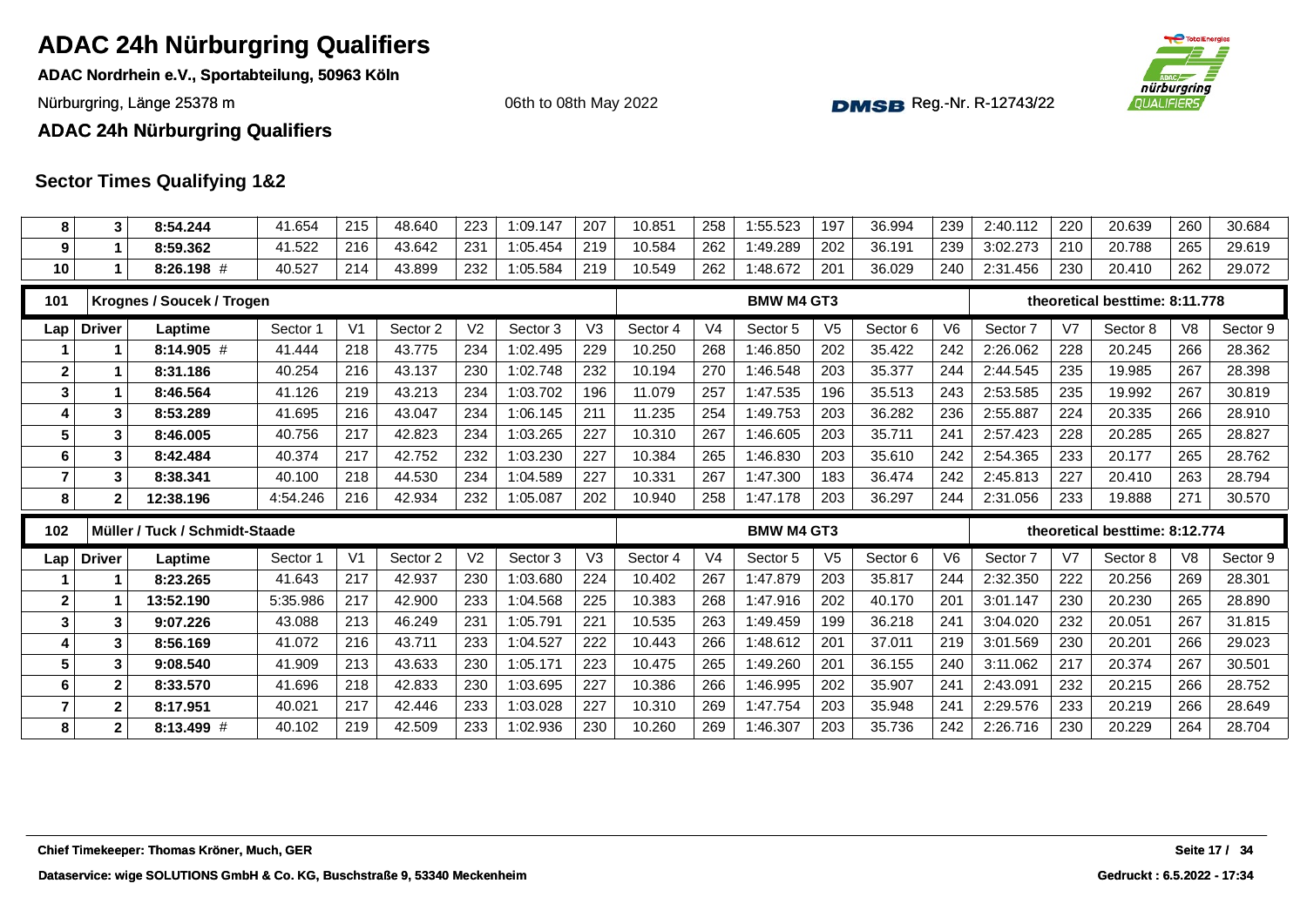**ADAC Nordrhein e.V., Sportabteilung, 50963 Köln**

Nürburgring, Länge 25378 m and the Communication of the Communication of the Communication of the Communication of the Communication of the Communication of the Communication of the Communication of the Communication of th

06th to 08th May 2022



**ADAC 24h Nürburgring Qualifiers**

| 8                | 3                | 8:54.244                       | 41.654   | 215            | 48.640   | 223            | 1:09.147 | 207            | 10.851   | 258            | 1:55.523          | 197            | 36.994   | 239            | 2:40.112 | 220            | 20.639                         | 260            | 30.684   |
|------------------|------------------|--------------------------------|----------|----------------|----------|----------------|----------|----------------|----------|----------------|-------------------|----------------|----------|----------------|----------|----------------|--------------------------------|----------------|----------|
| 9                | $\mathbf{1}$     | 8:59.362                       | 41.522   | 216            | 43.642   | 231            | 1:05.454 | 219            | 10.584   | 262            | 1:49.289          | 202            | 36.191   | 239            | 3:02.273 | 210            | 20.788                         | 265            | 29.619   |
| 10               | $\mathbf 1$      | $8:26.198$ #                   | 40.527   | 214            | 43.899   | 232            | 1:05.584 | 219            | 10.549   | 262            | 1:48.672          | 201            | 36.029   | 240            | 2:31.456 | 230            | 20.410                         | 262            | 29.072   |
| 101              |                  | Krognes / Soucek / Trogen      |          |                |          |                |          |                |          |                | <b>BMW M4 GT3</b> |                |          |                |          |                | theoretical besttime: 8:11.778 |                |          |
| Lap              | <b>Driver</b>    | Laptime                        | Sector 1 | V <sub>1</sub> | Sector 2 | V <sub>2</sub> | Sector 3 | V <sub>3</sub> | Sector 4 | V <sub>4</sub> | Sector 5          | V <sub>5</sub> | Sector 6 | V <sub>6</sub> | Sector 7 | V7             | Sector 8                       | V <sub>8</sub> | Sector 9 |
|                  | 1                | 8:14.905 #                     | 41.444   | 218            | 43.775   | 234            | 1:02.495 | 229            | 10.250   | 268            | 1:46.850          | 202            | 35.422   | 242            | 2:26.062 | 228            | 20.245                         | 266            | 28.362   |
| $\mathbf{2}$     | 1                | 8:31.186                       | 40.254   | 216            | 43.137   | 230            | 1:02.748 | 232            | 10.194   | 270            | 1:46.548          | 203            | 35.377   | 244            | 2:44.545 | 235            | 19.985                         | 267            | 28.398   |
| 3                | 1                | 8:46.564                       | 41.126   | 219            | 43.213   | 234            | 1:03.702 | 196            | 11.079   | 257            | 1:47.535          | 196            | 35.513   | 243            | 2:53.585 | 235            | 19.992                         | 267            | 30.819   |
| 4                | 3                | 8:53.289                       | 41.695   | 216            | 43.047   | 234            | 1:06.145 | 211            | 11.235   | 254            | 1:49.753          | 203            | 36.282   | 236            | 2:55.887 | 224            | 20.335                         | 266            | 28.910   |
| $5\phantom{.0}$  | 3                | 8:46.005                       | 40.756   | 217            | 42.823   | 234            | 1:03.265 | 227            | 10.310   | 267            | 1:46.605          | 203            | 35.711   | 241            | 2:57.423 | 228            | 20.285                         | 265            | 28.827   |
| $\bf 6$          | 3                | 8:42.484                       | 40.374   | 217            | 42.752   | 232            | 1:03.230 | 227            | 10.384   | 265            | 1:46.830          | 203            | 35.610   | 242            | 2:54.365 | 233            | 20.177                         | 265            | 28.762   |
| $\overline{7}$   | 3                | 8:38.341                       | 40.100   | 218            | 44.530   | 234            | 1:04.589 | 227            | 10.331   | 267            | 1:47.300          | 183            | 36.474   | 242            | 2:45.813 | 227            | 20.410                         | 263            | 28.794   |
| 8                | 2                | 12:38.196                      | 4:54.246 | 216            | 42.934   | 232            | 1:05.087 | 202            | 10.940   | 258            | 1:47.178          | 203            | 36.297   | 244            | 2:31.056 | 233            | 19.888                         | 271            | 30.570   |
| 102              |                  | Müller / Tuck / Schmidt-Staade |          |                |          |                |          |                |          |                | <b>BMW M4 GT3</b> |                |          |                |          |                | theoretical besttime: 8:12.774 |                |          |
|                  |                  |                                |          |                |          |                |          |                |          |                |                   |                |          |                |          |                |                                |                |          |
| Lap              | <b>Driver</b>    | Laptime                        | Sector 1 | V <sub>1</sub> | Sector 2 | V <sub>2</sub> | Sector 3 | V3             | Sector 4 | V <sub>4</sub> | Sector 5          | V <sub>5</sub> | Sector 6 | V <sub>6</sub> | Sector 7 | V <sub>7</sub> | Sector 8                       | V <sub>8</sub> | Sector 9 |
| -1               | 1                | 8:23.265                       | 41.643   | 217            | 42.937   | 230            | 1:03.680 | 224            | 10.402   | 267            | 1:47.879          | 203            | 35.817   | 244            | 2:32.350 | 222            | 20.256                         | 269            | 28.301   |
| $\boldsymbol{2}$ |                  | 13:52.190                      | 5:35.986 | 217            | 42.900   | 233            | 1:04.568 | 225            | 10.383   | 268            | 1:47.916          | 202            | 40.170   | 201            | 3:01.147 | 230            | 20.230                         | 265            | 28.890   |
| $\mathbf{3}$     | 3                | 9:07.226                       | 43.088   | 213            | 46.249   | 231            | 1:05.791 | 221            | 10.535   | 263            | 1:49.459          | 199            | 36.218   | 241            | 3:04.020 | 232            | 20.051                         | 267            | 31.815   |
| 4                | 3                | 8:56.169                       | 41.072   | 216            | 43.711   | 233            | 1:04.527 | 222            | 10.443   | 266            | 1:48.612          | 201            | 37.011   | 219            | 3:01.569 | 230            | 20.201                         | 266            | 29.023   |
| $5\phantom{1}$   | 3                | 9:08.540                       | 41.909   | 213            | 43.633   | 230            | 1:05.171 | 223            | 10.475   | 265            | 1:49.260          | 201            | 36.155   | 240            | 3:11.062 | 217            | 20.374                         | 267            | 30.501   |
| 6                | $\boldsymbol{2}$ | 8:33.570                       | 41.696   | 218            | 42.833   | 230            | 1:03.695 | 227            | 10.386   | 266            | 1:46.995          | 202            | 35.907   | 241            | 2:43.091 | 232            | 20.215                         | 266            | 28.752   |
| $\overline{7}$   | $\mathbf{2}$     | 8:17.951                       | 40.021   | 217            | 42.446   | 233            | 1:03.028 | 227            | 10.310   | 269            | 1:47.754          | 203            | 35.948   | 241            | 2:29.576 | 233            | 20.219                         | 266            | 28.649   |
| 8                | $\mathbf{2}$     | 8:13.499 #                     | 40.102   | 219            | 42.509   | 233            | 1:02.936 | 230            | 10.260   | 269            | 1:46.307          | 203            | 35.736   | 242            | 2:26.716 | 230            | 20.229                         | 264            | 28.704   |
|                  |                  |                                |          |                |          |                |          |                |          |                |                   |                |          |                |          |                |                                |                |          |
|                  |                  |                                |          |                |          |                |          |                |          |                |                   |                |          |                |          |                |                                |                |          |
|                  |                  |                                |          |                |          |                |          |                |          |                |                   |                |          |                |          |                |                                |                |          |
|                  |                  |                                |          |                |          |                |          |                |          |                |                   |                |          |                |          |                |                                |                |          |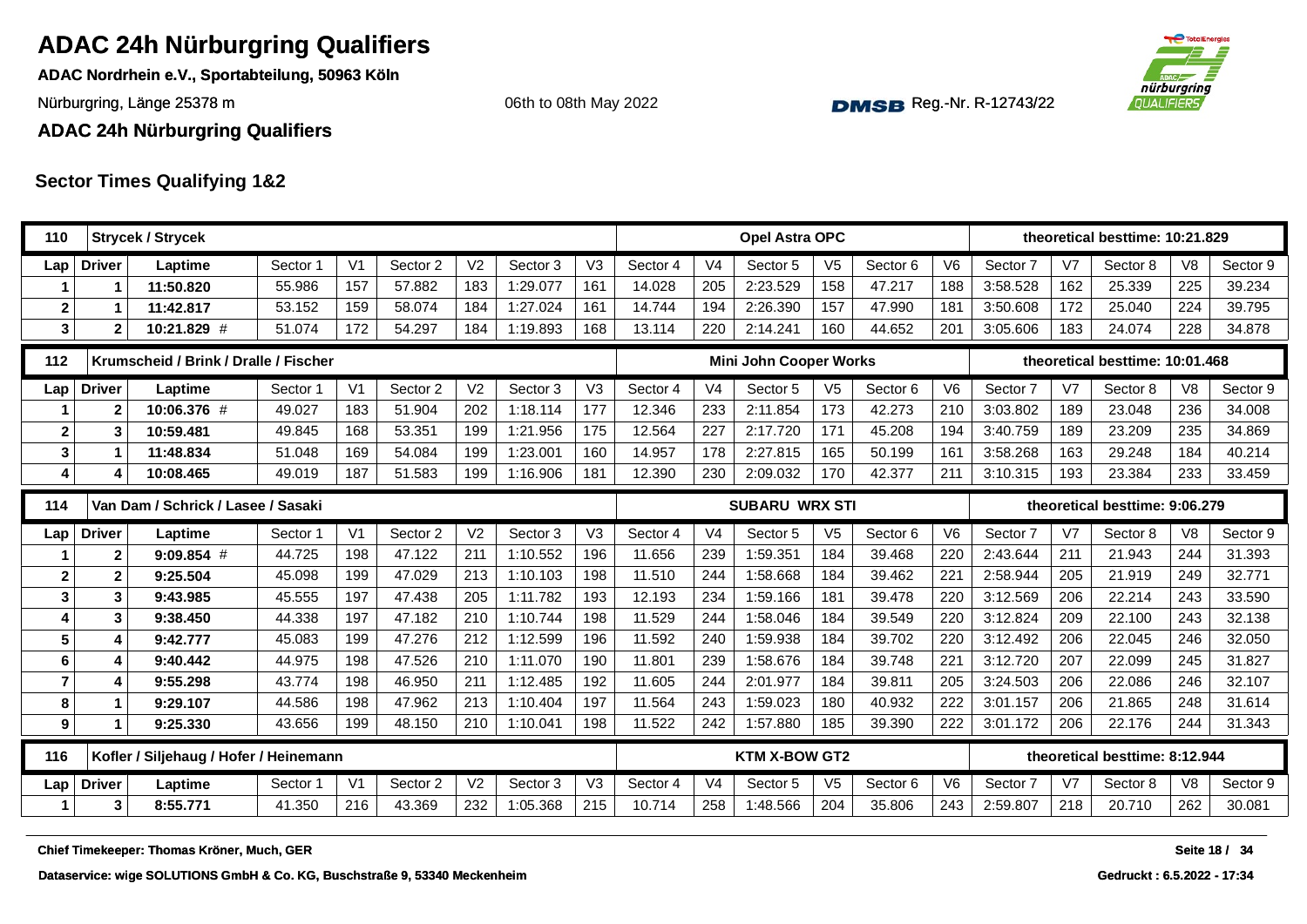**ADAC Nordrhein e.V., Sportabteilung, 50963 Köln**

06th to 08th May 2022



Nürburgring, Länge 25378 m and the Communication of the Communication of the Communication of the Communication of the Communication of the Communication of the Communication of the Communication of the Communication of th

**ADAC 24h Nürburgring Qualifiers**

| 110            |                | <b>Strycek / Strycek</b>                   |          |                |          |                |          |                |          |                | Opel Astra OPC                |                |          |                |          |                | theoretical besttime: 10:21.829 |                  |          |
|----------------|----------------|--------------------------------------------|----------|----------------|----------|----------------|----------|----------------|----------|----------------|-------------------------------|----------------|----------|----------------|----------|----------------|---------------------------------|------------------|----------|
| Lap            | <b>Driver</b>  | Laptime                                    | Sector 1 | V <sub>1</sub> | Sector 2 | V <sub>2</sub> | Sector 3 | V3             | Sector 4 | V <sub>4</sub> | Sector 5                      | V <sub>5</sub> | Sector 6 | V <sub>6</sub> | Sector 7 | V <sub>7</sub> | Sector 8                        | V <sub>8</sub>   | Sector 9 |
|                |                | 11:50.820                                  | 55.986   | 157            | 57.882   | 183            | 1:29.077 | 161            | 14.028   | 205            | 2:23.529                      | 158            | 47.217   | 188            | 3:58.528 | 162            | 25.339                          | 225              | 39.234   |
| $\mathbf{2}$   |                | 11:42.817                                  | 53.152   | 159            | 58.074   | 184            | 1:27.024 | 161            | 14.744   | 194            | 2:26.390                      | 157            | 47.990   | 181            | 3:50.608 | 172            | 25.040                          | 224              | 39.795   |
| 3              | $\mathbf{2}$   | 10:21.829 #                                | 51.074   | 172            | 54.297   | 184            | 1:19.893 | 168            | 13.114   | 220            | 2:14.241                      | 160            | 44.652   | 201            | 3:05.606 | 183            | 24.074                          | 228              | 34.878   |
| 112            |                | Krumscheid / Brink / Dralle / Fischer      |          |                |          |                |          |                |          |                | <b>Mini John Cooper Works</b> |                |          |                |          |                | theoretical besttime: 10:01.468 |                  |          |
| Lap            | <b>Driver</b>  | Laptime                                    | Sector 1 | V <sub>1</sub> | Sector 2 | V <sub>2</sub> | Sector 3 | V <sub>3</sub> | Sector 4 | V <sub>4</sub> | Sector 5                      | V <sub>5</sub> | Sector 6 | V <sub>6</sub> | Sector 7 | V <sub>7</sub> | Sector 8                        | V <sub>8</sub>   | Sector 9 |
|                | $\mathbf{2}$   | 10:06.376 #                                | 49.027   | 183            | 51.904   | 202            | 1:18.114 | 177            | 12.346   | 233            | 2:11.854                      | 173            | 42.273   | 210            | 3:03.802 | 189            | 23.048                          | 236              | 34.008   |
| $\mathbf{2}$   | 3              | 10:59.481                                  | 49.845   | 168            | 53.351   | 199            | 1:21.956 | 175            | 12.564   | 227            | 2:17.720                      | 171            | 45.208   | 194            | 3:40.759 | 189            | 23.209                          | 235              | 34.869   |
| 3              |                | 11:48.834                                  | 51.048   | 169            | 54.084   | 199            | 1:23.001 | 160            | 14.957   | 178            | 2:27.815                      | 165            | 50.199   | 161            | 3:58.268 | 163            | 29.248                          | 184              | 40.214   |
| 4              |                | 10:08.465                                  | 49.019   | 187            | 51.583   | 199            | 1:16.906 | 181            | 12.390   | 230            | 2:09.032                      | 170            | 42.377   | 211            | 3:10.315 | 193            | 23.384                          | 233              | 33.459   |
| 114            |                | Van Dam / Schrick / Lasee / Sasaki         |          |                |          |                |          |                |          |                | <b>SUBARU WRX STI</b>         |                |          |                |          |                | theoretical besttime: 9:06.279  |                  |          |
| Lap            | <b>Driver</b>  | Laptime                                    | Sector 1 | V <sub>1</sub> | Sector 2 | V <sub>2</sub> | Sector 3 | V <sub>3</sub> | Sector 4 | V <sub>4</sub> | Sector 5                      | V <sub>5</sub> | Sector 6 | V <sub>6</sub> | Sector 7 | V <sub>7</sub> | Sector 8                        | V <sub>8</sub>   | Sector 9 |
|                | $\overline{2}$ | $9:09.854$ #                               | 44.725   | 198            | 47.122   | 211            | 1:10.552 | 196            | 11.656   | 239            | 1:59.351                      | 184            | 39.468   | 220            | 2:43.644 | 211            | 21.943                          | 244              | 31.393   |
| $\mathbf 2$    | $\mathbf 2$    | 9:25.504                                   | 45.098   | 199            | 47.029   | 213            | 1:10.103 | 198            | 11.510   | 244            | 1:58.668                      | 184            | 39.462   | 221            | 2:58.944 | 205            | 21.919                          | 249              | 32.771   |
| 3              | 3              | 9:43.985                                   | 45.555   | 197            | 47.438   | 205            | 1:11.782 | 193            | 12.193   | 234            | 1:59.166                      | 181            | 39.478   | 220            | 3:12.569 | 206            | 22.214                          | 243              | 33.590   |
| 4              | 3              | 9:38.450                                   | 44.338   | 197            | 47.182   | 210            | 1:10.744 | 198            | 11.529   | 244            | 1:58.046                      | 184            | 39.549   | 220            | 3:12.824 | 209            | 22.100                          | 243              | 32.138   |
| 5              | 4              | 9:42.777                                   | 45.083   | 199            | 47.276   | 212            | 1:12.599 | 196            | 11.592   | 240            | 1:59.938                      | 184            | 39.702   | 220            | 3:12.492 | 206            | 22.045                          | 246              | 32.050   |
| 6              | 4              | 9:40.442                                   | 44.975   | 198            | 47.526   | 210            | 1:11.070 | 190            | 11.801   | 239            | 1:58.676                      | 184            | 39.748   | 221            | 3:12.720 | 207            | 22.099                          | 245              | 31.827   |
| $\overline{7}$ | 4              | 9:55.298                                   | 43.774   | 198            | 46.950   | 211            | 1:12.485 | 192            | 11.605   | 244            | 2:01.977                      | 184            | 39.811   | 205            | 3:24.503 | 206            | 22.086                          | 246              | 32.107   |
| 8              |                | 9:29.107                                   | 44.586   | 198            | 47.962   | 213            | 1:10.404 | 197            | 11.564   | 243            | 1:59.023                      | 180            | 40.932   | 222            | 3:01.157 | 206            | 21.865                          | 248              | 31.614   |
| 9              | 1              | 9:25.330                                   | 43.656   | 199            | 48.150   | 210            | 1:10.041 | 198            | 11.522   | 242            | 1:57.880                      | 185            | 39.390   | 222            | 3:01.172 | 206            | 22.176                          | 244              | 31.343   |
| 116            |                | Kofler / Siljehaug / Hofer / Heinemann     |          |                |          |                |          |                |          |                | <b>KTM X-BOW GT2</b>          |                |          |                |          |                | theoretical besttime: 8:12.944  |                  |          |
| Lap            | <b>Driver</b>  | Laptime                                    | Sector 1 | V <sub>1</sub> | Sector 2 | V <sub>2</sub> | Sector 3 | V <sub>3</sub> | Sector 4 | V <sub>4</sub> | Sector 5                      | V <sub>5</sub> | Sector 6 | V <sub>6</sub> | Sector 7 | V <sub>7</sub> | Sector 8                        | V <sub>8</sub>   | Sector 9 |
| 1              | 3              | 8:55.771                                   | 41.350   | 216            | 43.369   | 232            | 1:05.368 | 215            | 10.714   | 258            | 1:48.566                      | 204            | 35.806   | 243            | 2:59.807 | 218            | 20.710                          | 262              | 30.081   |
|                |                | Chief Timekeeper: Thomas Kröner, Much, GER |          |                |          |                |          |                |          |                |                               |                |          |                |          |                |                                 | <b>Seite 18/</b> | -34      |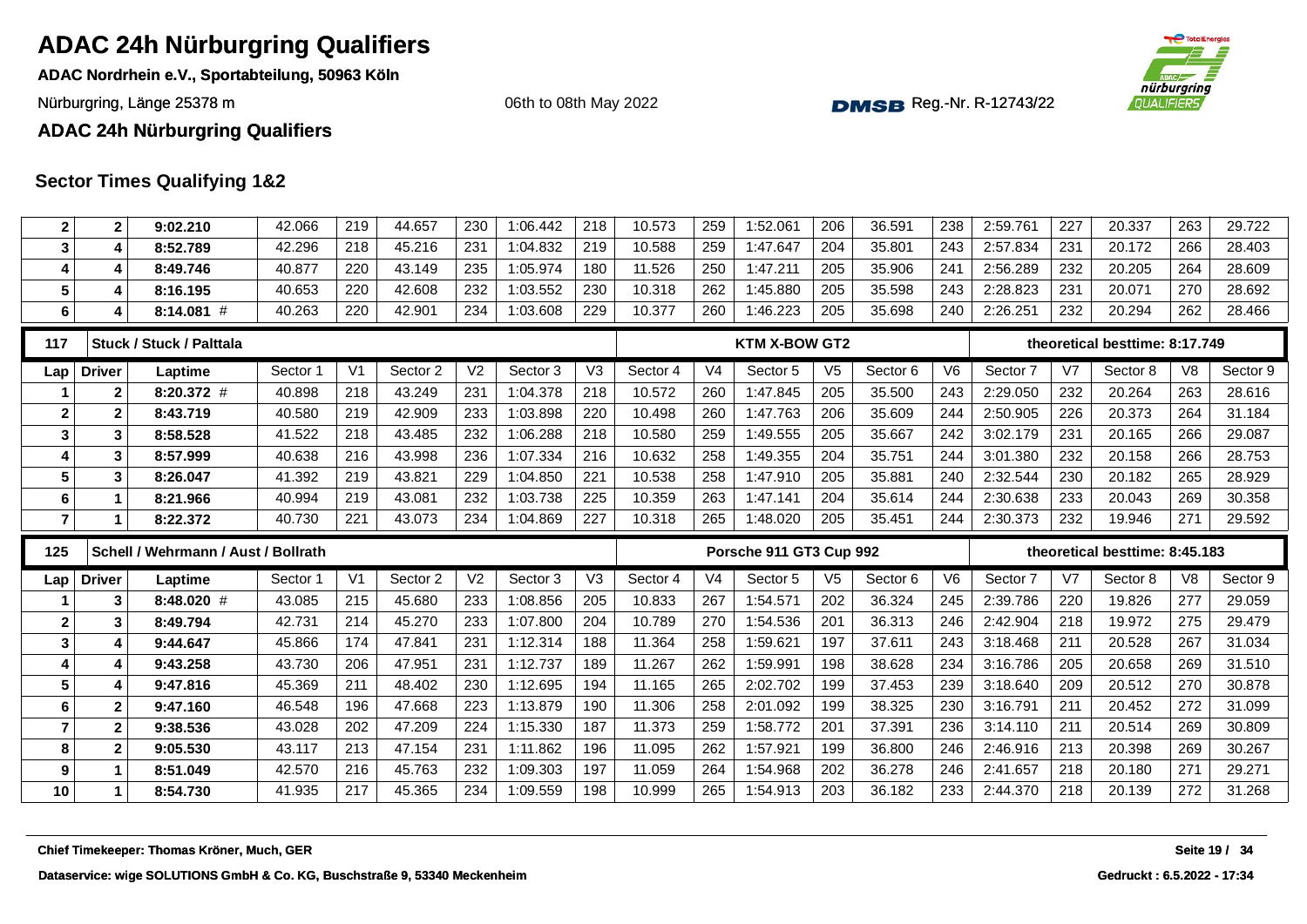**ADAC Nordrhein e.V., Sportabteilung, 50963 Köln**

Nürburgring, Länge 25378 m and the Communication of the Communication of the Communication of the Communication of the Communication of the Communication of the Communication of the Communication of the Communication of th

06th to 08th May 2022



**ADAC 24h Nürburgring Qualifiers**

| $\mathbf{2}$            | 2                       | 9:02.210                            | 42.066   | 219            | 44.657   | 230            | 1:06.442 | 218            | 10.573   | 259            | 1:52.061                | 206            | 36.591              | 238 | 2:59.761 | 227            | 20.337                         | 263            | 29.722   |
|-------------------------|-------------------------|-------------------------------------|----------|----------------|----------|----------------|----------|----------------|----------|----------------|-------------------------|----------------|---------------------|-----|----------|----------------|--------------------------------|----------------|----------|
| $\mathbf{3}$            | 4                       | 8:52.789                            | 42.296   | 218            | 45.216   | 231            | 1:04.832 | 219            | 10.588   | 259            | 1:47.647                | 204            | 35.801              | 243 | 2:57.834 | 231            | 20.172                         | 266            | 28.403   |
| $\overline{\mathbf{4}}$ | 4                       | 8:49.746                            | 40.877   | 220            | 43.149   | 235            | 1:05.974 | 180            | 11.526   | 250            | 1:47.211                | 205            | 35.906              | 241 | 2:56.289 | 232            | 20.205                         | 264            | 28.609   |
| 5                       | 4                       | 8:16.195                            | 40.653   | 220            | 42.608   | 232            | 1:03.552 | 230            | 10.318   | 262            | 1:45.880                | 205            | 35.598              | 243 | 2:28.823 | 231            | 20.071                         | 270            | 28.692   |
| $\bf 6$                 | 4                       | 8:14.081 #                          | 40.263   | 220            | 42.901   | 234            | 1:03.608 | 229            | 10.377   | 260            | 1:46.223                | 205            | 35.698              | 240 | 2:26.251 | 232            | 20.294                         | 262            | 28.466   |
| 117                     |                         | Stuck / Stuck / Palttala            |          |                |          |                |          |                |          |                | <b>KTM X-BOW GT2</b>    |                |                     |     |          |                | theoretical besttime: 8:17.749 |                |          |
| Lap                     | <b>Driver</b>           | Laptime                             | Sector 1 | V <sub>1</sub> | Sector 2 | V <sub>2</sub> | Sector 3 | V <sub>3</sub> | Sector 4 | V <sub>4</sub> | Sector 5                | V <sub>5</sub> | Sector <sub>6</sub> | V6  | Sector 7 | V <sub>7</sub> | Sector 8                       | V <sub>8</sub> | Sector 9 |
|                         | $\mathbf{2}$            | 8:20.372 #                          | 40.898   | 218            | 43.249   | 231            | 1:04.378 | 218            | 10.572   | 260            | 1:47.845                | 205            | 35.500              | 243 | 2:29.050 | 232            | 20.264                         | 263            | 28.616   |
| $\mathbf{2}$            | $\mathbf{2}$            | 8:43.719                            | 40.580   | 219            | 42.909   | 233            | 1:03.898 | 220            | 10.498   | 260            | 1:47.763                | 206            | 35.609              | 244 | 2:50.905 | 226            | 20.373                         | 264            | 31.184   |
| $\mathbf{3}$            | 3                       | 8:58.528                            | 41.522   | 218            | 43.485   | 232            | 1:06.288 | 218            | 10.580   | 259            | 1:49.555                | 205            | 35.667              | 242 | 3:02.179 | 231            | 20.165                         | 266            | 29.087   |
| $\overline{\mathbf{4}}$ | 3                       | 8:57.999                            | 40.638   | 216            | 43.998   | 236            | 1:07.334 | 216            | 10.632   | 258            | 1:49.355                | 204            | 35.751              | 244 | 3:01.380 | 232            | 20.158                         | 266            | 28.753   |
| 5                       | 3                       | 8:26.047                            | 41.392   | 219            | 43.821   | 229            | 1:04.850 | 221            | 10.538   | 258            | 1:47.910                | 205            | 35.881              | 240 | 2:32.544 | 230            | 20.182                         | 265            | 28.929   |
| 6                       |                         | 8:21.966                            | 40.994   | 219            | 43.081   | 232            | 1:03.738 | 225            | 10.359   | 263            | 1:47.141                | 204            | 35.614              | 244 | 2:30.638 | 233            | 20.043                         | 269            | 30.358   |
| $\overline{7}$          | 1                       | 8:22.372                            | 40.730   | 221            | 43.073   | 234            | 1:04.869 | 227            | 10.318   | 265            | 1:48.020                | 205            | 35.451              | 244 | 2:30.373 | 232            | 19.946                         | 271            | 29.592   |
|                         |                         |                                     |          |                |          |                |          |                |          |                |                         |                |                     |     |          |                |                                |                |          |
| 125                     |                         | Schell / Wehrmann / Aust / Bollrath |          |                |          |                |          |                |          |                | Porsche 911 GT3 Cup 992 |                |                     |     |          |                | theoretical besttime: 8:45.183 |                |          |
| Lap                     | <b>Driver</b>           | Laptime                             | Sector 1 | V <sub>1</sub> | Sector 2 | V <sub>2</sub> | Sector 3 | V3             | Sector 4 | V <sub>4</sub> | Sector 5                | V <sub>5</sub> | Sector 6            | V6  | Sector 7 | V7             | Sector 8                       | V <sub>8</sub> | Sector 9 |
|                         | 3                       | 8:48.020 #                          | 43.085   | 215            | 45.680   | 233            | 1:08.856 | 205            | 10.833   | 267            | 1:54.571                | 202            | 36.324              | 245 | 2:39.786 | 220            | 19.826                         | 277            | 29.059   |
| $\mathbf{2}$            | 3                       | 8:49.794                            | 42.731   | 214            | 45.270   | 233            | 1:07.800 | 204            | 10.789   | 270            | 1:54.536                | 201            | 36.313              | 246 | 2:42.904 | 218            | 19.972                         | 275            | 29.479   |
| $\mathbf{3}$            | 4                       | 9:44.647                            | 45.866   | 174            | 47.841   | 231            | 1:12.314 | 188            | 11.364   | 258            | 1:59.621                | 197            | 37.611              | 243 | 3:18.468 | 211            | 20.528                         | 267            | 31.034   |
| 4                       | 4                       | 9:43.258                            | 43.730   | 206            | 47.951   | 231            | 1:12.737 | 189            | 11.267   | 262            | 1:59.991                | 198            | 38.628              | 234 | 3:16.786 | 205            | 20.658                         | 269            | 31.510   |
| $5\phantom{.0}$         | 4                       | 9:47.816                            | 45.369   | 211            | 48.402   | 230            | 1:12.695 | 194            | 11.165   | 265            | 2:02.702                | 199            | 37.453              | 239 | 3:18.640 | 209            | 20.512                         | 270            | 30.878   |
| $\bf 6$                 | $\overline{\mathbf{2}}$ | 9:47.160                            | 46.548   | 196            | 47.668   | 223            | 1:13.879 | 190            | 11.306   | 258            | 2:01.092                | 199            | 38.325              | 230 | 3:16.791 | 211            | 20.452                         | 272            | 31.099   |
| $\overline{7}$          | $\mathbf{2}$            | 9:38.536                            | 43.028   | 202            | 47.209   | 224            | 1:15.330 | 187            | 11.373   | 259            | 1:58.772                | 201            | 37.391              | 236 | 3:14.110 | 211            | 20.514                         | 269            | 30.809   |
| 8                       | $\mathbf{2}$            | 9:05.530                            | 43.117   | 213            | 47.154   | 231            | 1:11.862 | 196            | 11.095   | 262            | 1:57.921                | 199            | 36.800              | 246 | 2:46.916 | 213            | 20.398                         | 269            | 30.267   |
| $\boldsymbol{9}$        | 1                       | 8:51.049                            | 42.570   | 216            | 45.763   | 232            | 1:09.303 | 197            | 11.059   | 264            | 1:54.968                | 202            | 36.278              | 246 | 2:41.657 | 218            | 20.180                         | 271            | 29.271   |
| 10                      | 1                       | 8:54.730                            | 41.935   | 217            | 45.365   | 234            | 1:09.559 | 198            | 10.999   | 265            | 1:54.913                | 203            | 36.182              | 233 | 2:44.370 | 218            | 20.139                         | 272            | 31.268   |
|                         |                         |                                     |          |                |          |                |          |                |          |                |                         |                |                     |     |          |                |                                |                |          |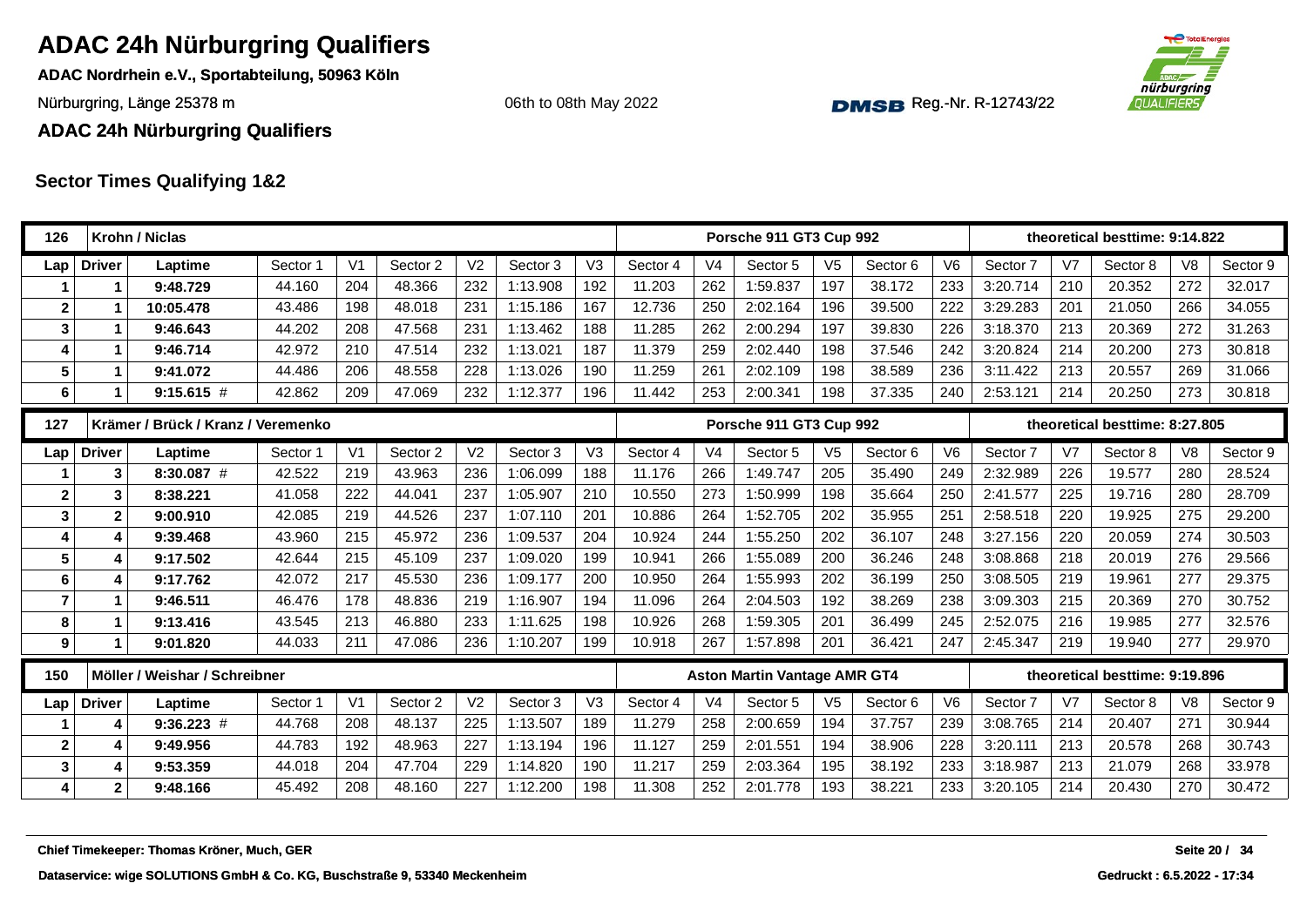**ADAC Nordrhein e.V., Sportabteilung, 50963 Köln**

Nürburgring, Länge 25378 m and the Communication of the Communication of the Communication of the Communication of the Communication of the Communication of the Communication of the Communication of the Communication of th

06th to 08th May 2022



**ADAC 24h Nürburgring Qualifiers**

| 126                     |                | Krohn / Niclas                             |          |                |          |                |          |                |          |                | Porsche 911 GT3 Cup 992             |                |          |                |          |                | theoretical besttime: 9:14.822 |                |               |
|-------------------------|----------------|--------------------------------------------|----------|----------------|----------|----------------|----------|----------------|----------|----------------|-------------------------------------|----------------|----------|----------------|----------|----------------|--------------------------------|----------------|---------------|
| Lap                     | <b>Driver</b>  | Laptime                                    | Sector 1 | V <sub>1</sub> | Sector 2 | V <sub>2</sub> | Sector 3 | V <sub>3</sub> | Sector 4 | V <sub>4</sub> | Sector 5                            | V <sub>5</sub> | Sector 6 | V <sub>6</sub> | Sector 7 | V <sub>7</sub> | Sector 8                       | V <sub>8</sub> | Sector 9      |
|                         | 1              | 9:48.729                                   | 44.160   | 204            | 48.366   | 232            | 1:13.908 | 192            | 11.203   | 262            | 1:59.837                            | 197            | 38.172   | 233            | 3:20.714 | 210            | 20.352                         | 272            | 32.017        |
| $\mathbf 2$             |                | 10:05.478                                  | 43.486   | 198            | 48.018   | 231            | 1:15.186 | 167            | 12.736   | 250            | 2:02.164                            | 196            | 39.500   | 222            | 3:29.283 | 201            | 21.050                         | 266            | 34.055        |
| 3                       | 1              | 9:46.643                                   | 44.202   | 208            | 47.568   | 231            | 1:13.462 | 188            | 11.285   | 262            | 2:00.294                            | 197            | 39.830   | 226            | 3:18.370 | 213            | 20.369                         | 272            | 31.263        |
| 4                       | 1              | 9:46.714                                   | 42.972   | 210            | 47.514   | 232            | 1:13.021 | 187            | 11.379   | 259            | 2:02.440                            | 198            | 37.546   | 242            | 3:20.824 | 214            | 20.200                         | 273            | 30.818        |
| 5                       | $\mathbf 1$    | 9:41.072                                   | 44.486   | 206            | 48.558   | 228            | 1:13.026 | 190            | 11.259   | 261            | 2:02.109                            | 198            | 38.589   | 236            | 3:11.422 | 213            | 20.557                         | 269            | 31.066        |
| 6                       | $\mathbf 1$    | $9:15.615$ #                               | 42.862   | 209            | 47.069   | 232            | 1:12.377 | 196            | 11.442   | 253            | 2:00.341                            | 198            | 37.335   | 240            | 2:53.121 | 214            | 20.250                         | 273            | 30.818        |
| 127                     |                | Krämer / Brück / Kranz / Veremenko         |          |                |          |                |          |                |          |                | Porsche 911 GT3 Cup 992             |                |          |                |          |                | theoretical besttime: 8:27.805 |                |               |
| Lap                     | <b>Driver</b>  | Laptime                                    | Sector 1 | V <sub>1</sub> | Sector 2 | V <sub>2</sub> | Sector 3 | V <sub>3</sub> | Sector 4 | V <sub>4</sub> | Sector 5                            | V <sub>5</sub> | Sector 6 | V <sub>6</sub> | Sector 7 | V <sub>7</sub> | Sector 8                       | V <sub>8</sub> | Sector 9      |
|                         | 3              | $8:30.087$ #                               | 42.522   | 219            | 43.963   | 236            | 1:06.099 | 188            | 11.176   | 266            | 1:49.747                            | 205            | 35.490   | 249            | 2:32.989 | 226            | 19.577                         | 280            | 28.524        |
| $\mathbf 2$             | 3              | 8:38.221                                   | 41.058   | 222            | 44.041   | 237            | 1:05.907 | 210            | 10.550   | 273            | 1:50.999                            | 198            | 35.664   | 250            | 2:41.577 | 225            | 19.716                         | 280            | 28.709        |
| $\mathbf{3}$            | $\mathbf{2}$   | 9:00.910                                   | 42.085   | 219            | 44.526   | 237            | 1:07.110 | 201            | 10.886   | 264            | 1:52.705                            | 202            | 35.955   | 251            | 2:58.518 | 220            | 19.925                         | 275            | 29.200        |
| 4                       | 4              | 9:39.468                                   | 43.960   | 215            | 45.972   | 236            | 1:09.537 | 204            | 10.924   | 244            | 1:55.250                            | 202            | 36.107   | 248            | 3:27.156 | 220            | 20.059                         | 274            | 30.503        |
| 5                       | 4              | 9:17.502                                   | 42.644   | 215            | 45.109   | 237            | 1:09.020 | 199            | 10.941   | 266            | 1:55.089                            | 200            | 36.246   | 248            | 3:08.868 | 218            | 20.019                         | 276            | 29.566        |
| 6                       | 4              | 9:17.762                                   | 42.072   | 217            | 45.530   | 236            | 1:09.177 | 200            | 10.950   | 264            | 1:55.993                            | 202            | 36.199   | 250            | 3:08.505 | 219            | 19.961                         | 277            | 29.375        |
| $\overline{\mathbf{r}}$ | $\mathbf 1$    | 9:46.511                                   | 46.476   | 178            | 48.836   | 219            | 1:16.907 | 194            | 11.096   | 264            | 2:04.503                            | 192            | 38.269   | 238            | 3:09.303 | 215            | 20.369                         | 270            | 30.752        |
| 8                       | 1              | 9:13.416                                   | 43.545   | 213            | 46.880   | 233            | 1:11.625 | 198            | 10.926   | 268            | 1:59.305                            | 201            | 36.499   | 245            | 2:52.075 | 216            | 19.985                         | 277            | 32.576        |
| 9                       | $\mathbf 1$    | 9:01.820                                   | 44.033   | 211            | 47.086   | 236            | 1:10.207 | 199            | 10.918   | 267            | 1:57.898                            | 201            | 36.421   | 247            | 2:45.347 | 219            | 19.940                         | 277            | 29.970        |
| 150                     |                | Möller / Weishar / Schreibner              |          |                |          |                |          |                |          |                | <b>Aston Martin Vantage AMR GT4</b> |                |          |                |          |                | theoretical besttime: 9:19.896 |                |               |
| Lap                     | <b>Driver</b>  | Laptime                                    | Sector 1 | V <sub>1</sub> | Sector 2 | V <sub>2</sub> | Sector 3 | V3             | Sector 4 | V <sub>4</sub> | Sector 5                            | V <sub>5</sub> | Sector 6 | V <sub>6</sub> | Sector 7 | V <sub>7</sub> | Sector 8                       | V <sub>8</sub> | Sector 9      |
|                         | 4              | $9:36.223$ #                               | 44.768   | 208            | 48.137   | 225            | 1:13.507 | 189            | 11.279   | 258            | 2:00.659                            | 194            | 37.757   | 239            | 3:08.765 | 214            | 20.407                         | 271            | 30.944        |
| $\mathbf{2}$            | 4              | 9:49.956                                   | 44.783   | 192            | 48.963   | 227            | 1:13.194 | 196            | 11.127   | 259            | 2:01.551                            | 194            | 38.906   | 228            | 3:20.111 | 213            | 20.578                         | 268            | 30.743        |
| 3                       | 4              | 9:53.359                                   | 44.018   | 204            | 47.704   | 229            | 1:14.820 | 190            | 11.217   | 259            | 2:03.364                            | 195            | 38.192   | 233            | 3:18.987 | 213            | 21.079                         | 268            | 33.978        |
| 4                       | 2 <sup>1</sup> | 9:48.166                                   | 45.492   | 208            | 48.160   | 227            | 1:12.200 | 198            | 11.308   | 252            | 2:01.778                            | 193            | 38.221   | 233            | 3:20.105 | 214            | 20.430                         | 270            | 30.472        |
|                         |                | Chief Timekeeper: Thomas Kröner, Much, GER |          |                |          |                |          |                |          |                |                                     |                |          |                |          |                |                                |                | Seite 20 / 34 |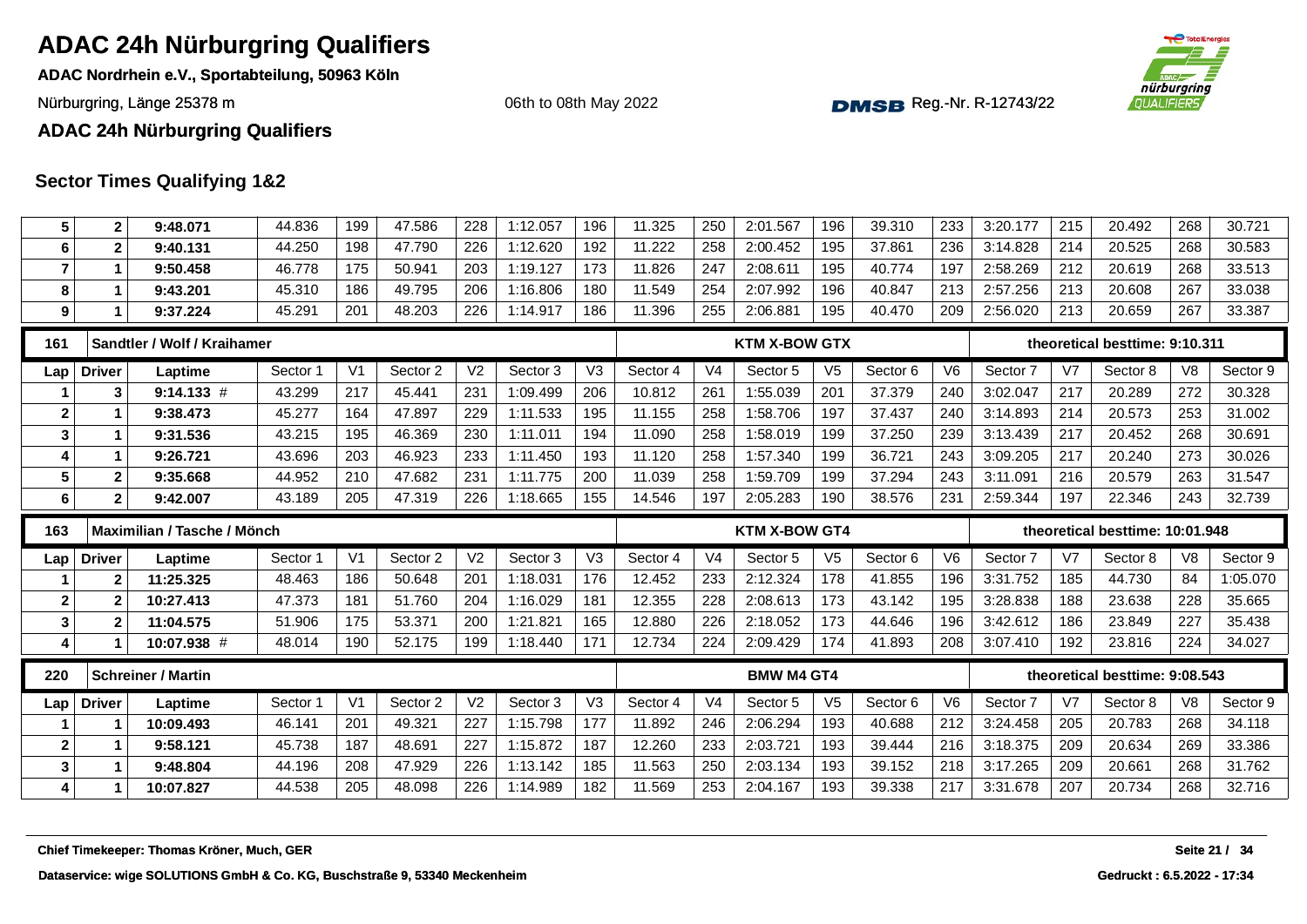**ADAC Nordrhein e.V., Sportabteilung, 50963 Köln**

Nürburgring, Länge 25378 m and the Communication of the Communication of the Communication of the Communication of the Communication of the Communication of the Communication of the Communication of the Communication of th



#### **ADAC 24h Nürburgring Qualifiers**

#### **Sector Times Qualifying 1&2**

| 5              | $\mathbf{2}$  | 9:48.071                    | 44.836   | 199            | 47.586   | 228            | 1:12.057 | 196            | 11.325   | 250            | 2:01.567             | 196            | 39.310   | 233            | 3:20.177 | 215            | 20.492                          | 268            | 30.721   |
|----------------|---------------|-----------------------------|----------|----------------|----------|----------------|----------|----------------|----------|----------------|----------------------|----------------|----------|----------------|----------|----------------|---------------------------------|----------------|----------|
| 6              | $\mathbf{2}$  | 9:40.131                    | 44.250   | 198            | 47.790   | 226            | 1:12.620 | 192            | 11.222   | 258            | 2:00.452             | 195            | 37.861   | 236            | 3:14.828 | 214            | 20.525                          | 268            | 30.583   |
| $\overline{7}$ | 1             | 9:50.458                    | 46.778   | 175            | 50.941   | 203            | 1:19.127 | 173            | 11.826   | 247            | 2:08.611             | 195            | 40.774   | 197            | 2:58.269 | 212            | 20.619                          | 268            | 33.513   |
| 8              | $\mathbf 1$   | 9:43.201                    | 45.310   | 186            | 49.795   | 206            | 1:16.806 | 180            | 11.549   | 254            | 2:07.992             | 196            | 40.847   | 213            | 2:57.256 | 213            | 20.608                          | 267            | 33.038   |
| 9              |               | 9:37.224                    | 45.291   | 201            | 48.203   | 226            | 1:14.917 | 186            | 11.396   | 255            | 2:06.881             | 195            | 40.470   | 209            | 2:56.020 | 213            | 20.659                          | 267            | 33.387   |
| 161            |               | Sandtler / Wolf / Kraihamer |          |                |          |                |          |                |          |                | <b>KTM X-BOW GTX</b> |                |          |                |          |                | theoretical besttime: 9:10.311  |                |          |
| Lap            | <b>Driver</b> | Laptime                     | Sector 1 | V <sub>1</sub> | Sector 2 | V <sub>2</sub> | Sector 3 | V <sub>3</sub> | Sector 4 | V <sub>4</sub> | Sector 5             | V <sub>5</sub> | Sector 6 | V <sub>6</sub> | Sector 7 | V <sub>7</sub> | Sector 8                        | V8             | Sector 9 |
|                | 3             | $9:14.133$ #                | 43.299   | 217            | 45.441   | 231            | 1:09.499 | 206            | 10.812   | 261            | 1:55.039             | 201            | 37.379   | 240            | 3:02.047 | 217            | 20.289                          | 272            | 30.328   |
| $\mathbf 2$    |               | 9:38.473                    | 45.277   | 164            | 47.897   | 229            | 1:11.533 | 195            | 11.155   | 258            | 1:58.706             | 197            | 37.437   | 240            | 3:14.893 | 214            | 20.573                          | 253            | 31.002   |
| 3              | $\mathbf 1$   | 9:31.536                    | 43.215   | 195            | 46.369   | 230            | 1:11.011 | 194            | 11.090   | 258            | 1:58.019             | 199            | 37.250   | 239            | 3:13.439 | 217            | 20.452                          | 268            | 30.691   |
| 4              |               | 9:26.721                    | 43.696   | 203            | 46.923   | 233            | 1:11.450 | 193            | 11.120   | 258            | 1:57.340             | 199            | 36.721   | 243            | 3:09.205 | 217            | 20.240                          | 273            | 30.026   |
| 5              | $\mathbf{2}$  | 9:35.668                    | 44.952   | 210            | 47.682   | 231            | 1:11.775 | 200            | 11.039   | 258            | 1:59.709             | 199            | 37.294   | 243            | 3:11.091 | 216            | 20.579                          | 263            | 31.547   |
| 6              | $\mathbf{2}$  | 9:42.007                    | 43.189   | 205            | 47.319   | 226            | 1:18.665 | 155            | 14.546   | 197            | 2:05.283             | 190            | 38.576   | 231            | 2:59.344 | 197            | 22.346                          | 243            | 32.739   |
| 163            |               | Maximilian / Tasche / Mönch |          |                |          |                |          |                |          |                | <b>KTM X-BOW GT4</b> |                |          |                |          |                | theoretical besttime: 10:01.948 |                |          |
|                |               |                             |          |                |          |                |          | V <sub>3</sub> | Sector 4 | V <sub>4</sub> | Sector 5             | V <sub>5</sub> | Sector 6 | V <sub>6</sub> | Sector 7 | V <sub>7</sub> | Sector 8                        | V8             | Sector 9 |
| Lap            | <b>Driver</b> | Laptime                     | Sector 1 | V <sub>1</sub> | Sector 2 | V <sub>2</sub> | Sector 3 |                |          |                |                      |                |          |                |          |                |                                 |                |          |
|                | $\mathbf{2}$  | 11:25.325                   | 48.463   | 186            | 50.648   | 201            | 1:18.031 | 176            | 12.452   | 233            | 2:12.324             | 178            | 41.855   | 196            | 3:31.752 | 185            | 44.730                          | 84             | 1:05.070 |
| $\mathbf{2}$   | $\mathbf{2}$  | 10:27.413                   | 47.373   | 181            | 51.760   | 204            | 1:16.029 | 181            | 12.355   | 228            | 2:08.613             | 173            | 43.142   | 195            | 3:28.838 | 188            | 23.638                          | 228            | 35.665   |
| 3              | $\mathbf{2}$  | 11:04.575                   | 51.906   | 175            | 53.371   | 200            | 1:21.821 | 165            | 12.880   | 226            | 2:18.052             | 173            | 44.646   | 196            | 3:42.612 | 186            | 23.849                          | 227            | 35.438   |
| 4              |               | 10:07.938 #                 | 48.014   | 190            | 52.175   | 199            | 1:18.440 | 171            | 12.734   | 224            | 2:09.429             | 174            | 41.893   | 208            | 3:07.410 | 192            | 23.816                          | 224            | 34.027   |
| 220            |               | <b>Schreiner / Martin</b>   |          |                |          |                |          |                |          |                | <b>BMW M4 GT4</b>    |                |          |                |          |                | theoretical besttime: 9:08.543  |                |          |
| Lap            | <b>Driver</b> | Laptime                     | Sector 1 | V <sub>1</sub> | Sector 2 | V <sub>2</sub> | Sector 3 | V <sub>3</sub> | Sector 4 | V <sub>4</sub> | Sector 5             | V <sub>5</sub> | Sector 6 | V <sub>6</sub> | Sector 7 | V7             | Sector 8                        | V <sub>8</sub> | Sector 9 |
|                |               | 10:09.493                   | 46.141   | 201            | 49.321   | 227            | 1:15.798 | 177            | 11.892   | 246            | 2:06.294             | 193            | 40.688   | 212            | 3:24.458 | 205            | 20.783                          | 268            | 34.118   |
| $\mathbf 2$    |               | 9:58.121                    | 45.738   | 187            | 48.691   | 227            | 1:15.872 | 187            | 12.260   | 233            | 2:03.721             | 193            | 39.444   | 216            | 3:18.375 | 209            | 20.634                          | 269            | 33.386   |
| 3              | $\mathbf 1$   | 9:48.804                    | 44.196   | 208            | 47.929   | 226            | 1:13.142 | 185            | 11.563   | 250            | 2:03.134             | 193            | 39.152   | 218            | 3:17.265 | 209            | 20.661                          | 268            | 31.762   |
| 4              |               | 10:07.827                   | 44.538   | 205            | 48.098   | 226            | 1:14.989 | 182            | 11.569   | 253            | 2:04.167             | 193            | 39.338   | 217            | 3:31.678 | 207            | 20.734                          | 268            | 32.716   |
|                |               |                             |          |                |          |                |          |                |          |                |                      |                |          |                |          |                |                                 |                |          |

06th to 08th May 2022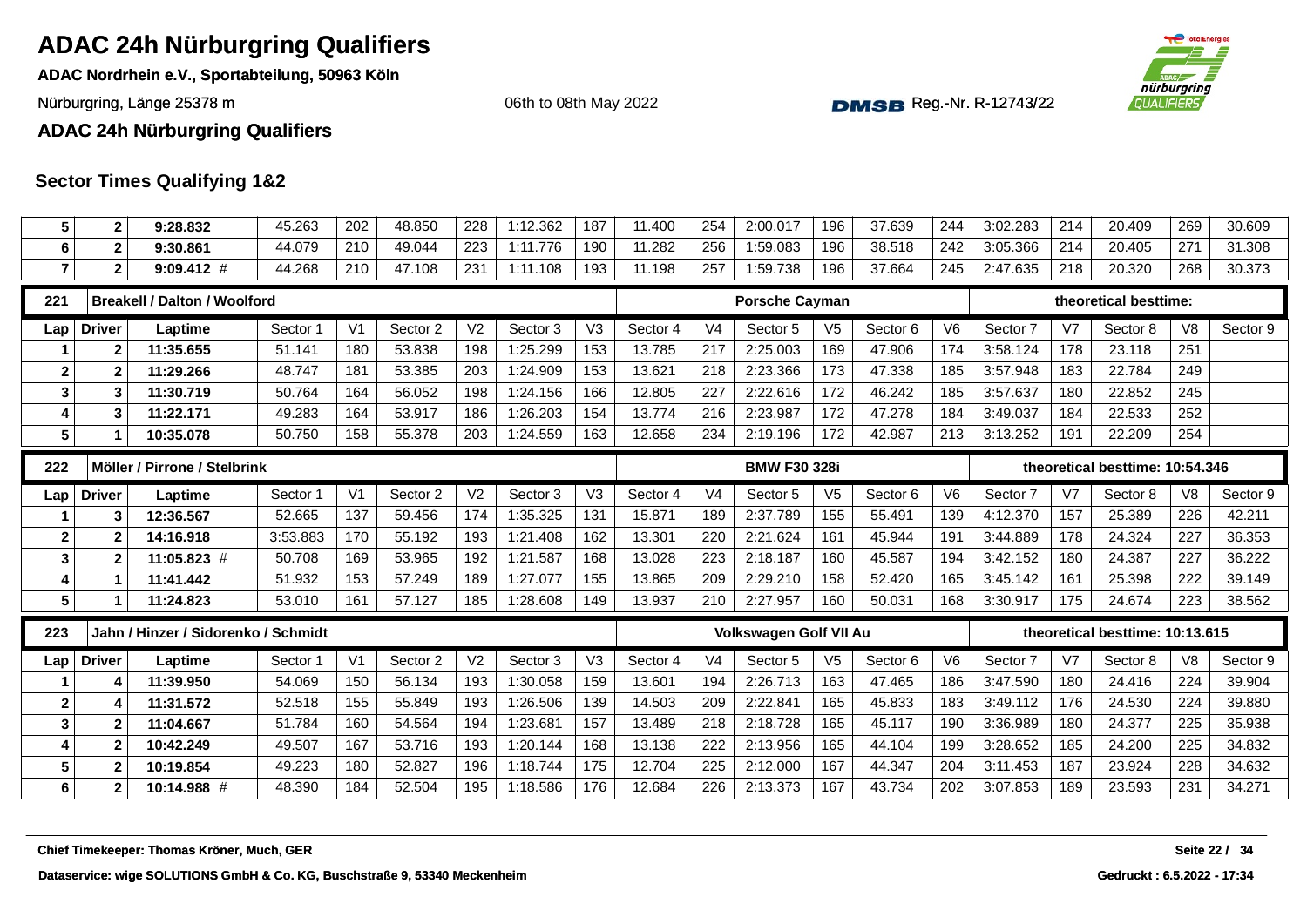**ADAC Nordrhein e.V., Sportabteilung, 50963 Köln**

Nürburgring, Länge 25378 m and the Communication of the Communication of the Communication of the Communication of the Communication of the Communication of the Communication of the Communication of the Communication of th

06th to 08th May 2022



**ADAC 24h Nürburgring Qualifiers**

| $5\phantom{.0}$         | $\mathbf{2}$   | 9:28.832                                   | 45.263   | 202            | 48.850   | 228            | 1:12.362 | 187            | 11.400   | 254            | 2:00.017                      | 196            | 37.639   | 244            | 3:02.283 | 214            | 20.409                          | 269            | 30.609        |
|-------------------------|----------------|--------------------------------------------|----------|----------------|----------|----------------|----------|----------------|----------|----------------|-------------------------------|----------------|----------|----------------|----------|----------------|---------------------------------|----------------|---------------|
| 6                       | $\mathbf{2}$   | 9:30.861                                   | 44.079   | 210            | 49.044   | 223            | 1:11.776 | 190            | 11.282   | 256            | 1:59.083                      | 196            | 38.518   | 242            | 3:05.366 | 214            | 20.405                          | 271            | 31.308        |
| $\overline{7}$          | $\mathbf{2}$   | $9:09.412$ #                               | 44.268   | 210            | 47.108   | 231            | 1:11.108 | 193            | 11.198   | 257            | 1:59.738                      | 196            | 37.664   | 245            | 2:47.635 | 218            | 20.320                          | 268            | 30.373        |
| 221                     |                | <b>Breakell / Dalton / Woolford</b>        |          |                |          |                |          |                |          |                | <b>Porsche Cayman</b>         |                |          |                |          |                | theoretical besttime:           |                |               |
| Lap                     | <b>Driver</b>  | Laptime                                    | Sector 1 | V <sub>1</sub> | Sector 2 | V <sub>2</sub> | Sector 3 | V3             | Sector 4 | V <sub>4</sub> | Sector 5                      | V <sub>5</sub> | Sector 6 | V <sub>6</sub> | Sector 7 | V <sub>7</sub> | Sector 8                        | V <sub>8</sub> | Sector 9      |
|                         | $\mathbf{2}$   | 11:35.655                                  | 51.141   | 180            | 53.838   | 198            | 1:25.299 | 153            | 13.785   | 217            | 2:25.003                      | 169            | 47.906   | 174            | 3:58.124 | 178            | 23.118                          | 251            |               |
| $\overline{\mathbf{2}}$ | $\overline{2}$ | 11:29.266                                  | 48.747   | 181            | 53.385   | 203            | 1:24.909 | 153            | 13.621   | 218            | 2:23.366                      | 173            | 47.338   | 185            | 3:57.948 | 183            | 22.784                          | 249            |               |
| $\mathbf{3}$            | 3              | 11:30.719                                  | 50.764   | 164            | 56.052   | 198            | 1:24.156 | 166            | 12.805   | 227            | 2:22.616                      | 172            | 46.242   | 185            | 3:57.637 | 180            | 22.852                          | 245            |               |
| $\overline{\mathbf{4}}$ | 3              | 11:22.171                                  | 49.283   | 164            | 53.917   | 186            | 1:26.203 | 154            | 13.774   | 216            | 2:23.987                      | 172            | 47.278   | 184            | 3:49.037 | 184            | 22.533                          | 252            |               |
| $5\phantom{1}$          | 1              | 10:35.078                                  | 50.750   | 158            | 55.378   | 203            | 1:24.559 | 163            | 12.658   | 234            | 2:19.196                      | 172            | 42.987   | 213            | 3:13.252 | 191            | 22.209                          | 254            |               |
| 222                     |                | Möller / Pirrone / Stelbrink               |          |                |          |                |          |                |          |                | <b>BMW F30 328i</b>           |                |          |                |          |                | theoretical besttime: 10:54.346 |                |               |
| Lap                     | <b>Driver</b>  | Laptime                                    | Sector 1 | V <sub>1</sub> | Sector 2 | V <sub>2</sub> | Sector 3 | V <sub>3</sub> | Sector 4 | V <sub>4</sub> | Sector 5                      | V <sub>5</sub> | Sector 6 | V <sub>6</sub> | Sector 7 | V7             | Sector 8                        | V <sub>8</sub> | Sector 9      |
|                         | 3              | 12:36.567                                  | 52.665   | 137            | 59.456   | 174            | 1:35.325 | 131            | 15.871   | 189            | 2:37.789                      | 155            | 55.491   | 139            | 4:12.370 | 157            | 25.389                          | 226            | 42.211        |
| $\mathbf{2}$            | $\overline{2}$ | 14:16.918                                  | 3:53.883 | 170            | 55.192   | 193            | 1:21.408 | 162            | 13.301   | 220            | 2:21.624                      | 161            | 45.944   | 191            | 3:44.889 | 178            | 24.324                          | 227            | 36.353        |
| $\mathbf{3}$            | $\overline{2}$ | 11:05.823 #                                | 50.708   | 169            | 53.965   | 192            | 1:21.587 | 168            | 13.028   | 223            | 2:18.187                      | 160            | 45.587   | 194            | 3:42.152 | 180            | 24.387                          | 227            | 36.222        |
| $\overline{\mathbf{4}}$ | 1              | 11:41.442                                  | 51.932   | 153            | 57.249   | 189            | 1:27.077 | 155            | 13.865   | 209            | 2:29.210                      | 158            | 52.420   | 165            | 3:45.142 | 161            | 25.398                          | 222            | 39.149        |
| $5\phantom{1}$          | 1              | 11:24.823                                  | 53.010   | 161            | 57.127   | 185            | 1:28.608 | 149            | 13.937   | 210            | 2:27.957                      | 160            | 50.031   | 168            | 3:30.917 | 175            | 24.674                          | 223            | 38.562        |
| 223                     |                | Jahn / Hinzer / Sidorenko / Schmidt        |          |                |          |                |          |                |          |                | <b>Volkswagen Golf VII Au</b> |                |          |                |          |                | theoretical besttime: 10:13.615 |                |               |
| Lap                     | <b>Driver</b>  | Laptime                                    | Sector 1 | V <sub>1</sub> | Sector 2 | V <sub>2</sub> | Sector 3 | V <sub>3</sub> | Sector 4 | V <sub>4</sub> | Sector 5                      | V <sub>5</sub> | Sector 6 | V <sub>6</sub> | Sector 7 | V <sub>7</sub> | Sector 8                        | V <sub>8</sub> | Sector 9      |
|                         | 4              | 11:39.950                                  |          |                | 56.134   | 193            | 1:30.058 | 159            | 13.601   | 194            | 2:26.713                      | 163            | 47.465   | 186            | 3:47.590 | 180            | 24.416                          | 224            | 39.904        |
|                         |                |                                            | 54.069   | 150            |          |                |          |                |          |                |                               |                |          |                |          |                |                                 |                |               |
| $\overline{\mathbf{2}}$ | 4              | 11:31.572                                  | 52.518   | 155            | 55.849   | 193            | 1:26.506 | 139            | 14.503   | 209            | 2:22.841                      | 165            | 45.833   | 183            | 3:49.112 | 176            | 24.530                          | 224            | 39.880        |
| $\mathbf{3}$            | $\overline{2}$ | 11:04.667                                  | 51.784   | 160            | 54.564   | 194            | 1:23.681 | 157            | 13.489   | 218            | 2:18.728                      | 165            | 45.117   | 190            | 3:36.989 | 180            | 24.377                          | 225            | 35.938        |
| 4                       | $\overline{2}$ | 10:42.249                                  | 49.507   | 167            | 53.716   | 193            | 1:20.144 | 168            | 13.138   | 222            | 2:13.956                      | 165            | 44.104   | 199            | 3:28.652 | 185            | 24.200                          | 225            | 34.832        |
| $5\phantom{1}$          | $\mathbf{2}$   | 10:19.854                                  | 49.223   | 180            | 52.827   | 196            | 1:18.744 | 175            | 12.704   | 225            | 2:12.000                      | 167            | 44.347   | 204            | 3:11.453 | 187            | 23.924                          | 228            | 34.632        |
| $\bf 6$                 | $\mathbf{2}$   | 10:14.988 #                                | 48.390   | 184            | 52.504   | 195            | 1:18.586 | 176            | 12.684   | 226            | 2:13.373                      | 167            | 43.734   | 202            | 3:07.853 | 189            | 23.593                          | 231            | 34.271        |
|                         |                |                                            |          |                |          |                |          |                |          |                |                               |                |          |                |          |                |                                 |                |               |
|                         |                | Chief Timekeeper: Thomas Kröner, Much, GER |          |                |          |                |          |                |          |                |                               |                |          |                |          |                |                                 |                | Seite 22 / 34 |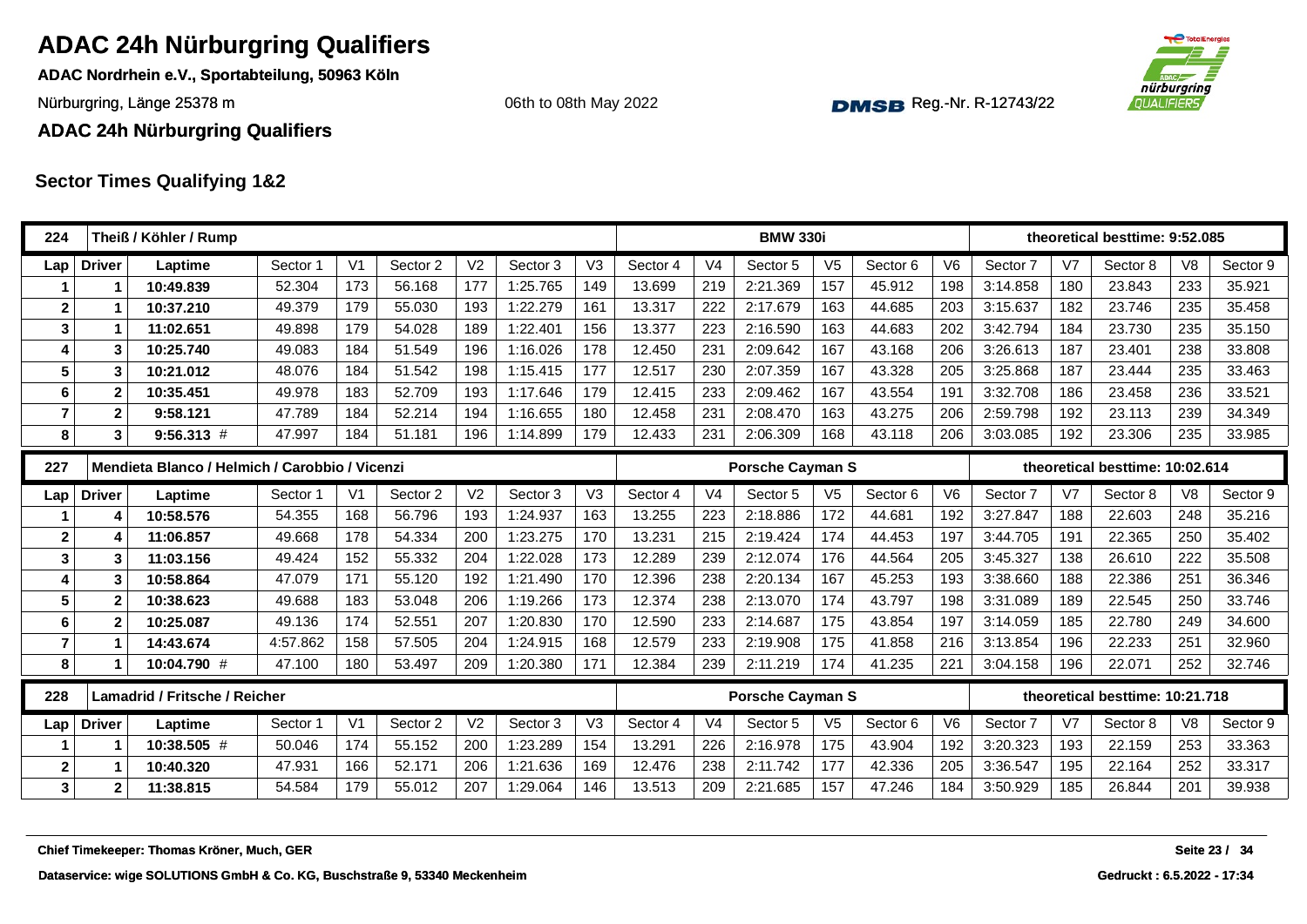**ADAC Nordrhein e.V., Sportabteilung, 50963 Köln**

Nürburgring, Länge 25378 m and the Communication of the Communication of the Communication of the Communication of the Communication of the Communication of the Communication of the Communication of the Communication of th

06th to 08th May 2022



**ADAC 24h Nürburgring Qualifiers**

| 224            |               | Theiß / Köhler / Rump                          |          |                |          |                |          |                |          |                | <b>BMW 330i</b>         |                |          |                |          |                | theoretical besttime: 9:52.085  |                |               |
|----------------|---------------|------------------------------------------------|----------|----------------|----------|----------------|----------|----------------|----------|----------------|-------------------------|----------------|----------|----------------|----------|----------------|---------------------------------|----------------|---------------|
| Lap            | <b>Driver</b> | Laptime                                        | Sector 1 | V <sub>1</sub> | Sector 2 | V <sub>2</sub> | Sector 3 | V <sub>3</sub> | Sector 4 | V <sub>4</sub> | Sector 5                | V <sub>5</sub> | Sector 6 | V <sub>6</sub> | Sector 7 | V <sub>7</sub> | Sector 8                        | V <sub>8</sub> | Sector 9      |
|                | 1             | 10:49.839                                      | 52.304   | 173            | 56.168   | 177            | 1:25.765 | 149            | 13.699   | 219            | 2:21.369                | 157            | 45.912   | 198            | 3:14.858 | 180            | 23.843                          | 233            | 35.921        |
| $\mathbf{2}$   | 1             | 10:37.210                                      | 49.379   | 179            | 55.030   | 193            | 1:22.279 | 161            | 13.317   | 222            | 2:17.679                | 163            | 44.685   | 203            | 3:15.637 | 182            | 23.746                          | 235            | 35.458        |
| $\mathbf{3}$   | 1             | 11:02.651                                      | 49.898   | 179            | 54.028   | 189            | 1:22.401 | 156            | 13.377   | 223            | 2:16.590                | 163            | 44.683   | 202            | 3:42.794 | 184            | 23.730                          | 235            | 35.150        |
| 4              | 3             | 10:25.740                                      | 49.083   | 184            | 51.549   | 196            | 1:16.026 | 178            | 12.450   | 231            | 2:09.642                | 167            | 43.168   | 206            | 3:26.613 | 187            | 23.401                          | 238            | 33.808        |
| 5              | 3             | 10:21.012                                      | 48.076   | 184            | 51.542   | 198            | 1:15.415 | 177            | 12.517   | 230            | 2:07.359                | 167            | 43.328   | 205            | 3:25.868 | 187            | 23.444                          | 235            | 33.463        |
| 6              | $\mathbf{2}$  | 10:35.451                                      | 49.978   | 183            | 52.709   | 193            | 1:17.646 | 179            | 12.415   | 233            | 2:09.462                | 167            | 43.554   | 191            | 3:32.708 | 186            | 23.458                          | 236            | 33.521        |
| $\overline{7}$ | $\mathbf 2$   | 9:58.121                                       | 47.789   | 184            | 52.214   | 194            | 1:16.655 | 180            | 12.458   | 231            | 2:08.470                | 163            | 43.275   | 206            | 2:59.798 | 192            | 23.113                          | 239            | 34.349        |
| 8              | 3             | $9:56.313$ #                                   | 47.997   | 184            | 51.181   | 196            | 1:14.899 | 179            | 12.433   | 231            | 2:06.309                | 168            | 43.118   | 206            | 3:03.085 | 192            | 23.306                          | 235            | 33.985        |
| 227            |               | Mendieta Blanco / Helmich / Carobbio / Vicenzi |          |                |          |                |          |                |          |                | <b>Porsche Cayman S</b> |                |          |                |          |                | theoretical besttime: 10:02.614 |                |               |
| Lap            | <b>Driver</b> | Laptime                                        | Sector 1 | V <sub>1</sub> | Sector 2 | V <sub>2</sub> | Sector 3 | V <sub>3</sub> | Sector 4 | V <sub>4</sub> | Sector 5                | V <sub>5</sub> | Sector 6 | V <sub>6</sub> | Sector 7 | V <sub>7</sub> | Sector 8                        | V <sub>8</sub> | Sector 9      |
|                | 4             | 10:58.576                                      | 54.355   | 168            | 56.796   | 193            | 1:24.937 | 163            | 13.255   | 223            | 2:18.886                | 172            | 44.681   | 192            | 3:27.847 | 188            | 22.603                          | 248            | 35.216        |
| $\mathbf{2}$   | Δ             | 11:06.857                                      | 49.668   | 178            | 54.334   | 200            | 1:23.275 | 170            | 13.231   | 215            | 2:19.424                | 174            | 44.453   | 197            | 3:44.705 | 191            | 22.365                          | 250            | 35.402        |
| 3              | 3             | 11:03.156                                      | 49.424   | 152            | 55.332   | 204            | 1:22.028 | 173            | 12.289   | 239            | 2:12.074                | 176            | 44.564   | 205            | 3:45.327 | 138            | 26.610                          | 222            | 35.508        |
| 4              | 3             | 10:58.864                                      | 47.079   | 171            | 55.120   | 192            | 1:21.490 | 170            | 12.396   | 238            | 2:20.134                | 167            | 45.253   | 193            | 3:38.660 | 188            | 22.386                          | 251            | 36.346        |
| 5              | $\mathbf 2$   | 10:38.623                                      | 49.688   | 183            | 53.048   | 206            | 1:19.266 | 173            | 12.374   | 238            | 2:13.070                | 174            | 43.797   | 198            | 3:31.089 | 189            | 22.545                          | 250            | 33.746        |
| 6              | $\mathbf{2}$  | 10:25.087                                      | 49.136   | 174            | 52.551   | 207            | 1:20.830 | 170            | 12.590   | 233            | 2:14.687                | 175            | 43.854   | 197            | 3:14.059 | 185            | 22.780                          | 249            | 34.600        |
| $\overline{7}$ | 1             | 14:43.674                                      | 4:57.862 | 158            | 57.505   | 204            | 1:24.915 | 168            | 12.579   | 233            | 2:19.908                | 175            | 41.858   | 216            | 3:13.854 | 196            | 22.233                          | 251            | 32.960        |
| 8              | 1             | 10:04.790 #                                    | 47.100   | 180            | 53.497   | 209            | 1:20.380 | 171            | 12.384   | 239            | 2:11.219                | 174            | 41.235   | 221            | 3:04.158 | 196            | 22.071                          | 252            | 32.746        |
| 228            |               | Lamadrid / Fritsche / Reicher                  |          |                |          |                |          |                |          |                | <b>Porsche Cayman S</b> |                |          |                |          |                | theoretical besttime: 10:21.718 |                |               |
| Lap            | <b>Driver</b> | Laptime                                        | Sector 1 | V <sub>1</sub> | Sector 2 | V <sub>2</sub> | Sector 3 | V3             | Sector 4 | V <sub>4</sub> | Sector 5                | V <sub>5</sub> | Sector 6 | V <sub>6</sub> | Sector 7 | V <sub>7</sub> | Sector 8                        | V <sub>8</sub> | Sector 9      |
|                |               | 10:38.505 #                                    | 50.046   | 174            | 55.152   | 200            | 1:23.289 | 154            | 13.291   | 226            | 2:16.978                | 175            | 43.904   | 192            | 3:20.323 | 193            | 22.159                          | 253            | 33.363        |
| $\mathbf{2}$   |               | 10:40.320                                      | 47.931   | 166            | 52.171   | 206            | 1:21.636 | 169            | 12.476   | 238            | 2:11.742                | 177            | 42.336   | 205            | 3:36.547 | 195            | 22.164                          | 252            | 33.317        |
| $\mathbf{3}$   | 2             | 11:38.815                                      | 54.584   | 179            | 55.012   | 207            | 1:29.064 | 146            | 13.513   | 209            | 2:21.685                | 157            | 47.246   | 184            | 3:50.929 | 185            | 26.844                          | 201            | 39.938        |
|                |               | Chief Timekeeper: Thomas Kröner, Much, GER     |          |                |          |                |          |                |          |                |                         |                |          |                |          |                |                                 |                | Seite 23 / 34 |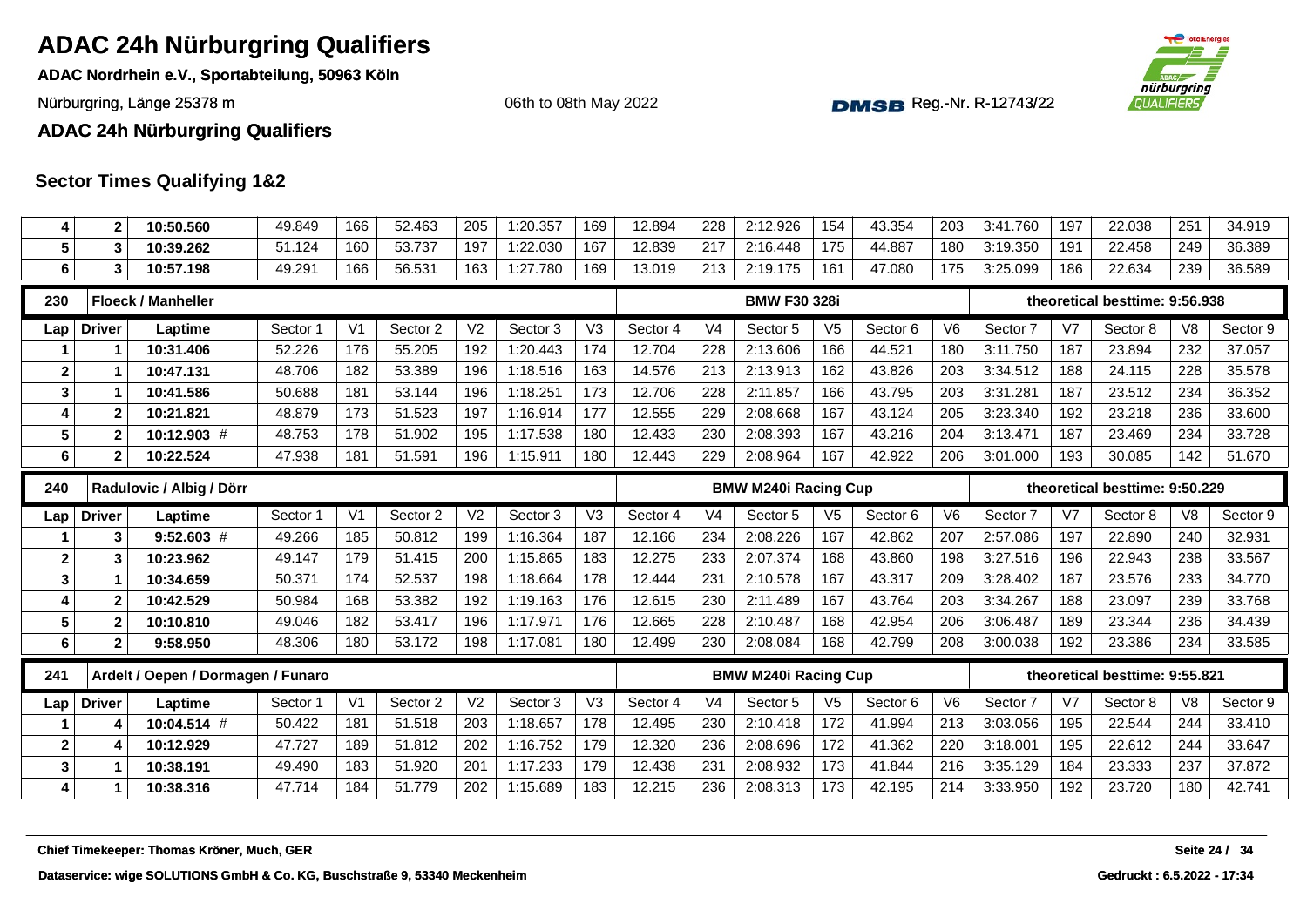**ADAC Nordrhein e.V., Sportabteilung, 50963 Köln**

Nürburgring, Länge 25378 m and the Communication of the Communication of the Communication of the Communication of the Communication of the Communication of the Communication of the Communication of the Communication of th

06th to 08th May 2022



**ADAC 24h Nürburgring Qualifiers**

| 4                       | $\overline{2}$ | 10:50.560                                  | 49.849   | 166            | 52.463   | 205            | 1:20.357 | 169 | 12.894   | 228            | 2:12.926                    | 154            | 43.354   | 203            | 3:41.760 | 197            | 22.038                         | 251            | 34.919        |
|-------------------------|----------------|--------------------------------------------|----------|----------------|----------|----------------|----------|-----|----------|----------------|-----------------------------|----------------|----------|----------------|----------|----------------|--------------------------------|----------------|---------------|
| 5                       | 3              | 10:39.262                                  | 51.124   | 160            | 53.737   | 197            | 1:22.030 | 167 | 12.839   | 217            | 2:16.448                    | 175            | 44.887   | 180            | 3:19.350 | 191            | 22.458                         | 249            | 36.389        |
| 6                       | 3              | 10:57.198                                  | 49.291   | 166            | 56.531   | 163            | 1:27.780 | 169 | 13.019   | 213            | 2:19.175                    | 161            | 47.080   | 175            | 3:25.099 | 186            | 22.634                         | 239            | 36.589        |
| 230                     |                | <b>Floeck / Manheller</b>                  |          |                |          |                |          |     |          |                | <b>BMW F30 328i</b>         |                |          |                |          |                | theoretical besttime: 9:56.938 |                |               |
| Lap                     | <b>Driver</b>  | Laptime                                    | Sector 1 | V <sub>1</sub> | Sector 2 | V <sub>2</sub> | Sector 3 | V3  | Sector 4 | V <sub>4</sub> | Sector 5                    | V <sub>5</sub> | Sector 6 | V <sub>6</sub> | Sector 7 | V <sub>7</sub> | Sector 8                       | V <sub>8</sub> | Sector 9      |
|                         |                | 10:31.406                                  | 52.226   | 176            | 55.205   | 192            | 1:20.443 | 174 | 12.704   | 228            | 2:13.606                    | 166            | 44.521   | 180            | 3:11.750 | 187            | 23.894                         | 232            | 37.057        |
| $\boldsymbol{2}$        |                | 10:47.131                                  | 48.706   | 182            | 53.389   | 196            | 1:18.516 | 163 | 14.576   | 213            | 2:13.913                    | 162            | 43.826   | 203            | 3:34.512 | 188            | 24.115                         | 228            | 35.578        |
| $\mathbf{3}$            | 1              | 10:41.586                                  | 50.688   | 181            | 53.144   | 196            | 1:18.251 | 173 | 12.706   | 228            | 2:11.857                    | 166            | 43.795   | 203            | 3:31.281 | 187            | 23.512                         | 234            | 36.352        |
| $\overline{4}$          | $\mathbf{2}$   | 10:21.821                                  | 48.879   | 173            | 51.523   | 197            | 1:16.914 | 177 | 12.555   | 229            | 2:08.668                    | 167            | 43.124   | 205            | 3:23.340 | 192            | 23.218                         | 236            | 33.600        |
| 5                       | $\mathbf{2}$   | 10:12.903 #                                | 48.753   | 178            | 51.902   | 195            | 1:17.538 | 180 | 12.433   | 230            | 2:08.393                    | 167            | 43.216   | 204            | 3:13.471 | 187            | 23.469                         | 234            | 33.728        |
| 6                       | $\mathbf{2}$   | 10:22.524                                  | 47.938   | 181            | 51.591   | 196            | 1:15.911 | 180 | 12.443   | 229            | 2:08.964                    | 167            | 42.922   | 206            | 3:01.000 | 193            | 30.085                         | 142            | 51.670        |
| 240                     |                | Radulovic / Albig / Dörr                   |          |                |          |                |          |     |          |                | <b>BMW M240i Racing Cup</b> |                |          |                |          |                | theoretical besttime: 9:50.229 |                |               |
| Lap                     | <b>Driver</b>  | Laptime                                    | Sector 1 | V <sub>1</sub> | Sector 2 | V <sub>2</sub> | Sector 3 | V3  | Sector 4 | V <sub>4</sub> | Sector 5                    | V <sub>5</sub> | Sector 6 | V <sub>6</sub> | Sector 7 | V7             | Sector 8                       | V <sub>8</sub> | Sector 9      |
|                         | 3              | $9:52.603$ #                               | 49.266   | 185            | 50.812   | 199            | 1:16.364 | 187 | 12.166   | 234            | 2:08.226                    | 167            | 42.862   | 207            | 2:57.086 | 197            | 22.890                         | 240            | 32.931        |
| $\overline{\mathbf{2}}$ | 3              | 10:23.962                                  | 49.147   | 179            | 51.415   | 200            | 1:15.865 | 183 | 12.275   | 233            | 2:07.374                    | 168            | 43.860   | 198            | 3:27.516 | 196            | 22.943                         | 238            | 33.567        |
| $\mathbf{3}$            | 1              | 10:34.659                                  | 50.371   | 174            | 52.537   | 198            | 1:18.664 | 178 | 12.444   | 231            | 2:10.578                    | 167            | 43.317   | 209            | 3:28.402 | 187            | 23.576                         | 233            | 34.770        |
| $\overline{4}$          | $\mathbf{2}$   | 10:42.529                                  | 50.984   | 168            | 53.382   | 192            | 1:19.163 | 176 | 12.615   | 230            | 2:11.489                    | 167            | 43.764   | 203            | 3:34.267 | 188            | 23.097                         | 239            | 33.768        |
| 5                       | $\mathbf{2}$   | 10:10.810                                  | 49.046   | 182            | 53.417   | 196            | 1:17.971 | 176 | 12.665   | 228            | 2:10.487                    | 168            | 42.954   | 206            | 3:06.487 | 189            | 23.344                         | 236            | 34.439        |
| 6                       | $\mathbf{2}$   | 9:58.950                                   | 48.306   | 180            | 53.172   | 198            | 1:17.081 | 180 | 12.499   | 230            | 2:08.084                    | 168            | 42.799   | 208            | 3:00.038 | 192            | 23.386                         | 234            | 33.585        |
| 241                     |                | Ardelt / Oepen / Dormagen / Funaro         |          |                |          |                |          |     |          |                | <b>BMW M240i Racing Cup</b> |                |          |                |          |                | theoretical besttime: 9:55.821 |                |               |
| Lap                     | <b>Driver</b>  | Laptime                                    | Sector 1 | V <sub>1</sub> | Sector 2 | V <sub>2</sub> | Sector 3 | V3  | Sector 4 | V <sub>4</sub> | Sector 5                    | V <sub>5</sub> | Sector 6 | V <sub>6</sub> | Sector 7 | V7             | Sector 8                       | V <sub>8</sub> | Sector 9      |
|                         | 4              | 10:04.514 #                                | 50.422   | 181            | 51.518   | 203            | 1:18.657 | 178 | 12.495   | 230            | 2:10.418                    | 172            | 41.994   | 213            | 3:03.056 | 195            | 22.544                         | 244            | 33.410        |
| $\overline{2}$          | 4              | 10:12.929                                  | 47.727   | 189            | 51.812   | 202            | 1:16.752 | 179 | 12.320   | 236            | 2:08.696                    | 172            | 41.362   | 220            | 3:18.001 | 195            | 22.612                         | 244            | 33.647        |
| $\mathbf{3}$            | 1              | 10:38.191                                  | 49.490   | 183            | 51.920   | 201            | 1:17.233 | 179 | 12.438   | 231            | 2:08.932                    | 173            | 41.844   | 216            | 3:35.129 | 184            | 23.333                         | 237            | 37.872        |
| 4                       | 1              | 10:38.316                                  | 47.714   | 184            | 51.779   | 202            | 1:15.689 | 183 | 12.215   | 236            | 2:08.313                    | 173            | 42.195   | 214            | 3:33.950 | 192            | 23.720                         | 180            | 42.741        |
|                         |                |                                            |          |                |          |                |          |     |          |                |                             |                |          |                |          |                |                                |                |               |
|                         |                | Chief Timekeeper: Thomas Kröner, Much, GER |          |                |          |                |          |     |          |                |                             |                |          |                |          |                |                                |                | Seite 24 / 34 |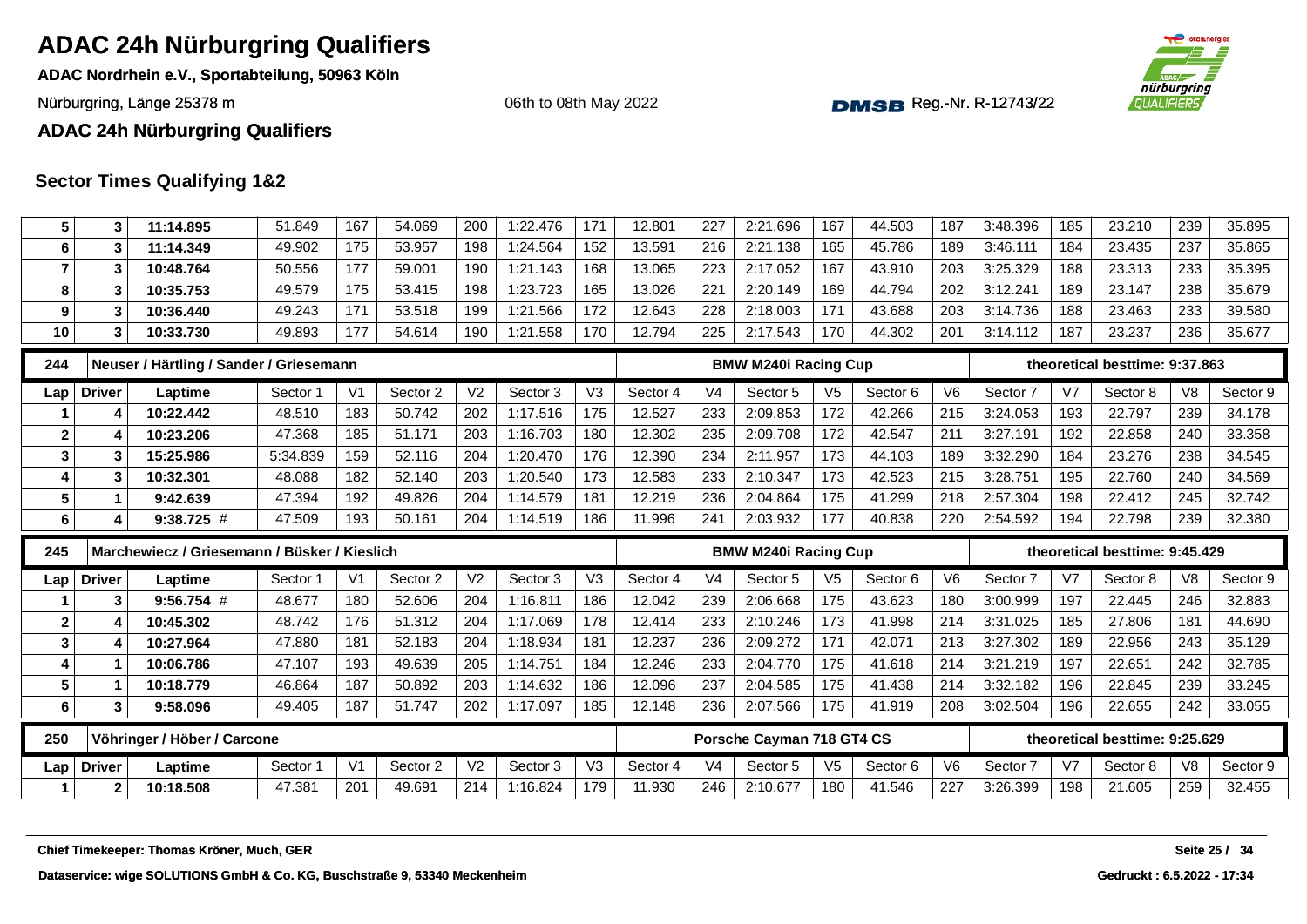**ADAC Nordrhein e.V., Sportabteilung, 50963 Köln**

Nürburgring, Länge 25378 m and the Communication of the Communication of the Communication of the Communication of the Communication of the Communication of the Communication of the Communication of the Communication of th

06th to 08th May 2022



#### **ADAC 24h Nürburgring Qualifiers**

| 5              | 3             | 11:14.895                                    | 51.849   | 167            | 54.069   | 200            | 1:22.476 | 171            | 12.801   | 227            | 2:21.696                    | 167            | 44.503   | 187            | 3:48.396 | 185 | 23.210                         | 239            | 35.895        |
|----------------|---------------|----------------------------------------------|----------|----------------|----------|----------------|----------|----------------|----------|----------------|-----------------------------|----------------|----------|----------------|----------|-----|--------------------------------|----------------|---------------|
| 6              | 3             | 11:14.349                                    | 49.902   | 175            | 53.957   | 198            | 1:24.564 | 152            | 13.591   | 216            | 2:21.138                    | 165            | 45.786   | 189            | 3:46.111 | 184 | 23.435                         | 237            | 35.865        |
| $\overline{7}$ | 3             | 10:48.764                                    | 50.556   | 177            | 59.001   | 190            | 1:21.143 | 168            | 13.065   | 223            | 2:17.052                    | 167            | 43.910   | 203            | 3:25.329 | 188 | 23.313                         | 233            | 35.395        |
| 8              | 3             | 10:35.753                                    | 49.579   | 175            | 53.415   | 198            | 1:23.723 | 165            | 13.026   | 221            | 2:20.149                    | 169            | 44.794   | 202            | 3:12.241 | 189 | 23.147                         | 238            | 35.679        |
| 9              | 3             | 10:36.440                                    | 49.243   | 171            | 53.518   | 199            | 1:21.566 | 172            | 12.643   | 228            | 2:18.003                    | 171            | 43.688   | 203            | 3:14.736 | 188 | 23.463                         | 233            | 39.580        |
| 10             | 3             | 10:33.730                                    | 49.893   | 177            | 54.614   | 190            | 1:21.558 | 170            | 12.794   | 225            | 2:17.543                    | 170            | 44.302   | 201            | 3:14.112 | 187 | 23.237                         | 236            | 35.677        |
| 244            |               | Neuser / Härtling / Sander / Griesemann      |          |                |          |                |          |                |          |                | <b>BMW M240i Racing Cup</b> |                |          |                |          |     | theoretical besttime: 9:37.863 |                |               |
| Lap            | <b>Driver</b> | Laptime                                      | Sector 1 | V <sub>1</sub> | Sector 2 | V <sub>2</sub> | Sector 3 | V <sub>3</sub> | Sector 4 | V <sub>4</sub> | Sector 5                    | V <sub>5</sub> | Sector 6 | V <sub>6</sub> | Sector 7 | V7  | Sector 8                       | V <sub>8</sub> | Sector 9      |
|                | 4             | 10:22.442                                    | 48.510   | 183            | 50.742   | 202            | 1:17.516 | 175            | 12.527   | 233            | 2:09.853                    | 172            | 42.266   | 215            | 3:24.053 | 193 | 22.797                         | 239            | 34.178        |
| $\mathbf 2$    | 4             | 10:23.206                                    | 47.368   | 185            | 51.171   | 203            | 1:16.703 | 180            | 12.302   | 235            | 2:09.708                    | 172            | 42.547   | 211            | 3:27.191 | 192 | 22.858                         | 240            | 33.358        |
| 3              | 3             | 15:25.986                                    | 5:34.839 | 159            | 52.116   | 204            | 1:20.470 | 176            | 12.390   | 234            | 2:11.957                    | 173            | 44.103   | 189            | 3:32.290 | 184 | 23.276                         | 238            | 34.545        |
| $\overline{4}$ | 3             | 10:32.301                                    | 48.088   | 182            | 52.140   | 203            | 1:20.540 | 173            | 12.583   | 233            | 2:10.347                    | 173            | 42.523   | 215            | 3:28.751 | 195 | 22.760                         | 240            | 34.569        |
| 5              |               | 9:42.639                                     | 47.394   | 192            | 49.826   | 204            | 1:14.579 | 181            | 12.219   | 236            | 2:04.864                    | 175            | 41.299   | 218            | 2:57.304 | 198 | 22.412                         | 245            | 32.742        |
| 6              | 4             | $9:38.725$ #                                 | 47.509   | 193            | 50.161   | 204            | 1:14.519 | 186            | 11.996   | 241            | 2:03.932                    | 177            | 40.838   | 220            | 2:54.592 | 194 | 22.798                         | 239            | 32.380        |
|                |               |                                              |          |                |          |                |          |                |          |                |                             |                |          |                |          |     |                                |                |               |
| 245            |               | Marchewiecz / Griesemann / Büsker / Kieslich |          |                |          |                |          |                |          |                | <b>BMW M240i Racing Cup</b> |                |          |                |          |     | theoretical besttime: 9:45.429 |                |               |
| Lap            | <b>Driver</b> | Laptime                                      | Sector 1 | V <sub>1</sub> | Sector 2 | V <sub>2</sub> | Sector 3 | V <sub>3</sub> | Sector 4 | V <sub>4</sub> | Sector 5                    | V <sub>5</sub> | Sector 6 | V <sub>6</sub> | Sector 7 | V7  | Sector 8                       | V <sub>8</sub> | Sector 9      |
|                | 3             | $9:56.754$ #                                 | 48.677   | 180            | 52.606   | 204            | 1:16.811 | 186            | 12.042   | 239            | 2:06.668                    | 175            | 43.623   | 180            | 3:00.999 | 197 | 22.445                         | 246            | 32.883        |
| $\mathbf{2}$   | 4             | 10:45.302                                    | 48.742   | 176            | 51.312   | 204            | 1:17.069 | 178            | 12.414   | 233            | 2:10.246                    | 173            | 41.998   | 214            | 3:31.025 | 185 | 27.806                         | 181            | 44.690        |
| 3              |               | 10:27.964                                    | 47.880   | 181            | 52.183   | 204            | 1:18.934 | 181            | 12.237   | 236            | 2:09.272                    | 171            | 42.071   | 213            | 3:27.302 | 189 | 22.956                         | 243            | 35.129        |
| $\overline{4}$ |               | 10:06.786                                    | 47.107   | 193            | 49.639   | 205            | 1:14.751 | 184            | 12.246   | 233            | 2:04.770                    | 175            | 41.618   | 214            | 3:21.219 | 197 | 22.651                         | 242            | 32.785        |
| 5              |               | 10:18.779                                    | 46.864   | 187            | 50.892   | 203            | 1:14.632 | 186            | 12.096   | 237            | 2:04.585                    | 175            | 41.438   | 214            | 3:32.182 | 196 | 22.845                         | 239            | 33.245        |
| 6              | 3             | 9:58.096                                     | 49.405   | 187            | 51.747   | 202            | 1:17.097 | 185            | 12.148   | 236            | 2:07.566                    | 175            | 41.919   | 208            | 3:02.504 | 196 | 22.655                         | 242            | 33.055        |
| 250            |               | Vöhringer / Höber / Carcone                  |          |                |          |                |          |                |          |                | Porsche Cayman 718 GT4 CS   |                |          |                |          |     | theoretical besttime: 9:25.629 |                |               |
| Lap            | <b>Driver</b> | Laptime                                      | Sector 1 | V <sub>1</sub> | Sector 2 | V <sub>2</sub> | Sector 3 | V3             | Sector 4 | V <sub>4</sub> | Sector 5                    | V <sub>5</sub> | Sector 6 | V <sub>6</sub> | Sector 7 | V7  | Sector 8                       | V <sub>8</sub> | Sector 9      |
| 1              | $\mathbf{2}$  | 10:18.508                                    | 47.381   | 201            | 49.691   | 214            | 1:16.824 | 179            | 11.930   | 246            | 2:10.677                    | 180            | 41.546   | 227            | 3:26.399 | 198 | 21.605                         | 259            | 32.455        |
|                |               |                                              |          |                |          |                |          |                |          |                |                             |                |          |                |          |     |                                |                |               |
|                |               | Chief Timekeeper: Thomas Kröner, Much, GER   |          |                |          |                |          |                |          |                |                             |                |          |                |          |     |                                |                | Seite 25 / 34 |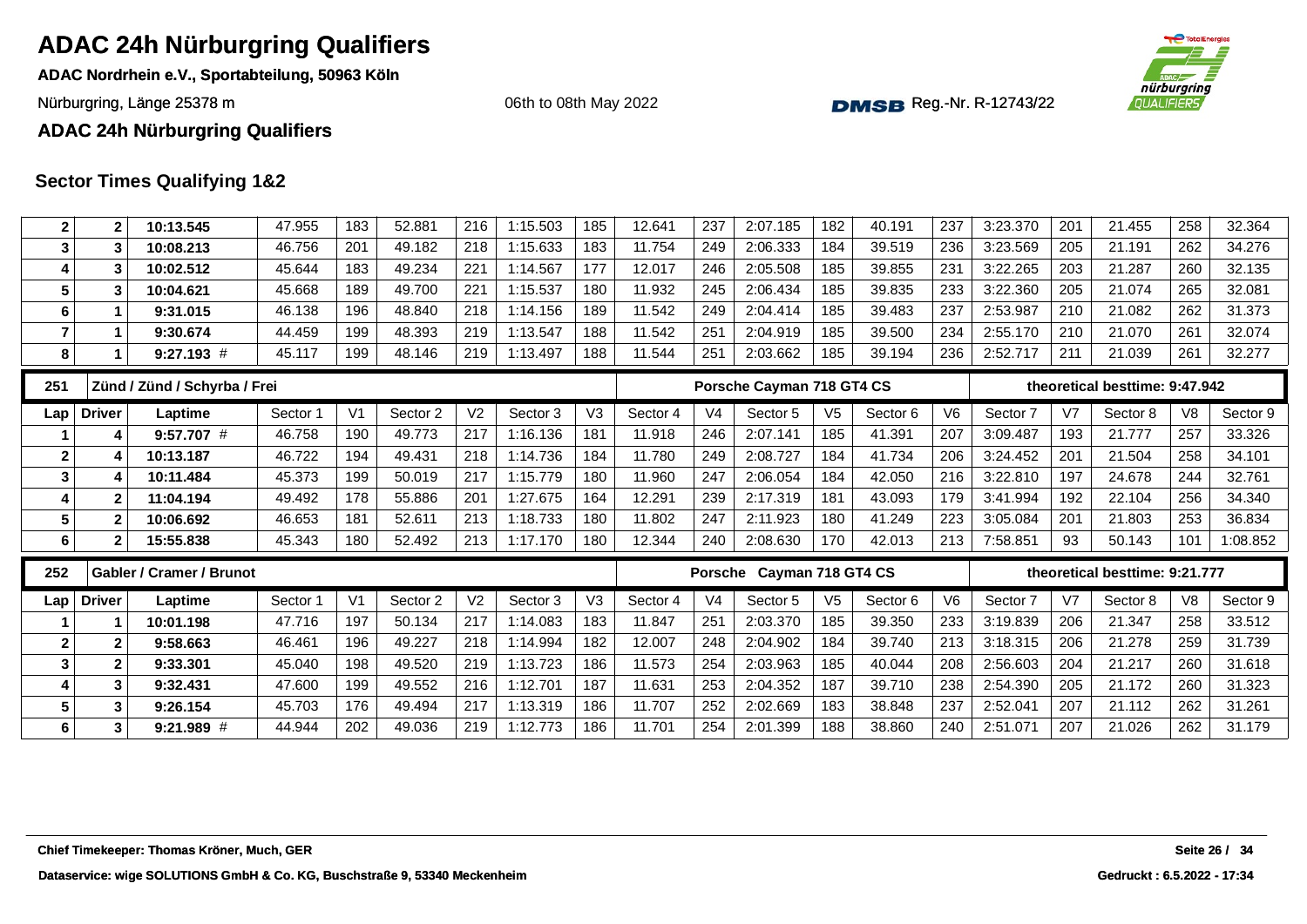**ADAC Nordrhein e.V., Sportabteilung, 50963 Köln**

Nürburgring, Länge 25378 m and the Communication of the Communication of the Communication of the Communication of the Communication of the Communication of the Communication of the Communication of the Communication of th

06th to 08th May 2022



**ADAC 24h Nürburgring Qualifiers**

| $\mathbf 2$      | $\mathbf{2}$  | 10:13.545                       | 47.955   | 183            | 52.881   | 216            | 1:15.503 | 185            | 12.641   | 237            | 2:07.185                  | 182            | 40.191   | 237            | 3:23.370 | 201            | 21.455                         | 258            | 32.364   |
|------------------|---------------|---------------------------------|----------|----------------|----------|----------------|----------|----------------|----------|----------------|---------------------------|----------------|----------|----------------|----------|----------------|--------------------------------|----------------|----------|
| 3                | 3             | 10:08.213                       | 46.756   | 201            | 49.182   | 218            | 1:15.633 | 183            | 11.754   | 249            | 2:06.333                  | 184            | 39.519   | 236            | 3:23.569 | 205            | 21.191                         | 262            | 34.276   |
| 4                | 3             | 10:02.512                       | 45.644   | 183            | 49.234   | 221            | 1:14.567 | 177            | 12.017   | 246            | 2:05.508                  | 185            | 39.855   | 231            | 3:22.265 | 203            | 21.287                         | 260            | 32.135   |
| 5                | 3             | 10:04.621                       | 45.668   | 189            | 49.700   | 221            | 1:15.537 | 180            | 11.932   | 245            | 2:06.434                  | 185            | 39.835   | 233            | 3:22.360 | 205            | 21.074                         | 265            | 32.081   |
| 6                | 1             | 9:31.015                        | 46.138   | 196            | 48.840   | 218            | 1:14.156 | 189            | 11.542   | 249            | 2:04.414                  | 185            | 39.483   | 237            | 2:53.987 | 210            | 21.082                         | 262            | 31.373   |
| $\overline{7}$   | $\mathbf{1}$  | 9:30.674                        | 44.459   | 199            | 48.393   | 219            | 1:13.547 | 188            | 11.542   | 251            | 2:04.919                  | 185            | 39.500   | 234            | 2:55.170 | 210            | 21.070                         | 261            | 32.074   |
| 8                | 1             | $9:27.193$ #                    | 45.117   | 199            | 48.146   | 219            | 1:13.497 | 188            | 11.544   | 251            | 2:03.662                  | 185            | 39.194   | 236            | 2:52.717 | 211            | 21.039                         | 261            | 32.277   |
| 251              |               | Zünd / Zünd / Schyrba / Frei    |          |                |          |                |          |                |          |                | Porsche Cayman 718 GT4 CS |                |          |                |          |                | theoretical besttime: 9:47.942 |                |          |
| Lap              | <b>Driver</b> | Laptime                         | Sector 1 | V <sub>1</sub> | Sector 2 | V <sub>2</sub> | Sector 3 | V <sub>3</sub> | Sector 4 | V <sub>4</sub> | Sector 5                  | V <sub>5</sub> | Sector 6 | V6             | Sector 7 | V <sub>7</sub> | Sector 8                       | V8             | Sector 9 |
|                  | 4             | $9:57.707$ #                    | 46.758   | 190            | 49.773   | 217            | 1:16.136 | 181            | 11.918   | 246            | 2:07.141                  | 185            | 41.391   | 207            | 3:09.487 | 193            | 21.777                         | 257            | 33.326   |
| $\boldsymbol{2}$ |               | 10:13.187                       | 46.722   | 194            | 49.431   | 218            | 1:14.736 | 184            | 11.780   | 249            | 2:08.727                  | 184            | 41.734   | 206            | 3:24.452 | 201            | 21.504                         | 258            | 34.101   |
| 3                | 4             | 10:11.484                       | 45.373   | 199            | 50.019   | 217            | 1:15.779 | 180            | 11.960   | 247            | 2:06.054                  | 184            | 42.050   | 216            | 3:22.810 | 197            | 24.678                         | 244            | 32.761   |
| 4                | 2             | 11:04.194                       | 49.492   | 178            | 55.886   | 201            | 1:27.675 | 164            | 12.291   | 239            | 2:17.319                  | 181            | 43.093   | 179            | 3:41.994 | 192            | 22.104                         | 256            | 34.340   |
| $5\phantom{.0}$  | $\mathbf{2}$  | 10:06.692                       | 46.653   | 181            | 52.611   | 213            | 1:18.733 | 180            | 11.802   | 247            | 2:11.923                  | 180            | 41.249   | 223            | 3:05.084 | 201            | 21.803                         | 253            | 36.834   |
| 6                | $\mathbf{2}$  | 15:55.838                       | 45.343   | 180            | 52.492   | 213            | 1:17.170 | 180            | 12.344   | 240            | 2:08.630                  | 170            | 42.013   | 213            | 7:58.851 | 93             | 50.143                         | 101            | 1:08.852 |
|                  |               |                                 |          |                |          |                |          |                |          |                | Porsche Cayman 718 GT4 CS |                |          |                |          |                | theoretical besttime: 9:21.777 |                |          |
| 252              |               | <b>Gabler / Cramer / Brunot</b> |          |                |          |                |          |                |          |                |                           |                |          |                |          |                |                                |                |          |
| Lap              | <b>Driver</b> | Laptime                         | Sector 1 | V <sub>1</sub> | Sector 2 | V <sub>2</sub> | Sector 3 | V <sub>3</sub> | Sector 4 | V <sub>4</sub> | Sector 5                  | V <sub>5</sub> | Sector 6 | V <sub>6</sub> | Sector 7 | V7             | Sector 8                       | V <sub>8</sub> | Sector 9 |
|                  |               | 10:01.198                       | 47.716   | 197            | 50.134   | 217            | 1:14.083 | 183            | 11.847   | 251            | 2:03.370                  | 185            | 39.350   | 233            | 3:19.839 | 206            | 21.347                         | 258            | 33.512   |
| $\mathbf{2}$     | $\mathbf{2}$  | 9:58.663                        | 46.461   | 196            | 49.227   | 218            | 1:14.994 | 182            | 12.007   | 248            | 2:04.902                  | 184            | 39.740   | 213            | 3:18.315 | 206            | 21.278                         | 259            | 31.739   |
| 3                | $\mathbf{2}$  | 9:33.301                        | 45.040   | 198            | 49.520   | 219            | 1:13.723 | 186            | 11.573   | 254            | 2:03.963                  | 185            | 40.044   | 208            | 2:56.603 | 204            | 21.217                         | 260            | 31.618   |
| 4                | $\mathbf{3}$  | 9:32.431                        | 47.600   | 199            | 49.552   | 216            | 1:12.701 | 187            | 11.631   | 253            | 2:04.352                  | 187            | 39.710   | 238            | 2:54.390 | 205            | 21.172                         | 260            | 31.323   |
| 5                | 3             | 9:26.154                        | 45.703   | 176            | 49.494   | 217            | 1:13.319 | 186            | 11.707   | 252            | 2:02.669                  | 183            | 38.848   | 237            | 2:52.041 | 207            | 21.112                         | 262            | 31.261   |
| $6\phantom{a}$   | 3             | 9:21.989 #                      | 44.944   | 202            | 49.036   | 219            | 1:12.773 | 186            | 11.701   | 254            | 2:01.399                  | 188            | 38.860   | 240            | 2:51.071 | 207            | 21.026                         | 262            | 31.179   |
|                  |               |                                 |          |                |          |                |          |                |          |                |                           |                |          |                |          |                |                                |                |          |
|                  |               |                                 |          |                |          |                |          |                |          |                |                           |                |          |                |          |                |                                |                |          |
|                  |               |                                 |          |                |          |                |          |                |          |                |                           |                |          |                |          |                |                                |                |          |
|                  |               |                                 |          |                |          |                |          |                |          |                |                           |                |          |                |          |                |                                |                |          |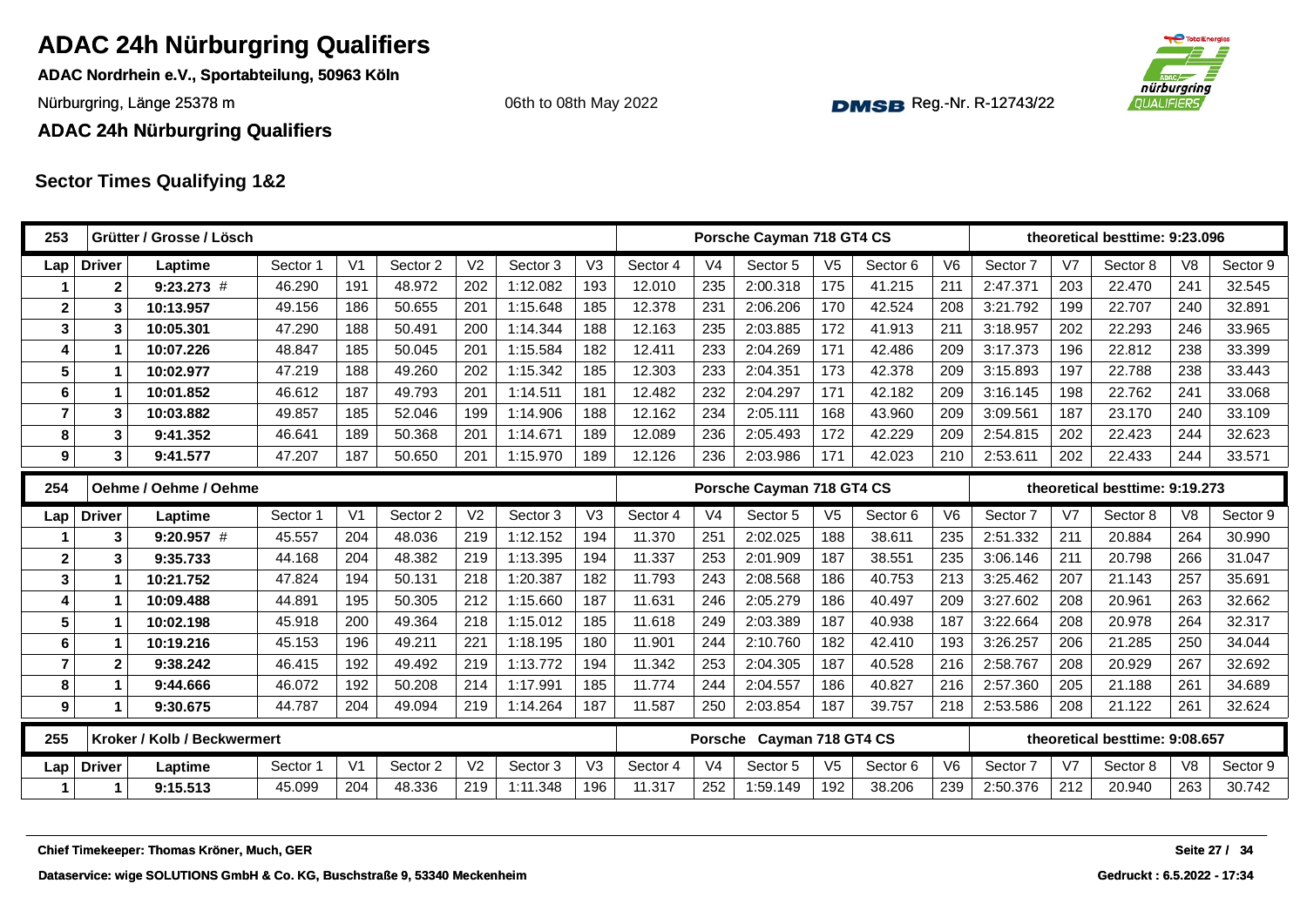**ADAC Nordrhein e.V., Sportabteilung, 50963 Köln**

Nürburgring, Länge 25378 m and the Communication of the Communication of the Communication of the Communication of the Communication of the Communication of the Communication of the Communication of the Communication of th

06th to 08th May 2022



**ADAC 24h Nürburgring Qualifiers**

| 253            |               | Grütter / Grosse / Lösch                   |          |                |          |                |          |                |          |                | Porsche Cayman 718 GT4 CS |                |          |                |          |                | theoretical besttime: 9:23.096 |                |               |
|----------------|---------------|--------------------------------------------|----------|----------------|----------|----------------|----------|----------------|----------|----------------|---------------------------|----------------|----------|----------------|----------|----------------|--------------------------------|----------------|---------------|
| Lap            | <b>Driver</b> | Laptime                                    | Sector 1 | V <sub>1</sub> | Sector 2 | V <sub>2</sub> | Sector 3 | V <sub>3</sub> | Sector 4 | V <sub>4</sub> | Sector 5                  | V <sub>5</sub> | Sector 6 | V <sub>6</sub> | Sector 7 | V <sub>7</sub> | Sector 8                       | V <sub>8</sub> | Sector 9      |
|                | $\mathbf{2}$  | $9:23.273$ #                               | 46.290   | 191            | 48.972   | 202            | 1:12.082 | 193            | 12.010   | 235            | 2:00.318                  | 175            | 41.215   | 211            | 2:47.371 | 203            | 22.470                         | 241            | 32.545        |
| $\mathbf{2}$   | 3             | 10:13.957                                  | 49.156   | 186            | 50.655   | 201            | 1:15.648 | 185            | 12.378   | 231            | 2:06.206                  | 170            | 42.524   | 208            | 3:21.792 | 199            | 22.707                         | 240            | 32.891        |
| 3              | 3             | 10:05.301                                  | 47.290   | 188            | 50.491   | 200            | 1:14.344 | 188            | 12.163   | 235            | 2:03.885                  | 172            | 41.913   | 211            | 3:18.957 | 202            | 22.293                         | 246            | 33.965        |
|                |               | 10:07.226                                  | 48.847   | 185            | 50.045   | 201            | 1:15.584 | 182            | 12.411   | 233            | 2:04.269                  | 171            | 42.486   | 209            | 3:17.373 | 196            | 22.812                         | 238            | 33.399        |
| 5              |               | 10:02.977                                  | 47.219   | 188            | 49.260   | 202            | 1:15.342 | 185            | 12.303   | 233            | 2:04.351                  | 173            | 42.378   | 209            | 3:15.893 | 197            | 22.788                         | 238            | 33.443        |
| 6              |               | 10:01.852                                  | 46.612   | 187            | 49.793   | 201            | 1:14.511 | 181            | 12.482   | 232            | 2:04.297                  | 171            | 42.182   | 209            | 3:16.145 | 198            | 22.762                         | 241            | 33.068        |
| $\overline{7}$ | 3             | 10:03.882                                  | 49.857   | 185            | 52.046   | 199            | 1:14.906 | 188            | 12.162   | 234            | 2:05.111                  | 168            | 43.960   | 209            | 3:09.561 | 187            | 23.170                         | 240            | 33.109        |
| 8              | 3             | 9:41.352                                   | 46.641   | 189            | 50.368   | 201            | 1:14.671 | 189            | 12.089   | 236            | 2:05.493                  | 172            | 42.229   | 209            | 2:54.815 | 202            | 22.423                         | 244            | 32.623        |
| 9              | 3             | 9:41.577                                   | 47.207   | 187            | 50.650   | 201            | 1:15.970 | 189            | 12.126   | 236            | 2:03.986                  | 171            | 42.023   | 210            | 2:53.611 | 202            | 22.433                         | 244            | 33.571        |
| 254            |               | Oehme / Oehme / Oehme                      |          |                |          |                |          |                |          |                | Porsche Cayman 718 GT4 CS |                |          |                |          |                | theoretical besttime: 9:19.273 |                |               |
| Lap            | <b>Driver</b> | Laptime                                    | Sector 1 | V <sub>1</sub> | Sector 2 | V <sub>2</sub> | Sector 3 | V <sub>3</sub> | Sector 4 | V <sub>4</sub> | Sector 5                  | V <sub>5</sub> | Sector 6 | V <sub>6</sub> | Sector 7 | V <sub>7</sub> | Sector 8                       | V <sub>8</sub> | Sector 9      |
|                | 3             | $9:20.957$ #                               | 45.557   | 204            | 48.036   | 219            | 1:12.152 | 194            | 11.370   | 251            | 2:02.025                  | 188            | 38.611   | 235            | 2:51.332 | 211            | 20.884                         | 264            | 30.990        |
| $\mathbf{2}$   | 3             | 9:35.733                                   | 44.168   | 204            | 48.382   | 219            | 1:13.395 | 194            | 11.337   | 253            | 2:01.909                  | 187            | 38.551   | 235            | 3:06.146 | 211            | 20.798                         | 266            | 31.047        |
| 3              |               | 10:21.752                                  | 47.824   | 194            | 50.131   | 218            | 1:20.387 | 182            | 11.793   | 243            | 2:08.568                  | 186            | 40.753   | 213            | 3:25.462 | 207            | 21.143                         | 257            | 35.691        |
| 4              | 1             | 10:09.488                                  | 44.891   | 195            | 50.305   | 212            | 1:15.660 | 187            | 11.631   | 246            | 2:05.279                  | 186            | 40.497   | 209            | 3:27.602 | 208            | 20.961                         | 263            | 32.662        |
| 5              |               | 10:02.198                                  | 45.918   | 200            | 49.364   | 218            | 1:15.012 | 185            | 11.618   | 249            | 2:03.389                  | 187            | 40.938   | 187            | 3:22.664 | 208            | 20.978                         | 264            | 32.317        |
| 6              | 1             | 10:19.216                                  | 45.153   | 196            | 49.211   | 221            | 1:18.195 | 180            | 11.901   | 244            | 2:10.760                  | 182            | 42.410   | 193            | 3:26.257 | 206            | 21.285                         | 250            | 34.044        |
| 7              | 2             | 9:38.242                                   | 46.415   | 192            | 49.492   | 219            | 1:13.772 | 194            | 11.342   | 253            | 2:04.305                  | 187            | 40.528   | 216            | 2:58.767 | 208            | 20.929                         | 267            | 32.692        |
| 8              | $\mathbf{1}$  | 9:44.666                                   | 46.072   | 192            | 50.208   | 214            | 1:17.991 | 185            | 11.774   | 244            | 2:04.557                  | 186            | 40.827   | 216            | 2:57.360 | 205            | 21.188                         | 261            | 34.689        |
| 9              | 1             | 9:30.675                                   | 44.787   | 204            | 49.094   | 219            | 1:14.264 | 187            | 11.587   | 250            | 2:03.854                  | 187            | 39.757   | 218            | 2:53.586 | 208            | 21.122                         | 261            | 32.624        |
| 255            |               | Kroker / Kolb / Beckwermert                |          |                |          |                |          |                |          |                | Porsche Cayman 718 GT4 CS |                |          |                |          |                | theoretical besttime: 9:08.657 |                |               |
| Lap            | <b>Driver</b> | Laptime                                    | Sector 1 | V <sub>1</sub> | Sector 2 | V <sub>2</sub> | Sector 3 | V <sub>3</sub> | Sector 4 | V <sub>4</sub> | Sector 5                  | V <sub>5</sub> | Sector 6 | V6             | Sector 7 | V <sub>7</sub> | Sector 8                       | V <sub>8</sub> | Sector 9      |
|                | $\mathbf 1$   | 9:15.513                                   | 45.099   | 204            | 48.336   | 219            | 1:11.348 | 196            | 11.317   | 252            | 1:59.149                  | 192            | 38.206   | 239            | 2:50.376 | 212            | 20.940                         | 263            | 30.742        |
|                |               |                                            |          |                |          |                |          |                |          |                |                           |                |          |                |          |                |                                |                |               |
|                |               | Chief Timekeeper: Thomas Kröner, Much, GER |          |                |          |                |          |                |          |                |                           |                |          |                |          |                |                                |                | Seite 27 / 34 |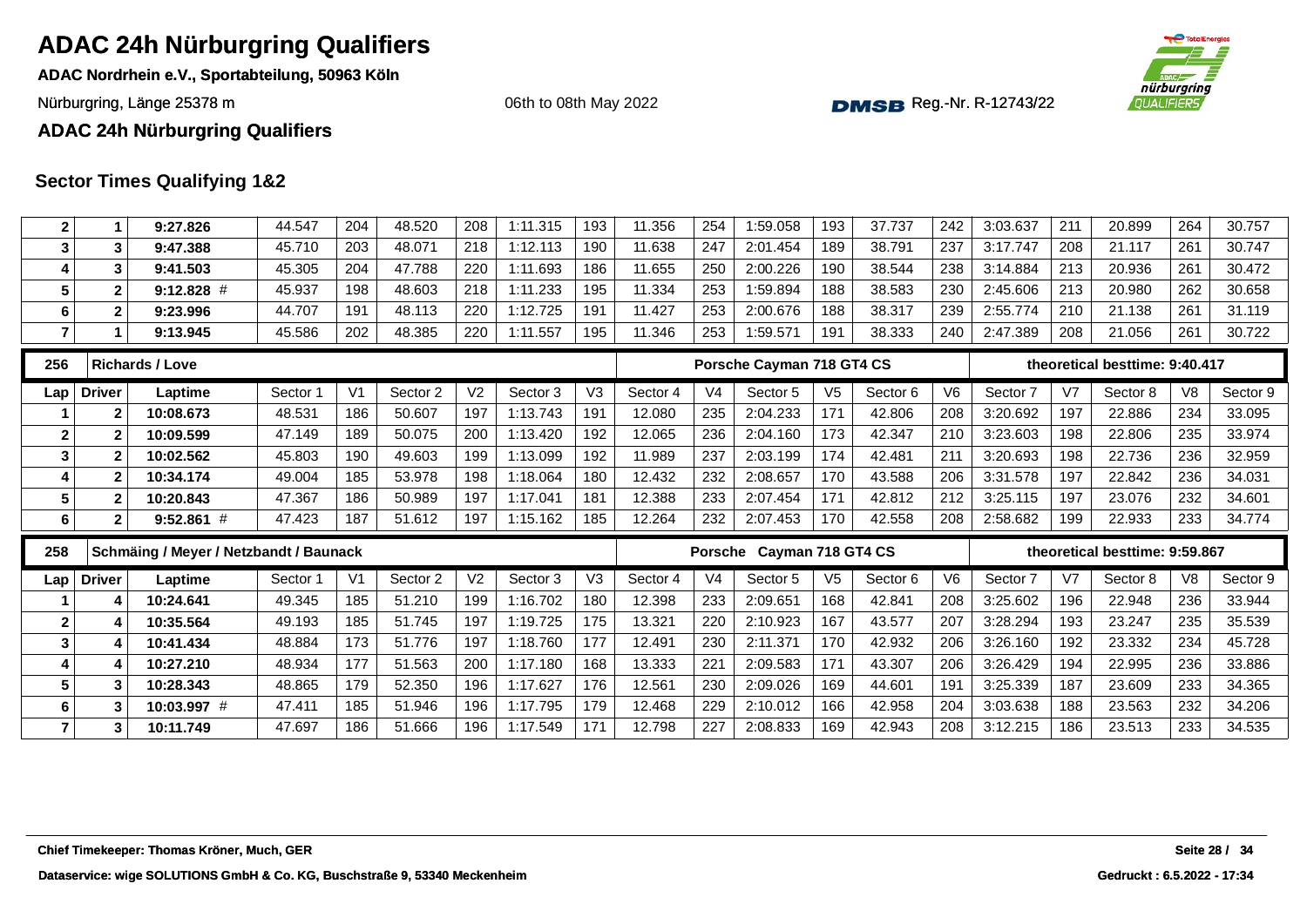**ADAC Nordrhein e.V., Sportabteilung, 50963 Köln**

Nürburgring, Länge 25378 m and the Communication of the Communication of the Communication of the Communication of the Communication of the Communication of the Communication of the Communication of the Communication of th

06th to 08th May 2022



**ADAC 24h Nürburgring Qualifiers**

| $\mathbf{2}$            | $\mathbf 1$             | 9:27.826                               | 44.547   | 204            | 48.520   | 208            | 1:11.315 | 193            | 11.356   | 254            | 1:59.058                  | 193            | 37.737   | 242            | 3:03.637 | 211            | 20.899                         | 264 | 30.757   |
|-------------------------|-------------------------|----------------------------------------|----------|----------------|----------|----------------|----------|----------------|----------|----------------|---------------------------|----------------|----------|----------------|----------|----------------|--------------------------------|-----|----------|
| 3                       | $\overline{\mathbf{3}}$ | 9:47.388                               | 45.710   | 203            | 48.071   | 218            | 1:12.113 | 190            | 11.638   | 247            | 2:01.454                  | 189            | 38.791   | 237            | 3:17.747 | 208            | 21.117                         | 261 | 30.747   |
| 4                       | 3                       | 9:41.503                               | 45.305   | 204            | 47.788   | 220            | 1:11.693 | 186            | 11.655   | 250            | 2:00.226                  | 190            | 38.544   | 238            | 3:14.884 | 213            | 20.936                         | 261 | 30.472   |
| 5                       | $\overline{\mathbf{2}}$ | $9:12.828$ #                           | 45.937   | 198            | 48.603   | 218            | 1:11.233 | 195            | 11.334   | 253            | 1:59.894                  | 188            | 38.583   | 230            | 2:45.606 | 213            | 20.980                         | 262 | 30.658   |
| 6                       | $\mathbf{2}$            | 9:23.996                               | 44.707   | 191            | 48.113   | 220            | 1:12.725 | 191            | 11.427   | 253            | 2:00.676                  | 188            | 38.317   | 239            | 2:55.774 | 210            | 21.138                         | 261 | 31.119   |
| $\overline{\mathbf{r}}$ | $\mathbf{1}$            | 9:13.945                               | 45.586   | 202            | 48.385   | 220            | 1:11.557 | 195            | 11.346   | 253            | 1:59.571                  | 191            | 38.333   | 240            | 2:47.389 | 208            | 21.056                         | 261 | 30.722   |
| 256                     |                         | <b>Richards / Love</b>                 |          |                |          |                |          |                |          |                | Porsche Cayman 718 GT4 CS |                |          |                |          |                | theoretical besttime: 9:40.417 |     |          |
| Lap                     | <b>Driver</b>           | Laptime                                | Sector 1 | V <sub>1</sub> | Sector 2 | V <sub>2</sub> | Sector 3 | V <sub>3</sub> | Sector 4 | V <sub>4</sub> | Sector 5                  | V <sub>5</sub> | Sector 6 | V <sub>6</sub> | Sector 7 | V <sub>7</sub> | Sector 8                       | V8  | Sector 9 |
|                         | $\mathbf{2}$            | 10:08.673                              | 48.531   | 186            | 50.607   | 197            | 1:13.743 | 191            | 12.080   | 235            | 2:04.233                  | 171            | 42.806   | 208            | 3:20.692 | 197            | 22.886                         | 234 | 33.095   |
| $\mathbf 2$             | $\mathbf{2}$            | 10:09.599                              | 47.149   | 189            | 50.075   | 200            | 1:13.420 | 192            | 12.065   | 236            | 2:04.160                  | 173            | 42.347   | 210            | 3:23.603 | 198            | 22.806                         | 235 | 33.974   |
| 3                       | $\mathbf{2}$            | 10:02.562                              | 45.803   | 190            | 49.603   | 199            | 1:13.099 | 192            | 11.989   | 237            | 2:03.199                  | 174            | 42.481   | 211            | 3:20.693 | 198            | 22.736                         | 236 | 32.959   |
| 4                       | $\mathbf{2}$            | 10:34.174                              | 49.004   | 185            | 53.978   | 198            | 1:18.064 | 180            | 12.432   | 232            | 2:08.657                  | 170            | 43.588   | 206            | 3:31.578 | 197            | 22.842                         | 236 | 34.031   |
| 5                       | $\mathbf{2}$            | 10:20.843                              | 47.367   | 186            | 50.989   | 197            | 1:17.041 | 181            | 12.388   | 233            | 2:07.454                  | 171            | 42.812   | 212            | 3:25.115 | 197            | 23.076                         | 232 | 34.601   |
| 6                       | $\mathbf{2}$            | $9:52.861$ #                           | 47.423   | 187            | 51.612   | 197            | 1:15.162 | 185            | 12.264   | 232            | 2:07.453                  | 170            | 42.558   | 208            | 2:58.682 | 199            | 22.933                         | 233 | 34.774   |
|                         |                         |                                        |          |                |          |                |          |                |          |                |                           |                |          |                |          |                |                                |     |          |
| 258                     |                         | Schmäing / Meyer / Netzbandt / Baunack |          |                |          |                |          |                |          |                | Porsche Cayman 718 GT4 CS |                |          |                |          |                | theoretical besttime: 9:59.867 |     |          |
| Lap                     | <b>Driver</b>           | Laptime                                | Sector 1 | V <sub>1</sub> | Sector 2 | V <sub>2</sub> | Sector 3 | V <sub>3</sub> | Sector 4 | V <sub>4</sub> | Sector 5                  | V <sub>5</sub> | Sector 6 | V <sub>6</sub> | Sector 7 | V <sub>7</sub> | Sector 8                       | V8  | Sector 9 |
|                         | 4                       | 10:24.641                              | 49.345   | 185            | 51.210   | 199            | 1:16.702 | 180            | 12.398   | 233            | 2:09.651                  | 168            | 42.841   | 208            | 3:25.602 | 196            | 22.948                         | 236 | 33.944   |
| $\mathbf{2}$            | 4                       | 10:35.564                              | 49.193   | 185            | 51.745   | 197            | 1:19.725 | 175            | 13.321   | 220            | 2:10.923                  | 167            | 43.577   | 207            | 3:28.294 | 193            | 23.247                         | 235 | 35.539   |
| 3                       | 4                       | 10:41.434                              | 48.884   | 173            | 51.776   | 197            | 1:18.760 | 177            | 12.491   | 230            | 2:11.371                  | 170            | 42.932   | 206            | 3:26.160 | 192            | 23.332                         | 234 | 45.728   |
| 4                       | 4                       | 10:27.210                              | 48.934   | 177            | 51.563   | 200            | 1:17.180 | 168            | 13.333   | 221            | 2:09.583                  | 171            | 43.307   | 206            | 3:26.429 | 194            | 22.995                         | 236 | 33.886   |
| 5                       | 3                       | 10:28.343                              | 48.865   | 179            | 52.350   | 196            | 1:17.627 | 176            | 12.561   | 230            | 2:09.026                  | 169            | 44.601   | 191            | 3:25.339 | 187            | 23.609                         | 233 | 34.365   |
| 6                       | 3                       | 10:03.997 #                            | 47.411   | 185            | 51.946   | 196            | 1:17.795 | 179            | 12.468   | 229            | 2:10.012                  | 166            | 42.958   | 204            | 3:03.638 | 188            | 23.563                         | 232 | 34.206   |
| $\overline{7}$          | 3                       | 10:11.749                              | 47.697   | 186            | 51.666   | 196            | 1:17.549 | 171            | 12.798   | 227            | 2:08.833                  | 169            | 42.943   | 208            | 3:12.215 | 186            | 23.513                         | 233 | 34.535   |
|                         |                         |                                        |          |                |          |                |          |                |          |                |                           |                |          |                |          |                |                                |     |          |
|                         |                         |                                        |          |                |          |                |          |                |          |                |                           |                |          |                |          |                |                                |     |          |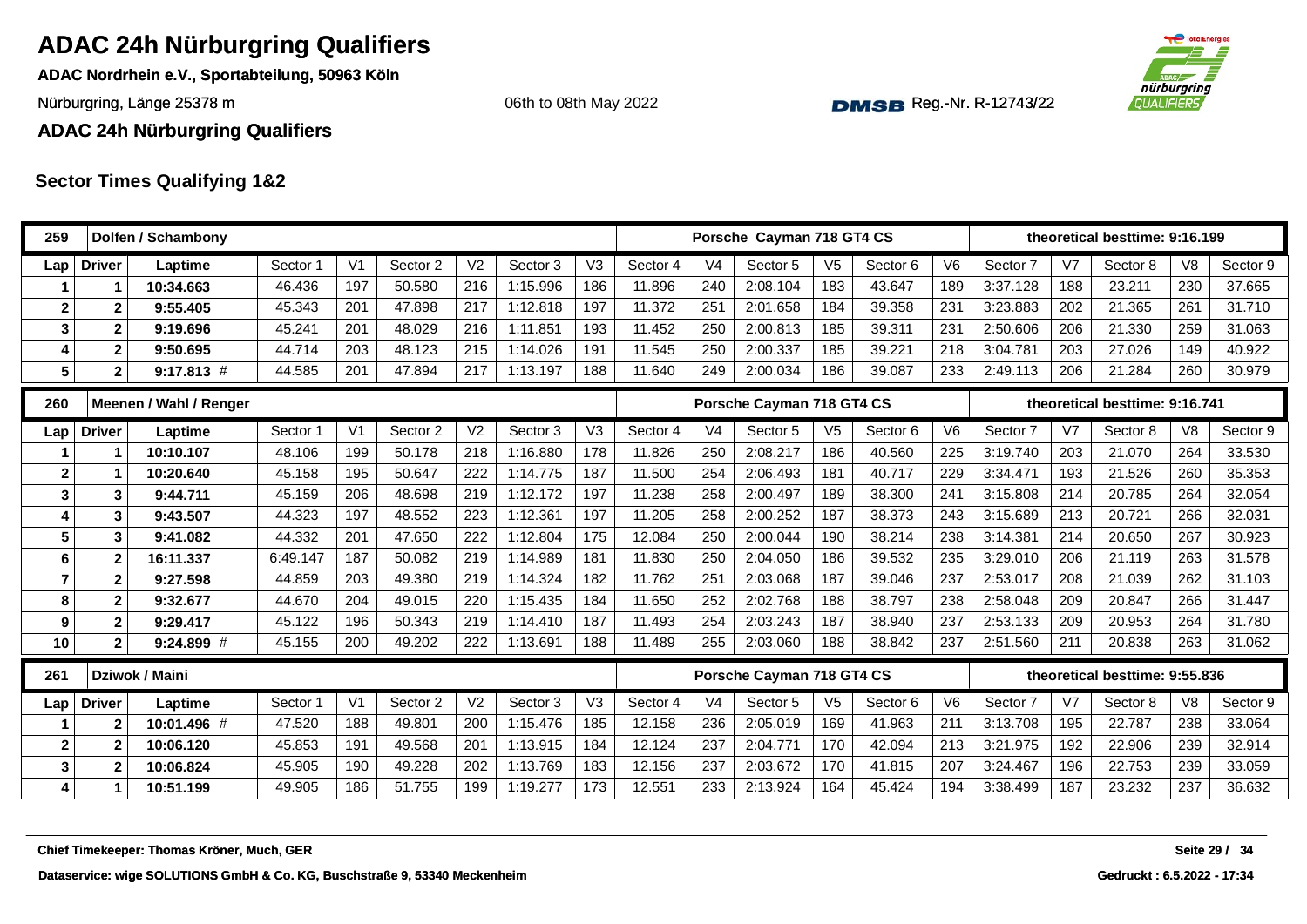**ADAC Nordrhein e.V., Sportabteilung, 50963 Köln**

Nürburgring, Länge 25378 m and the Communication of the Communication of the Communication of the Communication of the Communication of the Communication of the Communication of the Communication of the Communication of th

06th to 08th May 2022



**ADAC 24h Nürburgring Qualifiers**

| 259            |                | Dolfen / Schambony                         |          |                |          |                |          |                |          |                | Porsche Cayman 718 GT4 CS |                |          |                |          |                | theoretical besttime: 9:16.199 |                |               |
|----------------|----------------|--------------------------------------------|----------|----------------|----------|----------------|----------|----------------|----------|----------------|---------------------------|----------------|----------|----------------|----------|----------------|--------------------------------|----------------|---------------|
| Lap            | <b>Driver</b>  | Laptime                                    | Sector 1 | V <sub>1</sub> | Sector 2 | V <sub>2</sub> | Sector 3 | V <sub>3</sub> | Sector 4 | V <sub>4</sub> | Sector 5                  | V <sub>5</sub> | Sector 6 | V <sub>6</sub> | Sector 7 | V <sub>7</sub> | Sector 8                       | V <sub>8</sub> | Sector 9      |
|                |                | 10:34.663                                  | 46.436   | 197            | 50.580   | 216            | 1:15.996 | 186            | 11.896   | 240            | 2:08.104                  | 183            | 43.647   | 189            | 3:37.128 | 188            | 23.211                         | 230            | 37.665        |
| $\mathbf 2$    | $\mathbf{2}$   | 9:55.405                                   | 45.343   | 201            | 47.898   | 217            | 1:12.818 | 197            | 11.372   | 251            | 2:01.658                  | 184            | 39.358   | 231            | 3:23.883 | 202            | 21.365                         | 261            | 31.710        |
| 3              | $\mathbf{2}$   | 9:19.696                                   | 45.241   | 201            | 48.029   | 216            | 1:11.851 | 193            | 11.452   | 250            | 2:00.813                  | 185            | 39.311   | 231            | 2:50.606 | 206            | 21.330                         | 259            | 31.063        |
| 4              | $\mathbf{2}$   | 9:50.695                                   | 44.714   | 203            | 48.123   | 215            | 1:14.026 | 191            | 11.545   | 250            | 2:00.337                  | 185            | 39.221   | 218            | 3:04.781 | 203            | 27.026                         | 149            | 40.922        |
| 5              | $\overline{2}$ | $9:17.813$ #                               | 44.585   | 201            | 47.894   | 217            | 1:13.197 | 188            | 11.640   | 249            | 2:00.034                  | 186            | 39.087   | 233            | 2:49.113 | 206            | 21.284                         | 260            | 30.979        |
| 260            |                | Meenen / Wahl / Renger                     |          |                |          |                |          |                |          |                | Porsche Cayman 718 GT4 CS |                |          |                |          |                | theoretical besttime: 9:16.741 |                |               |
| Lap            | <b>Driver</b>  | Laptime                                    | Sector 1 | V <sub>1</sub> | Sector 2 | V <sub>2</sub> | Sector 3 | V <sub>3</sub> | Sector 4 | V <sub>4</sub> | Sector 5                  | V <sub>5</sub> | Sector 6 | V <sub>6</sub> | Sector 7 | V <sub>7</sub> | Sector 8                       | V <sub>8</sub> | Sector 9      |
|                |                | 10:10.107                                  | 48.106   | 199            | 50.178   | 218            | 1:16.880 | 178            | 11.826   | 250            | 2:08.217                  | 186            | 40.560   | 225            | 3:19.740 | 203            | 21.070                         | 264            | 33.530        |
| $\mathbf{2}$   |                | 10:20.640                                  | 45.158   | 195            | 50.647   | 222            | 1:14.775 | 187            | 11.500   | 254            | 2:06.493                  | 181            | 40.717   | 229            | 3:34.471 | 193            | 21.526                         | 260            | 35.353        |
| $\mathbf{3}$   | 3              | 9:44.711                                   | 45.159   | 206            | 48.698   | 219            | 1:12.172 | 197            | 11.238   | 258            | 2:00.497                  | 189            | 38.300   | 241            | 3:15.808 | 214            | 20.785                         | 264            | 32.054        |
| 4              | 3              | 9:43.507                                   | 44.323   | 197            | 48.552   | 223            | 1:12.361 | 197            | 11.205   | 258            | 2:00.252                  | 187            | 38.373   | 243            | 3:15.689 | 213            | 20.721                         | 266            | 32.031        |
| 5              | 3              | 9:41.082                                   | 44.332   | 201            | 47.650   | 222            | 1:12.804 | 175            | 12.084   | 250            | 2:00.044                  | 190            | 38.214   | 238            | 3:14.381 | 214            | 20.650                         | 267            | 30.923        |
| 6              | $\mathbf{2}$   | 16:11.337                                  | 6:49.147 | 187            | 50.082   | 219            | 1:14.989 | 181            | 11.830   | 250            | 2:04.050                  | 186            | 39.532   | 235            | 3:29.010 | 206            | 21.119                         | 263            | 31.578        |
| $\overline{7}$ | $\mathbf{2}$   | 9:27.598                                   | 44.859   | 203            | 49.380   | 219            | 1:14.324 | 182            | 11.762   | 251            | 2:03.068                  | 187            | 39.046   | 237            | 2:53.017 | 208            | 21.039                         | 262            | 31.103        |
| 8              | $\mathbf{2}$   | 9:32.677                                   | 44.670   | 204            | 49.015   | 220            | 1:15.435 | 184            | 11.650   | 252            | 2:02.768                  | 188            | 38.797   | 238            | 2:58.048 | 209            | 20.847                         | 266            | 31.447        |
| 9              | $\mathbf{2}$   | 9:29.417                                   | 45.122   | 196            | 50.343   | 219            | 1:14.410 | 187            | 11.493   | 254            | 2:03.243                  | 187            | 38.940   | 237            | 2:53.133 | 209            | 20.953                         | 264            | 31.780        |
| 10             | $\overline{2}$ | $9:24.899$ #                               | 45.155   | 200            | 49.202   | 222            | 1:13.691 | 188            | 11.489   | 255            | 2:03.060                  | 188            | 38.842   | 237            | 2:51.560 | 211            | 20.838                         | 263            | 31.062        |
| 261            |                | Dziwok / Maini                             |          |                |          |                |          |                |          |                | Porsche Cayman 718 GT4 CS |                |          |                |          |                | theoretical besttime: 9:55.836 |                |               |
| Lap            | <b>Driver</b>  | Laptime                                    | Sector 1 | V <sub>1</sub> | Sector 2 | V <sub>2</sub> | Sector 3 | V <sub>3</sub> | Sector 4 | V <sub>4</sub> | Sector 5                  | V <sub>5</sub> | Sector 6 | V <sub>6</sub> | Sector 7 | V <sub>7</sub> | Sector 8                       | V <sub>8</sub> | Sector 9      |
|                | $\mathbf{2}$   | 10:01.496 #                                | 47.520   | 188            | 49.801   | 200            | 1:15.476 | 185            | 12.158   | 236            | 2:05.019                  | 169            | 41.963   | 211            | 3:13.708 | 195            | 22.787                         | 238            | 33.064        |
| $\mathbf{2}$   | $\overline{2}$ | 10:06.120                                  | 45.853   | 191            | 49.568   | 201            | 1:13.915 | 184            | 12.124   | 237            | 2:04.771                  | 170            | 42.094   | 213            | 3:21.975 | 192            | 22.906                         | 239            | 32.914        |
| 3              | $\mathbf{2}$   | 10:06.824                                  | 45.905   | 190            | 49.228   | 202            | 1:13.769 | 183            | 12.156   | 237            | 2:03.672                  | 170            | 41.815   | 207            | 3:24.467 | 196            | 22.753                         | 239            | 33.059        |
| $\vert$        | 1              | 10:51.199                                  | 49.905   | 186            | 51.755   | 199            | 1:19.277 | 173            | 12.551   | 233            | 2:13.924                  | 164            | 45.424   | 194            | 3:38.499 | 187            | 23.232                         | 237            | 36.632        |
|                |                | Chief Timekeeper: Thomas Kröner, Much, GER |          |                |          |                |          |                |          |                |                           |                |          |                |          |                |                                |                | Seite 29 / 34 |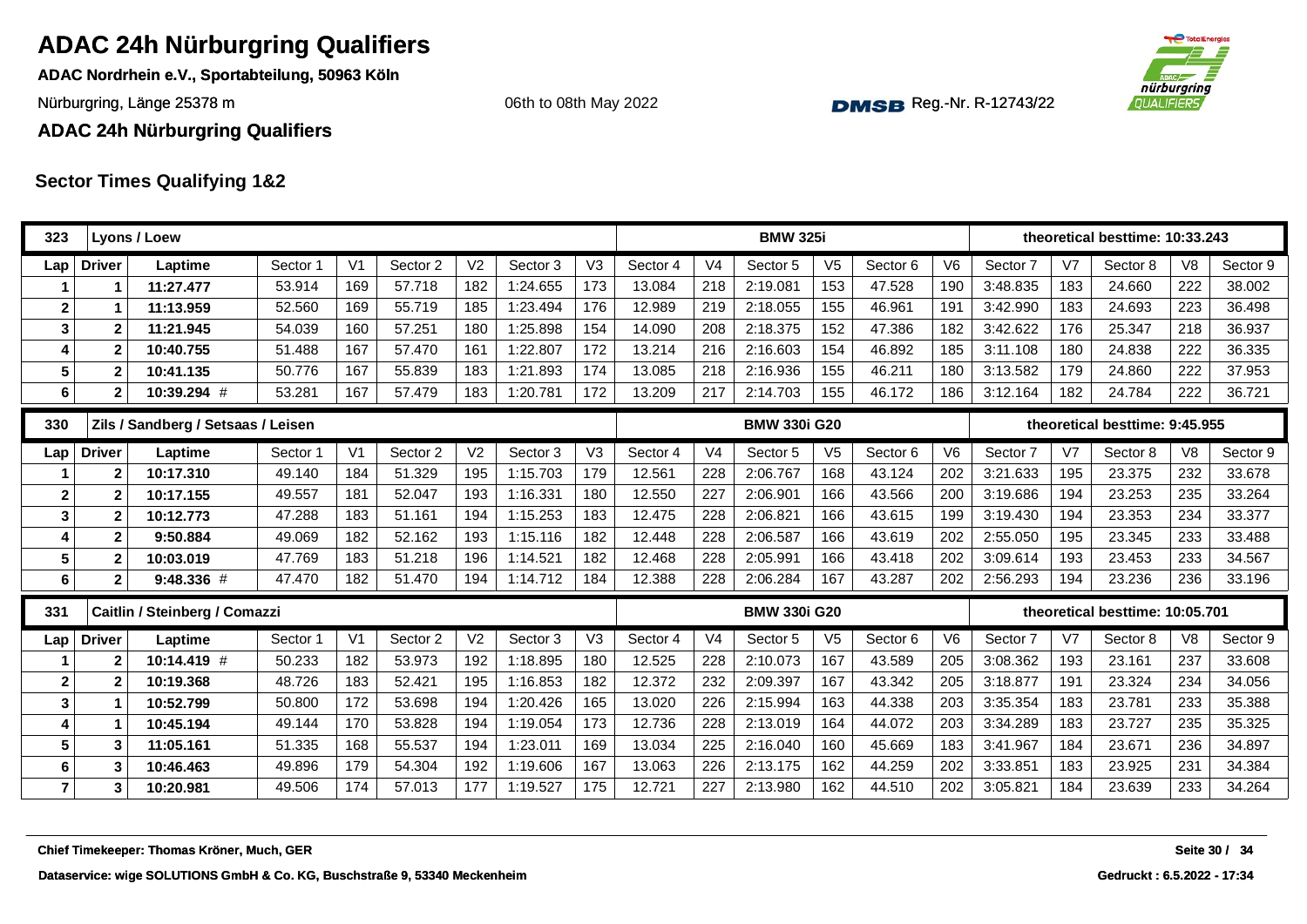**ADAC Nordrhein e.V., Sportabteilung, 50963 Köln**

Nürburgring, Länge 25378 m and the Communication of the Communication of the Communication of the Communication of the Communication of the Communication of the Communication of the Communication of the Communication of th

06th to 08th May 2022



**ADAC 24h Nürburgring Qualifiers**

| 323                     |                         | Lyons / Loew                               |          |                |          |                |          |                |          |                | <b>BMW 325i</b>     |                |          |                |          |                | theoretical besttime: 10:33.243 |                |               |
|-------------------------|-------------------------|--------------------------------------------|----------|----------------|----------|----------------|----------|----------------|----------|----------------|---------------------|----------------|----------|----------------|----------|----------------|---------------------------------|----------------|---------------|
| Lap                     | <b>Driver</b>           | Laptime                                    | Sector 1 | V <sub>1</sub> | Sector 2 | V <sub>2</sub> | Sector 3 | V <sub>3</sub> | Sector 4 | V <sub>4</sub> | Sector 5            | V <sub>5</sub> | Sector 6 | V <sub>6</sub> | Sector 7 | V <sub>7</sub> | Sector 8                        | V <sub>8</sub> | Sector 9      |
|                         | 1                       | 11:27.477                                  | 53.914   | 169            | 57.718   | 182            | 1:24.655 | 173            | 13.084   | 218            | 2:19.081            | 153            | 47.528   | 190            | 3:48.835 | 183            | 24.660                          | 222            | 38.002        |
| $\overline{\mathbf{2}}$ |                         | 11:13.959                                  | 52.560   | 169            | 55.719   | 185            | 1:23.494 | 176            | 12.989   | 219            | 2:18.055            | 155            | 46.961   | 191            | 3:42.990 | 183            | 24.693                          | 223            | 36.498        |
| $\mathbf{3}$            | $\overline{\mathbf{2}}$ | 11:21.945                                  | 54.039   | 160            | 57.251   | 180            | 1:25.898 | 154            | 14.090   | 208            | 2:18.375            | 152            | 47.386   | 182            | 3:42.622 | 176            | 25.347                          | 218            | 36.937        |
| 4                       | $\overline{2}$          | 10:40.755                                  | 51.488   | 167            | 57.470   | 161            | 1:22.807 | 172            | 13.214   | 216            | 2:16.603            | 154            | 46.892   | 185            | 3:11.108 | 180            | 24.838                          | 222            | 36.335        |
| 5                       | $\overline{\mathbf{2}}$ | 10:41.135                                  | 50.776   | 167            | 55.839   | 183            | 1:21.893 | 174            | 13.085   | 218            | 2:16.936            | 155            | 46.211   | 180            | 3:13.582 | 179            | 24.860                          | 222            | 37.953        |
| $6\phantom{1}6$         | $\overline{2}$          | 10:39.294 #                                | 53.281   | 167            | 57.479   | 183            | 1:20.781 | 172            | 13.209   | 217            | 2:14.703            | 155            | 46.172   | 186            | 3:12.164 | 182            | 24.784                          | 222            | 36.721        |
| 330                     |                         | Zils / Sandberg / Setsaas / Leisen         |          |                |          |                |          |                |          |                | <b>BMW 330i G20</b> |                |          |                |          |                | theoretical besttime: 9:45.955  |                |               |
| Lap                     | <b>Driver</b>           | Laptime                                    | Sector 1 | V <sub>1</sub> | Sector 2 | V <sub>2</sub> | Sector 3 | V <sub>3</sub> | Sector 4 | V <sub>4</sub> | Sector 5            | V <sub>5</sub> | Sector 6 | V <sub>6</sub> | Sector 7 | V <sub>7</sub> | Sector 8                        | V <sub>8</sub> | Sector 9      |
|                         | $\overline{2}$          | 10:17.310                                  | 49.140   | 184            | 51.329   | 195            | 1:15.703 | 179            | 12.561   | 228            | 2:06.767            | 168            | 43.124   | 202            | 3:21.633 | 195            | 23.375                          | 232            | 33.678        |
| $\mathbf{2}$            | $\mathbf{2}$            | 10:17.155                                  | 49.557   | 181            | 52.047   | 193            | 1:16.331 | 180            | 12.550   | 227            | 2:06.901            | 166            | 43.566   | 200            | 3:19.686 | 194            | 23.253                          | 235            | 33.264        |
| $\mathbf{3}$            | $\overline{\mathbf{2}}$ | 10:12.773                                  | 47.288   | 183            | 51.161   | 194            | 1:15.253 | 183            | 12.475   | 228            | 2:06.821            | 166            | 43.615   | 199            | 3:19.430 | 194            | 23.353                          | 234            | 33.377        |
| 4                       | $\overline{2}$          | 9:50.884                                   | 49.069   | 182            | 52.162   | 193            | 1:15.116 | 182            | 12.448   | 228            | 2:06.587            | 166            | 43.619   | 202            | 2:55.050 | 195            | 23.345                          | 233            | 33.488        |
| 5                       | $\overline{2}$          | 10:03.019                                  | 47.769   | 183            | 51.218   | 196            | 1:14.521 | 182            | 12.468   | 228            | 2:05.991            | 166            | 43.418   | 202            | 3:09.614 | 193            | 23.453                          | 233            | 34.567        |
| $6\phantom{1}6$         | $\mathbf 2$             | 9:48.336#                                  | 47.470   | 182            | 51.470   | 194            | 1:14.712 | 184            | 12.388   | 228            | 2:06.284            | 167            | 43.287   | 202            | 2:56.293 | 194            | 23.236                          | 236            | 33.196        |
| 331                     |                         | Caitlin / Steinberg / Comazzi              |          |                |          |                |          |                |          |                | <b>BMW 330i G20</b> |                |          |                |          |                | theoretical besttime: 10:05.701 |                |               |
| Lap                     | <b>Driver</b>           | Laptime                                    | Sector 1 | V <sub>1</sub> | Sector 2 | V <sub>2</sub> | Sector 3 | V <sub>3</sub> | Sector 4 | V <sub>4</sub> | Sector 5            | V <sub>5</sub> | Sector 6 | V <sub>6</sub> | Sector 7 | V <sub>7</sub> | Sector 8                        | V <sub>8</sub> | Sector 9      |
| 1                       | $\overline{2}$          | $10:14.419$ #                              | 50.233   | 182            | 53.973   | 192            | 1:18.895 | 180            | 12.525   | 228            | 2:10.073            | 167            | 43.589   | 205            | 3:08.362 | 193            | 23.161                          | 237            | 33.608        |
| $\overline{\mathbf{2}}$ | $\overline{2}$          | 10:19.368                                  | 48.726   | 183            | 52.421   | 195            | 1:16.853 | 182            | 12.372   | 232            | 2:09.397            | 167            | 43.342   | 205            | 3:18.877 | 191            | 23.324                          | 234            | 34.056        |
| $\mathbf{3}$            | 1                       | 10:52.799                                  | 50.800   | 172            | 53.698   | 194            | 1:20.426 | 165            | 13.020   | 226            | 2:15.994            | 163            | 44.338   | 203            | 3:35.354 | 183            | 23.781                          | 233            | 35.388        |
| 4                       | 1                       | 10:45.194                                  | 49.144   | 170            | 53.828   | 194            | 1:19.054 | 173            | 12.736   | 228            | 2:13.019            | 164            | 44.072   | 203            | 3:34.289 | 183            | 23.727                          | 235            | 35.325        |
| 5                       | $\mathbf{3}$            | 11:05.161                                  | 51.335   | 168            | 55.537   | 194            | 1:23.011 | 169            | 13.034   | 225            | 2:16.040            | 160            | 45.669   | 183            | 3:41.967 | 184            | 23.671                          | 236            | 34.897        |
| 6                       | 3                       | 10:46.463                                  | 49.896   | 179            | 54.304   | 192            | 1:19.606 | 167            | 13.063   | 226            | 2:13.175            | 162            | 44.259   | 202            | 3:33.851 | 183            | 23.925                          | 231            | 34.384        |
| $\overline{7}$          | 3                       | 10:20.981                                  | 49.506   | 174            | 57.013   | 177            | 1:19.527 | 175            | 12.721   | 227            | 2:13.980            | 162            | 44.510   | 202            | 3:05.821 | 184            | 23.639                          | 233            | 34.264        |
|                         |                         | Chief Timekeeper: Thomas Kröner, Much, GER |          |                |          |                |          |                |          |                |                     |                |          |                |          |                |                                 |                | Seite 30 / 34 |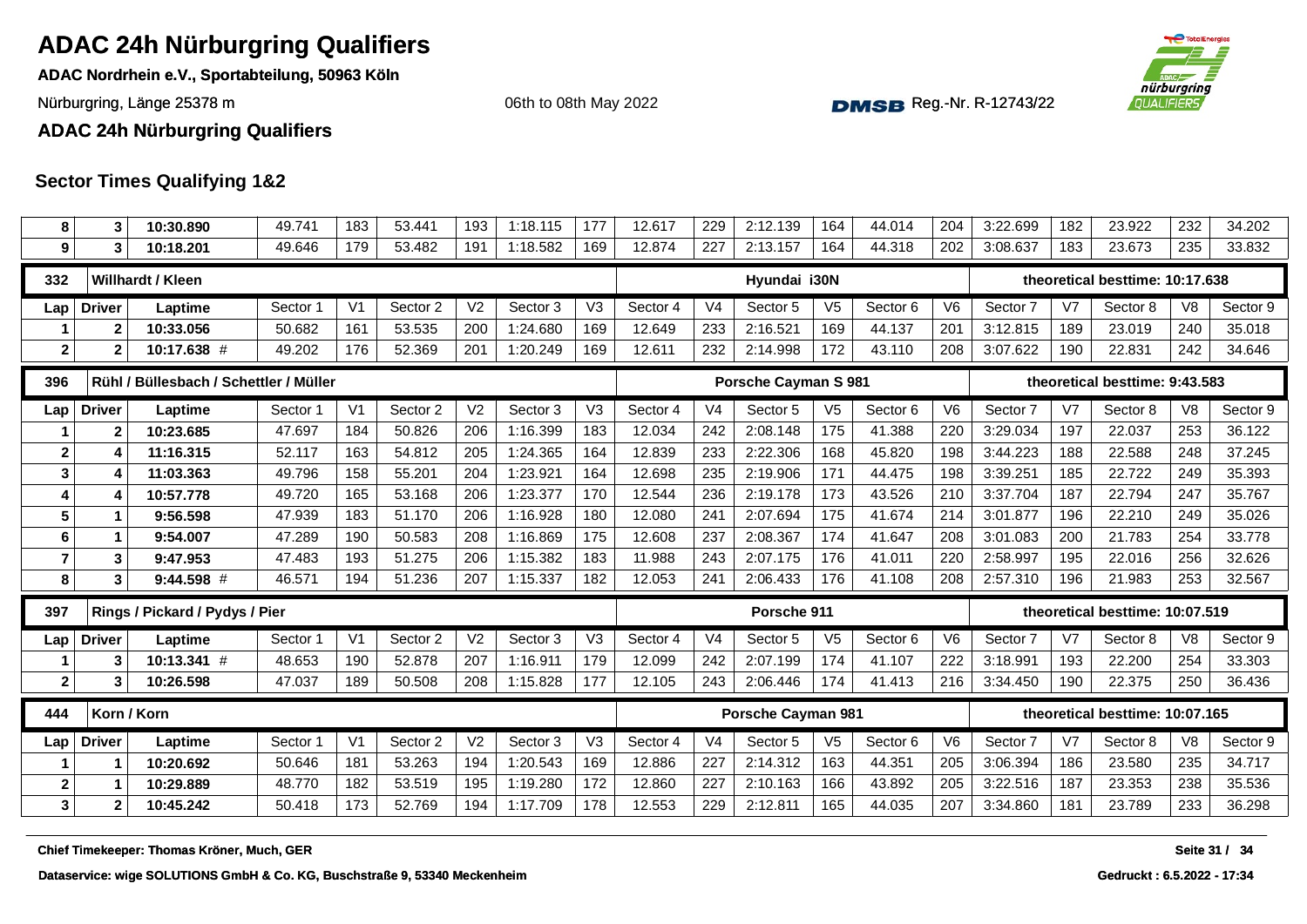**ADAC Nordrhein e.V., Sportabteilung, 50963 Köln**

Nürburgring, Länge 25378 m and the Communication of the Communication of the Communication of the Communication of the Communication of the Communication of Nurburgring, Länge 25378 m

06th to 08th May 2022



**ADAC 24h Nürburgring Qualifiers**

| 8                | 3             | 10:30.890                                  | 49.741   | 183            | 53.441   | 193            | 1:18.115 | 177            | 12.617   | 229            | 2:12.139             | 164            | 44.014   | 204            | 3:22.699 | 182            | 23.922                          | 232            | 34.202        |
|------------------|---------------|--------------------------------------------|----------|----------------|----------|----------------|----------|----------------|----------|----------------|----------------------|----------------|----------|----------------|----------|----------------|---------------------------------|----------------|---------------|
| 9                |               | 10:18.201                                  | 49.646   | 179            | 53.482   | 191            | 1:18.582 | 169            | 12.874   | 227            | 2:13.157             | 164            | 44.318   | 202            | 3:08.637 | 183            | 23.673                          | 235            | 33.832        |
| 332              |               | Willhardt / Kleen                          |          |                |          |                |          |                |          |                | Hyundai i30N         |                |          |                |          |                | theoretical besttime: 10:17.638 |                |               |
| Lap              | <b>Driver</b> | Laptime                                    | Sector 1 | V <sub>1</sub> | Sector 2 | V <sub>2</sub> | Sector 3 | V3             | Sector 4 | V <sub>4</sub> | Sector 5             | V <sub>5</sub> | Sector 6 | V <sub>6</sub> | Sector 7 | V <sub>7</sub> | Sector 8                        | V <sub>8</sub> | Sector 9      |
|                  |               | 10:33.056                                  | 50.682   | 161            | 53.535   | 200            | 1:24.680 | 169            | 12.649   | 233            | 2:16.521             | 169            | 44.137   | 201            | 3:12.815 | 189            | 23.019                          | 240            | 35.018        |
| $\overline{2}$   | 2             | 10:17.638 #                                | 49.202   | 176            | 52.369   | 201            | 1:20.249 | 169            | 12.611   | 232            | 2:14.998             | 172            | 43.110   | 208            | 3:07.622 | 190            | 22.831                          | 242            | 34.646        |
| 396              |               | Rühl / Büllesbach / Schettler / Müller     |          |                |          |                |          |                |          |                | Porsche Cayman S 981 |                |          |                |          |                | theoretical besttime: 9:43.583  |                |               |
| Lap              | <b>Driver</b> | Laptime                                    | Sector 1 | V <sub>1</sub> | Sector 2 | V <sub>2</sub> | Sector 3 | V3             | Sector 4 | V <sub>4</sub> | Sector 5             | V <sub>5</sub> | Sector 6 | V <sub>6</sub> | Sector 7 | V <sub>7</sub> | Sector 8                        | V <sub>8</sub> | Sector 9      |
|                  | 2             | 10:23.685                                  | 47.697   | 184            | 50.826   | 206            | 1:16.399 | 183            | 12.034   | 242            | 2:08.148             | 175            | 41.388   | 220            | 3:29.034 | 197            | 22.037                          | 253            | 36.122        |
| $\boldsymbol{2}$ |               | 11:16.315                                  | 52.117   | 163            | 54.812   | 205            | 1:24.365 | 164            | 12.839   | 233            | 2:22.306             | 168            | 45.820   | 198            | 3:44.223 | 188            | 22.588                          | 248            | 37.245        |
| $\mathbf{3}$     |               | 11:03.363                                  | 49.796   | 158            | 55.201   | 204            | 1:23.921 | 164            | 12.698   | 235            | 2:19.906             | 171            | 44.475   | 198            | 3:39.251 | 185            | 22.722                          | 249            | 35.393        |
| 4                |               | 10:57.778                                  | 49.720   | 165            | 53.168   | 206            | 1:23.377 | 170            | 12.544   | 236            | 2:19.178             | 173            | 43.526   | 210            | 3:37.704 | 187            | 22.794                          | 247            | 35.767        |
| $5\phantom{1}$   |               | 9:56.598                                   | 47.939   | 183            | 51.170   | 206            | 1:16.928 | 180            | 12.080   | 241            | 2:07.694             | 175            | 41.674   | 214            | 3:01.877 | 196            | 22.210                          | 249            | 35.026        |
| 6                |               | 9:54.007                                   | 47.289   | 190            | 50.583   | 208            | 1:16.869 | 175            | 12.608   | 237            | 2:08.367             | 174            | 41.647   | 208            | 3:01.083 | 200            | 21.783                          | 254            | 33.778        |
| $\overline{7}$   | 3             | 9:47.953                                   | 47.483   | 193            | 51.275   | 206            | 1:15.382 | 183            | 11.988   | 243            | 2:07.175             | 176            | 41.011   | 220            | 2:58.997 | 195            | 22.016                          | 256            | 32.626        |
| 8                | 3             | $9:44.598$ #                               | 46.571   | 194            | 51.236   | 207            | 1:15.337 | 182            | 12.053   | 241            | 2:06.433             | 176            | 41.108   | 208            | 2:57.310 | 196            | 21.983                          | 253            | 32.567        |
| 397              |               | Rings / Pickard / Pydys / Pier             |          |                |          |                |          |                |          |                | Porsche 911          |                |          |                |          |                | theoretical besttime: 10:07.519 |                |               |
| Lap              | <b>Driver</b> | Laptime                                    | Sector 1 | V <sub>1</sub> | Sector 2 | V <sub>2</sub> | Sector 3 | V <sub>3</sub> | Sector 4 | V <sub>4</sub> | Sector 5             | V <sub>5</sub> | Sector 6 | V6             | Sector 7 | V <sub>7</sub> | Sector 8                        | V <sub>8</sub> | Sector 9      |
|                  | 3             | 10:13.341 #                                | 48.653   | 190            | 52.878   | 207            | 1:16.911 | 179            | 12.099   | 242            | 2:07.199             | 174            | 41.107   | 222            | 3:18.991 | 193            | 22.200                          | 254            | 33.303        |
| $\mathbf{2}$     | 3             | 10:26.598                                  | 47.037   | 189            | 50.508   | 208            | 1:15.828 | 177            | 12.105   | 243            | 2:06.446             | 174            | 41.413   | 216            | 3:34.450 | 190            | 22.375                          | 250            | 36.436        |
| 444              |               | Korn / Korn                                |          |                |          |                |          |                |          |                | Porsche Cayman 981   |                |          |                |          |                | theoretical besttime: 10:07.165 |                |               |
| Lap              | <b>Driver</b> | Laptime                                    | Sector 1 | V <sub>1</sub> | Sector 2 | V <sub>2</sub> | Sector 3 | V3             | Sector 4 | V <sub>4</sub> | Sector 5             | V <sub>5</sub> | Sector 6 | V <sub>6</sub> | Sector 7 | V <sub>7</sub> | Sector 8                        | V <sub>8</sub> | Sector 9      |
|                  |               | 10:20.692                                  | 50.646   | 181            | 53.263   | 194            | 1:20.543 | 169            | 12.886   | 227            | 2:14.312             | 163            | 44.351   | 205            | 3:06.394 | 186            | 23.580                          | 235            | 34.717        |
| $\boldsymbol{2}$ |               | 10:29.889                                  | 48.770   | 182            | 53.519   | 195            | 1:19.280 | 172            | 12.860   | 227            | 2:10.163             | 166            | 43.892   | 205            | 3:22.516 | 187            | 23.353                          | 238            | 35.536        |
| $\mathbf{3}$     | $\mathbf{2}$  | 10:45.242                                  | 50.418   | 173            | 52.769   | 194            | 1:17.709 | 178            | 12.553   | 229            | 2:12.811             | 165            | 44.035   | 207            | 3:34.860 | 181            | 23.789                          | 233            | 36.298        |
|                  |               | Chief Timekeeper: Thomas Kröner, Much, GER |          |                |          |                |          |                |          |                |                      |                |          |                |          |                |                                 |                | Seite 31 / 34 |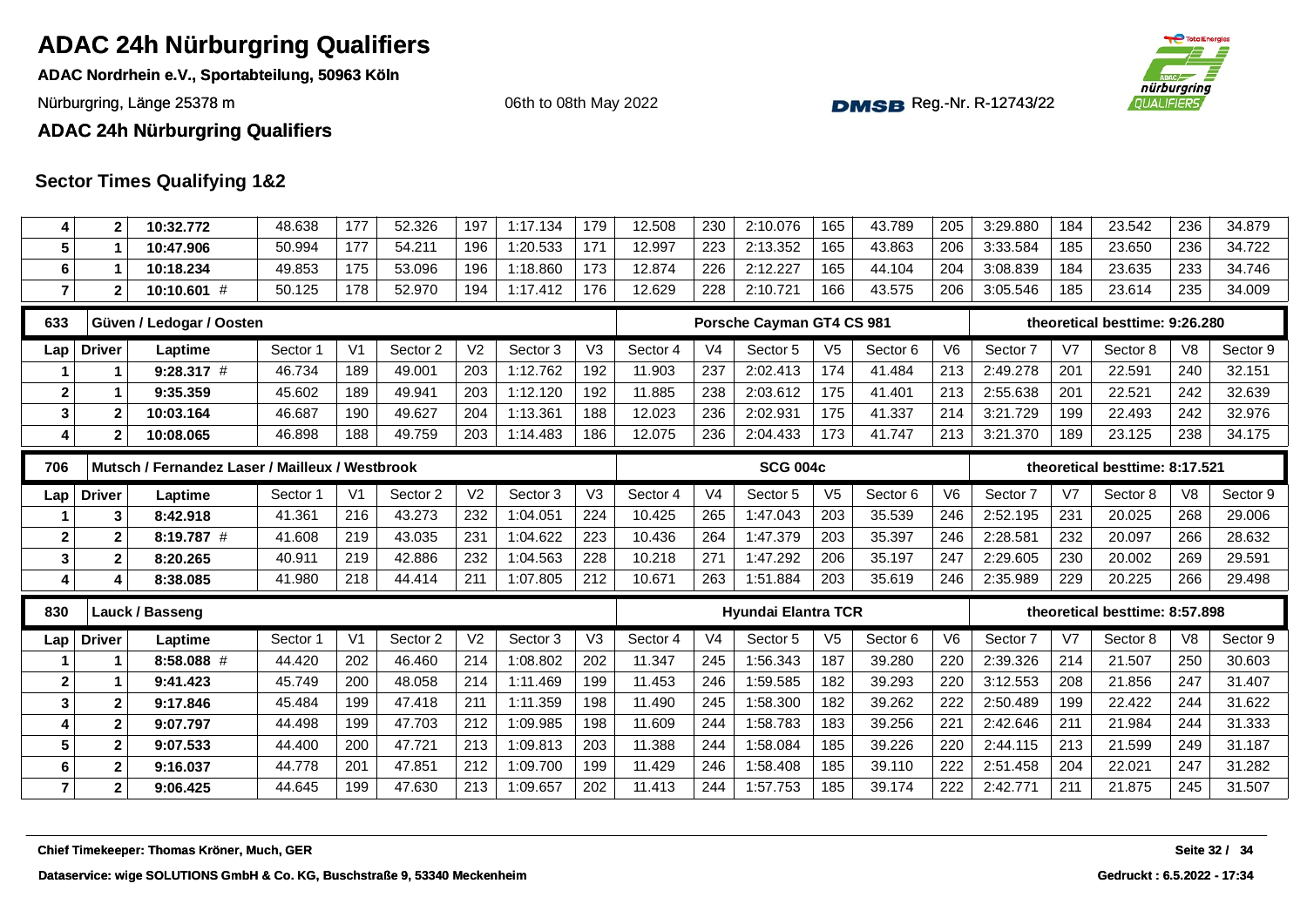**ADAC Nordrhein e.V., Sportabteilung, 50963 Köln**

Nürburgring, Länge 25378 m and the Communication of the Communication of the Communication of the Communication of the Communication of the Communication of Nurburgring, Länge 25378 m

06th to 08th May 2022



**ADAC 24h Nürburgring Qualifiers**

| 4                       | $\overline{2}$          | 10:32.772                                       | 48.638   | 177            | 52.326   | 197            | 1:17.134 | 179            | 12.508   | 230            | 2:10.076                   | 165            | 43.789   | 205            | 3:29.880 | 184            | 23.542                         | 236            | 34.879        |
|-------------------------|-------------------------|-------------------------------------------------|----------|----------------|----------|----------------|----------|----------------|----------|----------------|----------------------------|----------------|----------|----------------|----------|----------------|--------------------------------|----------------|---------------|
| 5                       | -1                      | 10:47.906                                       | 50.994   | 177            | 54.211   | 196            | 1:20.533 | 171            | 12.997   | 223            | 2:13.352                   | 165            | 43.863   | 206            | 3:33.584 | 185            | 23.650                         | 236            | 34.722        |
| 6                       | $\overline{\mathbf{1}}$ | 10:18.234                                       | 49.853   | 175            | 53.096   | 196            | 1:18.860 | 173            | 12.874   | 226            | 2:12.227                   | 165            | 44.104   | 204            | 3:08.839 | 184            | 23.635                         | 233            | 34.746        |
| $\overline{7}$          | $\overline{2}$          | 10:10.601 #                                     | 50.125   | 178            | 52.970   | 194            | 1:17.412 | 176            | 12.629   | 228            | 2:10.721                   | 166            | 43.575   | 206            | 3:05.546 | 185            | 23.614                         | 235            | 34.009        |
| 633                     |                         | Güven / Ledogar / Oosten                        |          |                |          |                |          |                |          |                | Porsche Cayman GT4 CS 981  |                |          |                |          |                | theoretical besttime: 9:26.280 |                |               |
| Lap                     | <b>Driver</b>           | Laptime                                         | Sector 1 | V <sub>1</sub> | Sector 2 | V <sub>2</sub> | Sector 3 | V <sub>3</sub> | Sector 4 | V <sub>4</sub> | Sector 5                   | V <sub>5</sub> | Sector 6 | V6             | Sector 7 | V <sub>7</sub> | Sector 8                       | V8             | Sector 9      |
|                         | $\mathbf 1$             | $9:28.317$ #                                    | 46.734   | 189            | 49.001   | 203            | 1:12.762 | 192            | 11.903   | 237            | 2:02.413                   | 174            | 41.484   | 213            | 2:49.278 | 201            | 22.591                         | 240            | 32.151        |
| $\mathbf{2}$            |                         | 9:35.359                                        | 45.602   | 189            | 49.941   | 203            | 1:12.120 | 192            | 11.885   | 238            | 2:03.612                   | 175            | 41.401   | 213            | 2:55.638 | 201            | 22.521                         | 242            | 32.639        |
| 3                       | $\overline{\mathbf{2}}$ | 10:03.164                                       | 46.687   | 190            | 49.627   | 204            | 1:13.361 | 188            | 12.023   | 236            | 2:02.931                   | 175            | 41.337   | 214            | 3:21.729 | 199            | 22.493                         | 242            | 32.976        |
| 4                       | $\overline{2}$          | 10:08.065                                       | 46.898   | 188            | 49.759   | 203            | 1:14.483 | 186            | 12.075   | 236            | 2:04.433                   | 173            | 41.747   | 213            | 3:21.370 | 189            | 23.125                         | 238            | 34.175        |
| 706                     |                         | Mutsch / Fernandez Laser / Mailleux / Westbrook |          |                |          |                |          |                |          |                | <b>SCG 004c</b>            |                |          |                |          |                | theoretical besttime: 8:17.521 |                |               |
| Lap                     | <b>Driver</b>           | Laptime                                         | Sector 1 | V <sub>1</sub> | Sector 2 | V <sub>2</sub> | Sector 3 | V <sub>3</sub> | Sector 4 | V <sub>4</sub> | Sector 5                   | V <sub>5</sub> | Sector 6 | V <sub>6</sub> | Sector 7 | V7             | Sector 8                       | V <sub>8</sub> | Sector 9      |
|                         | 3                       | 8:42.918                                        | 41.361   | 216            | 43.273   | 232            | 1:04.051 | 224            | 10.425   | 265            | 1:47.043                   | 203            | 35.539   | 246            | 2:52.195 | 231            | 20.025                         | 268            | 29.006        |
| $\mathbf{2}$            | $\mathbf{2}$            | 8:19.787 #                                      | 41.608   | 219            | 43.035   | 231            | 1:04.622 | 223            | 10.436   | 264            | 1:47.379                   | 203            | 35.397   | 246            | 2:28.581 | 232            | 20.097                         | 266            | 28.632        |
| $\mathbf 3$             | $\mathbf{2}$            | 8:20.265                                        | 40.911   | 219            | 42.886   | 232            | 1:04.563 | 228            | 10.218   | 271            | 1:47.292                   | 206            | 35.197   | 247            | 2:29.605 | 230            | 20.002                         | 269            | 29.591        |
| 4                       | Δ                       | 8:38.085                                        | 41.980   | 218            | 44.414   | 211            | 1:07.805 | 212            | 10.671   | 263            | 1:51.884                   | 203            | 35.619   | 246            | 2:35.989 | 229            | 20.225                         | 266            | 29.498        |
|                         |                         |                                                 |          |                |          |                |          |                |          |                |                            |                |          |                |          |                |                                |                |               |
| 830                     |                         | Lauck / Basseng                                 |          |                |          |                |          |                |          |                | <b>Hyundai Elantra TCR</b> |                |          |                |          |                | theoretical besttime: 8:57.898 |                |               |
| Lap                     | <b>Driver</b>           | Laptime                                         | Sector 1 | V <sub>1</sub> | Sector 2 | V <sub>2</sub> | Sector 3 | V <sub>3</sub> | Sector 4 | V <sub>4</sub> | Sector 5                   | V <sub>5</sub> | Sector 6 | V6             | Sector 7 | V7             | Sector 8                       | V <sub>8</sub> | Sector 9      |
| 1                       |                         | 8:58.088 #                                      | 44.420   | 202            | 46.460   | 214            | 1:08.802 | 202            | 11.347   | 245            | 1:56.343                   | 187            | 39.280   | 220            | 2:39.326 | 214            | 21.507                         | 250            | 30.603        |
| $\overline{\mathbf{2}}$ |                         | 9:41.423                                        | 45.749   | 200            | 48.058   | 214            | 1:11.469 | 199            | 11.453   | 246            | 1:59.585                   | 182            | 39.293   | 220            | 3:12.553 | 208            | 21.856                         | 247            | 31.407        |
| $\mathbf{3}$            | $\mathbf{2}$            | 9:17.846                                        | 45.484   | 199            | 47.418   | 211            | 1:11.359 | 198            | 11.490   | 245            | 1:58.300                   | 182            | 39.262   | 222            | 2:50.489 | 199            | 22.422                         | 244            | 31.622        |
| $\overline{4}$          | $\mathbf{2}$            | 9:07.797                                        | 44.498   | 199            | 47.703   | 212            | 1:09.985 | 198            | 11.609   | 244            | 1:58.783                   | 183            | 39.256   | 221            | 2:42.646 | 211            | 21.984                         | 244            | 31.333        |
| 5                       | $\mathbf{2}$            | 9:07.533                                        | 44.400   | 200            | 47.721   | 213            | 1:09.813 | 203            | 11.388   | 244            | 1:58.084                   | 185            | 39.226   | 220            | 2:44.115 | 213            | 21.599                         | 249            | 31.187        |
| 6                       | $\mathbf{2}$            | 9:16.037                                        | 44.778   | 201            | 47.851   | 212            | 1:09.700 | 199            | 11.429   | 246            | 1:58.408                   | 185            | 39.110   | 222            | 2:51.458 | 204            | 22.021                         | 247            | 31.282        |
| $\overline{7}$          | $\mathbf{2}$            | 9:06.425                                        | 44.645   | 199            | 47.630   | 213            | 1:09.657 | 202            | 11.413   | 244            | 1:57.753                   | 185            | 39.174   | 222            | 2:42.771 | 211            | 21.875                         | 245            | 31.507        |
|                         |                         |                                                 |          |                |          |                |          |                |          |                |                            |                |          |                |          |                |                                |                |               |
|                         |                         | Chief Timekeeper: Thomas Kröner, Much, GER      |          |                |          |                |          |                |          |                |                            |                |          |                |          |                |                                |                | Seite 32 / 34 |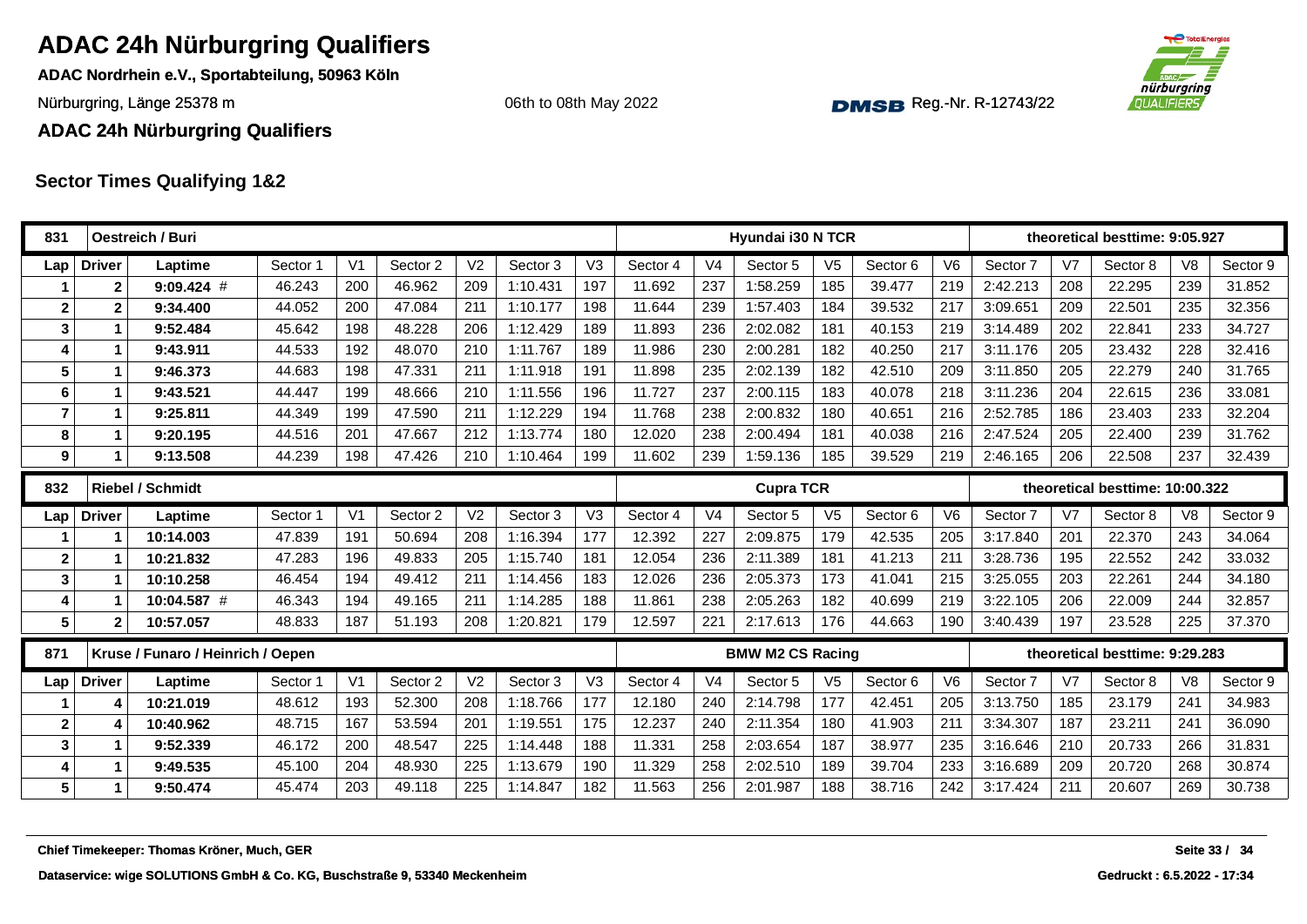**ADAC Nordrhein e.V., Sportabteilung, 50963 Köln**

Nürburgring, Länge 25378 m and the Communication of the Communication of the Communication of the Communication of the Communication of the Communication of Nurburgring, Länge 25378 m

06th to 08th May 2022



**ADAC 24h Nürburgring Qualifiers**

| 831             |                         | Oestreich / Buri                           |          |                |          |                |          |                |          |                | Hyundai i30 N TCR       |                |          |                |          |                | theoretical besttime: 9:05.927  |                |          |
|-----------------|-------------------------|--------------------------------------------|----------|----------------|----------|----------------|----------|----------------|----------|----------------|-------------------------|----------------|----------|----------------|----------|----------------|---------------------------------|----------------|----------|
| Lap             | <b>Driver</b>           | Laptime                                    | Sector 1 | V <sub>1</sub> | Sector 2 | V <sub>2</sub> | Sector 3 | V3             | Sector 4 | V <sub>4</sub> | Sector 5                | V <sub>5</sub> | Sector 6 | V <sub>6</sub> | Sector 7 | V7             | Sector 8                        | V <sub>8</sub> | Sector 9 |
|                 | $\mathbf{2}$            | $9:09.424$ #                               | 46.243   | 200            | 46.962   | 209            | 1:10.431 | 197            | 11.692   | 237            | 1:58.259                | 185            | 39.477   | 219            | 2:42.213 | 208            | 22.295                          | 239            | 31.852   |
| $\overline{2}$  | $\overline{\mathbf{2}}$ | 9:34.400                                   | 44.052   | 200            | 47.084   | 211            | 1:10.177 | 198            | 11.644   | 239            | 1:57.403                | 184            | 39.532   | 217            | 3:09.651 | 209            | 22.501                          | 235            | 32.356   |
| $\mathbf{3}$    | 1                       | 9:52.484                                   | 45.642   | 198            | 48.228   | 206            | 1:12.429 | 189            | 11.893   | 236            | 2:02.082                | 181            | 40.153   | 219            | 3:14.489 | 202            | 22.841                          | 233            | 34.727   |
| $\overline{4}$  | 1                       | 9:43.911                                   | 44.533   | 192            | 48.070   | 210            | 1:11.767 | 189            | 11.986   | 230            | 2:00.281                | 182            | 40.250   | 217            | 3:11.176 | 205            | 23.432                          | 228            | 32.416   |
| 5               | 1                       | 9:46.373                                   | 44.683   | 198            | 47.331   | 211            | 1:11.918 | 191            | 11.898   | 235            | 2:02.139                | 182            | 42.510   | 209            | 3:11.850 | 205            | 22.279                          | 240            | 31.765   |
| 6               | 1                       | 9:43.521                                   | 44.447   | 199            | 48.666   | 210            | 1:11.556 | 196            | 11.727   | 237            | 2:00.115                | 183            | 40.078   | 218            | 3:11.236 | 204            | 22.615                          | 236            | 33.081   |
| $\overline{7}$  | 1                       | 9:25.811                                   | 44.349   | 199            | 47.590   | 211            | 1:12.229 | 194            | 11.768   | 238            | 2:00.832                | 180            | 40.651   | 216            | 2:52.785 | 186            | 23.403                          | 233            | 32.204   |
| 8               | 1                       | 9:20.195                                   | 44.516   | 201            | 47.667   | 212            | 1:13.774 | 180            | 12.020   | 238            | 2:00.494                | 181            | 40.038   | 216            | 2:47.524 | 205            | 22.400                          | 239            | 31.762   |
| 9               | 1                       | 9:13.508                                   | 44.239   | 198            | 47.426   | 210            | 1:10.464 | 199            | 11.602   | 239            | 1:59.136                | 185            | 39.529   | 219            | 2:46.165 | 206            | 22.508                          | 237            | 32.439   |
| 832             |                         | <b>Riebel / Schmidt</b>                    |          |                |          |                |          |                |          |                | <b>Cupra TCR</b>        |                |          |                |          |                | theoretical besttime: 10:00.322 |                |          |
| Lap             | <b>Driver</b>           | Laptime                                    | Sector 1 | V <sub>1</sub> | Sector 2 | V <sub>2</sub> | Sector 3 | V3             | Sector 4 | V <sub>4</sub> | Sector 5                | V <sub>5</sub> | Sector 6 | V <sub>6</sub> | Sector 7 | V7             | Sector 8                        | V8             | Sector 9 |
|                 | 1                       | 10:14.003                                  | 47.839   | 191            | 50.694   | 208            | 1:16.394 | 177            | 12.392   | 227            | 2:09.875                | 179            | 42.535   | 205            | 3:17.840 | 201            | 22.370                          | 243            | 34.064   |
| $\mathbf{2}$    | 1                       | 10:21.832                                  | 47.283   | 196            | 49.833   | 205            | 1:15.740 | 181            | 12.054   | 236            | 2:11.389                | 181            | 41.213   | 211            | 3:28.736 | 195            | 22.552                          | 242            | 33.032   |
| $\mathbf{3}$    | 1                       | 10:10.258                                  | 46.454   | 194            | 49.412   | 211            | 1:14.456 | 183            | 12.026   | 236            | 2:05.373                | 173            | 41.041   | 215            | 3:25.055 | 203            | 22.261                          | 244            | 34.180   |
| $\overline{4}$  | 1                       | 10:04.587 #                                | 46.343   | 194            | 49.165   | 211            | 1:14.285 | 188            | 11.861   | 238            | 2:05.263                | 182            | 40.699   | 219            | 3:22.105 | 206            | 22.009                          | 244            | 32.857   |
| 5               | $\mathbf{2}$            | 10:57.057                                  | 48.833   | 187            | 51.193   | 208            | 1:20.821 | 179            | 12.597   | 221            | 2:17.613                | 176            | 44.663   | 190            | 3:40.439 | 197            | 23.528                          | 225            | 37.370   |
| 871             |                         | Kruse / Funaro / Heinrich / Oepen          |          |                |          |                |          |                |          |                | <b>BMW M2 CS Racing</b> |                |          |                |          |                | theoretical besttime: 9:29.283  |                |          |
| Lap             | <b>Driver</b>           | Laptime                                    | Sector 1 | V <sub>1</sub> | Sector 2 | V <sub>2</sub> | Sector 3 | V <sub>3</sub> | Sector 4 | V <sub>4</sub> | Sector 5                | V <sub>5</sub> | Sector 6 | V <sub>6</sub> | Sector 7 | V <sub>7</sub> | Sector 8                        | V <sub>8</sub> | Sector 9 |
|                 | 4                       | 10:21.019                                  | 48.612   | 193            | 52.300   | 208            | 1:18.766 | 177            | 12.180   | 240            | 2:14.798                | 177            | 42.451   | 205            | 3:13.750 | 185            | 23.179                          | 241            | 34.983   |
| $\mathbf{2}$    | 4                       | 10:40.962                                  | 48.715   | 167            | 53.594   | 201            | 1:19.551 | 175            | 12.237   | 240            | 2:11.354                | 180            | 41.903   | 211            | 3:34.307 | 187            | 23.211                          | 241            | 36.090   |
| $\mathbf{3}$    | 1                       | 9:52.339                                   | 46.172   | 200            | 48.547   | 225            | 1:14.448 | 188            | 11.331   | 258            | 2:03.654                | 187            | 38.977   | 235            | 3:16.646 | 210            | 20.733                          | 266            | 31.831   |
| $\overline{4}$  | 1                       | 9:49.535                                   | 45.100   | 204            | 48.930   | 225            | 1:13.679 | 190            | 11.329   | 258            | 2:02.510                | 189            | 39.704   | 233            | 3:16.689 | 209            | 20.720                          | 268            | 30.874   |
| $5\phantom{.0}$ | $\mathbf{1}$            | 9:50.474                                   | 45.474   | 203            | 49.118   | 225            | 1:14.847 | 182            | 11.563   | 256            | 2:01.987                | 188            | 38.716   | 242            | 3:17.424 | 211            | 20.607                          | 269            | 30.738   |
|                 |                         | Chief Timekeeper: Thomas Kröner, Much, GER |          |                |          |                |          |                |          |                |                         |                |          |                |          |                |                                 | Seite 33 /     | 34       |